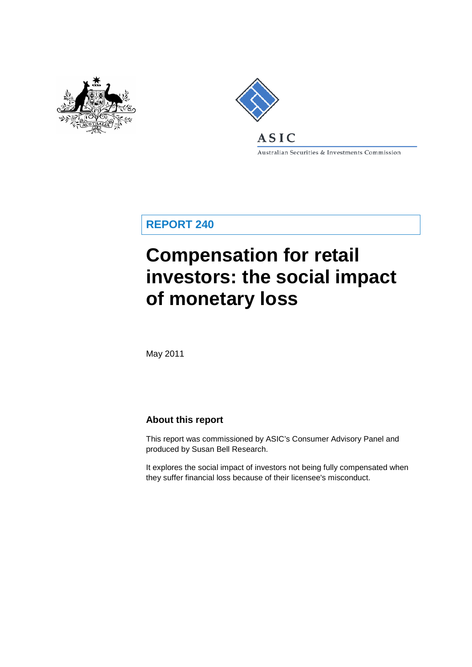



Australian Securities & Investments Commission

**REPORT 240**

# **Compensation for retail investors: the social impact of monetary loss**

May 2011

### **About this report**

This report was commissioned by ASIC's Consumer Advisory Panel and produced by Susan Bell Research.

It explores the social impact of investors not being fully compensated when they suffer financial loss because of their licensee's misconduct.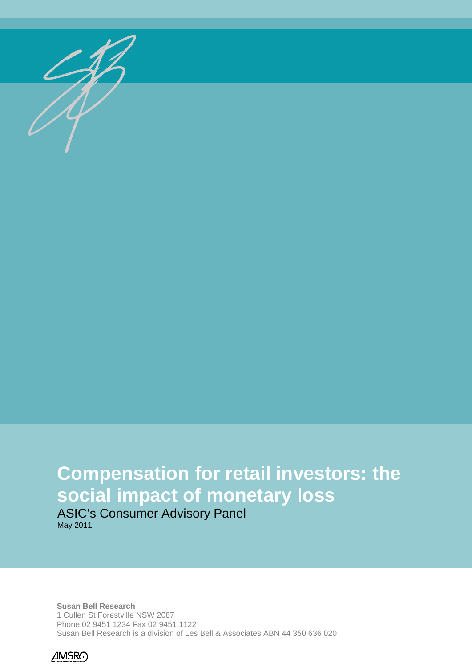

# **Compensation for retail investors: the social impact of monetary loss**

ASIC's Consumer Advisory Panel May 2011

**Susan Bell Research** 1 Cullen St Forestville NSW 2087 Phone 02 9451 1234 Fax 02 9451 1122 Susan Bell Research is a division of Les Bell & Associates ABN 44 350 636 020

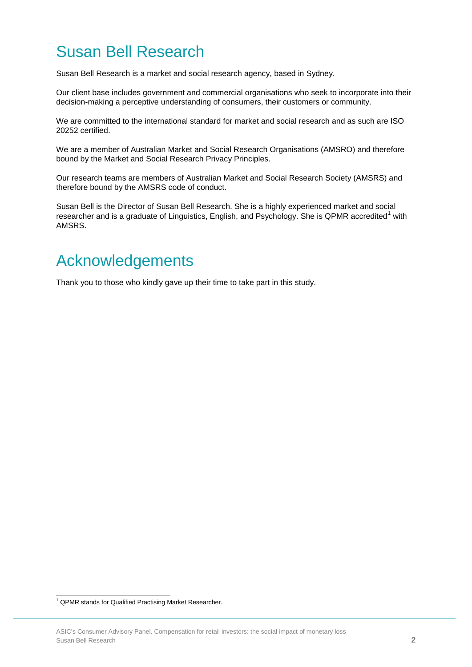## Susan Bell Research

Susan Bell Research is a market and social research agency, based in Sydney.

Our client base includes government and commercial organisations who seek to incorporate into their decision-making a perceptive understanding of consumers, their customers or community.

We are committed to the international standard for market and social research and as such are ISO 20252 certified.

We are a member of Australian Market and Social Research Organisations (AMSRO) and therefore bound by the Market and Social Research Privacy Principles.

Our research teams are members of Australian Market and Social Research Society (AMSRS) and therefore bound by the AMSRS code of conduct.

Susan Bell is the Director of Susan Bell Research. She is a highly experienced market and social researcher and is a graduate of Linguistics, English, and Psychology. She is QPMR accredited<sup>[1](#page-34-0)</sup> with AMSRS.

## Acknowledgements

Thank you to those who kindly gave up their time to take part in this study.

<span id="page-2-0"></span>ŧ <sup>1</sup> QPMR stands for Qualified Practising Market Researcher.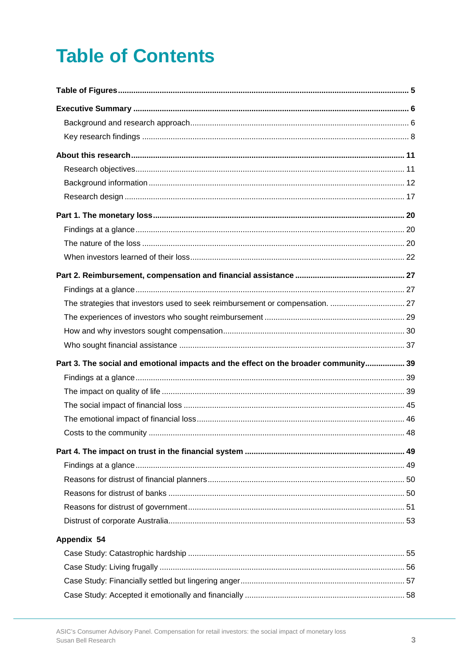# **Table of Contents**

| Part 3. The social and emotional impacts and the effect on the broader community 39 |  |
|-------------------------------------------------------------------------------------|--|
|                                                                                     |  |
|                                                                                     |  |
|                                                                                     |  |
|                                                                                     |  |
|                                                                                     |  |
|                                                                                     |  |
|                                                                                     |  |
|                                                                                     |  |
|                                                                                     |  |
|                                                                                     |  |
|                                                                                     |  |
| Appendix 54                                                                         |  |
|                                                                                     |  |
|                                                                                     |  |
|                                                                                     |  |
|                                                                                     |  |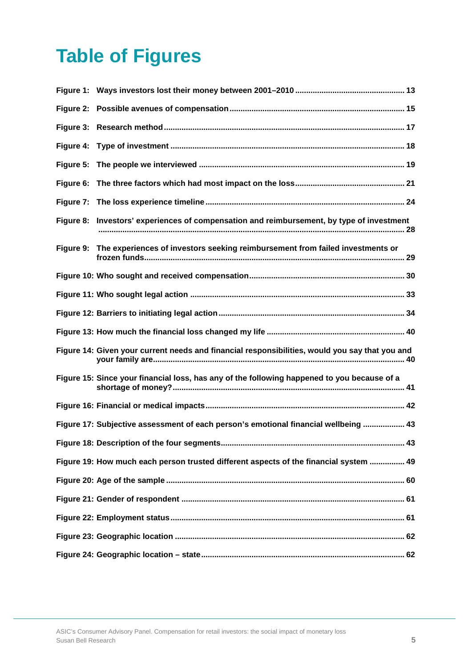# <span id="page-5-0"></span>**Table of Figures**

| Figure 2: |                                                                                                |
|-----------|------------------------------------------------------------------------------------------------|
| Figure 3: |                                                                                                |
| Figure 4: |                                                                                                |
| Figure 5: |                                                                                                |
| Figure 6: |                                                                                                |
| Figure 7: |                                                                                                |
|           | Figure 8: Investors' experiences of compensation and reimbursement, by type of investment      |
|           | Figure 9: The experiences of investors seeking reimbursement from failed investments or        |
|           |                                                                                                |
|           |                                                                                                |
|           |                                                                                                |
|           |                                                                                                |
|           | Figure 14: Given your current needs and financial responsibilities, would you say that you and |
|           | Figure 15: Since your financial loss, has any of the following happened to you because of a    |
|           |                                                                                                |
|           |                                                                                                |
|           | Figure 17: Subjective assessment of each person's emotional financial wellbeing  43            |
|           |                                                                                                |
|           | Figure 19: How much each person trusted different aspects of the financial system  49          |
|           |                                                                                                |
|           |                                                                                                |
|           |                                                                                                |
|           |                                                                                                |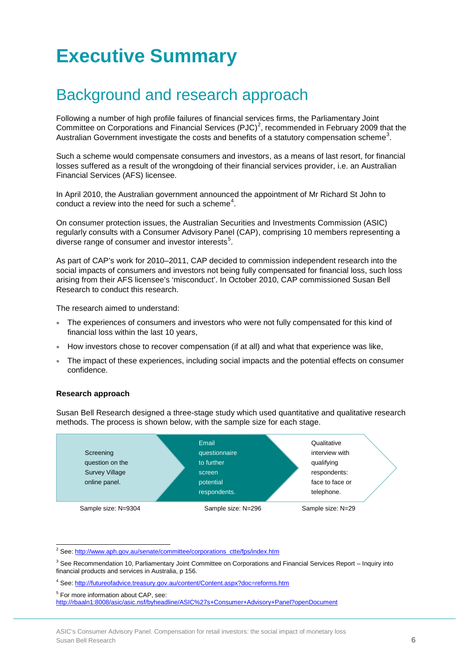# <span id="page-6-0"></span>**Executive Summary**

## <span id="page-6-1"></span>Background and research approach

Following a number of high profile failures of financial services firms, the Parliamentary Joint Committee on Corporations and Financial Services  $(PLC)^2$  $(PLC)^2$ , recommended in February 2009 that the Australian Government investigate the costs and benefits of a statutory compensation scheme<sup>[3](#page-6-2)</sup>.

Such a scheme would compensate consumers and investors, as a means of last resort, for financial losses suffered as a result of the wrongdoing of their financial services provider, i.e. an Australian Financial Services (AFS) licensee.

In April 2010, the Australian government announced the appointment of Mr Richard St John to conduct a review into the need for such a scheme<sup>[4](#page-6-3)</sup>.

On consumer protection issues, the Australian Securities and Investments Commission (ASIC) regularly consults with a Consumer Advisory Panel (CAP), comprising 10 members representing a diverse range of consumer and investor interests $<sup>5</sup>$  $<sup>5</sup>$  $<sup>5</sup>$ .</sup>

As part of CAP's work for 2010–2011, CAP decided to commission independent research into the social impacts of consumers and investors not being fully compensated for financial loss, such loss arising from their AFS licensee's 'misconduct'. In October 2010, CAP commissioned Susan Bell Research to conduct this research.

The research aimed to understand:

- The experiences of consumers and investors who were not fully compensated for this kind of financial loss within the last 10 years,
- How investors chose to recover compensation (if at all) and what that experience was like,
- The impact of these experiences, including social impacts and the potential effects on consumer confidence.

#### **Research approach**

Susan Bell Research designed a three-stage study which used quantitative and qualitative research methods. The process is shown below, with the sample size for each stage.



<sup>2</sup> See: http://www.aph.gov.au/senate/committee/corporations\_ctte/fps/index.htm

 $\overline{a}$ 

<span id="page-6-2"></span><sup>&</sup>lt;sup>3</sup> See Recommendation 10, Parliamentary Joint Committee on Corporations and Financial Services Report – Inquiry into financial products and services in Australia, p 156.

<span id="page-6-3"></span><sup>4</sup> See[: http://futureofadvice.treasury.gov.au/content/Content.aspx?doc=reforms.htm](http://futureofadvice.treasury.gov.au/content/Content.aspx?doc=reforms.htm) 

<sup>5</sup> For more information about CAP, see:

<span id="page-6-4"></span><http://rbaaln1:8008/asic/asic.nsf/byheadline/ASIC%27s+Consumer+Advisory+Panel?openDocument>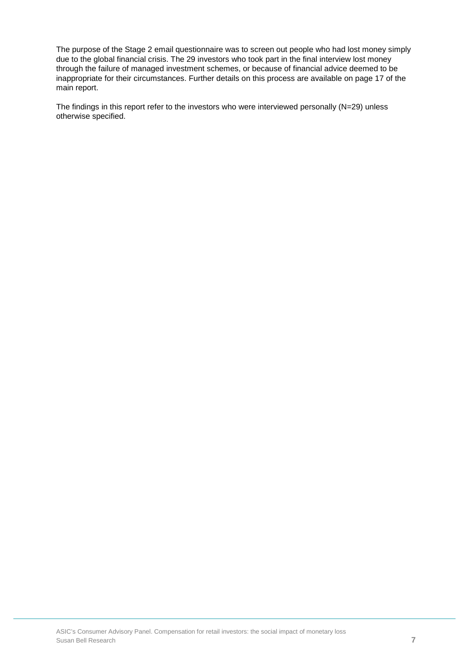The purpose of the Stage 2 email questionnaire was to screen out people who had lost money simply due to the global financial crisis. The 29 investors who took part in the final interview lost money through the failure of managed investment schemes, or because of financial advice deemed to be inappropriate for their circumstances. Further details on this process are available on page 17 of the main report.

The findings in this report refer to the investors who were interviewed personally (N=29) unless otherwise specified.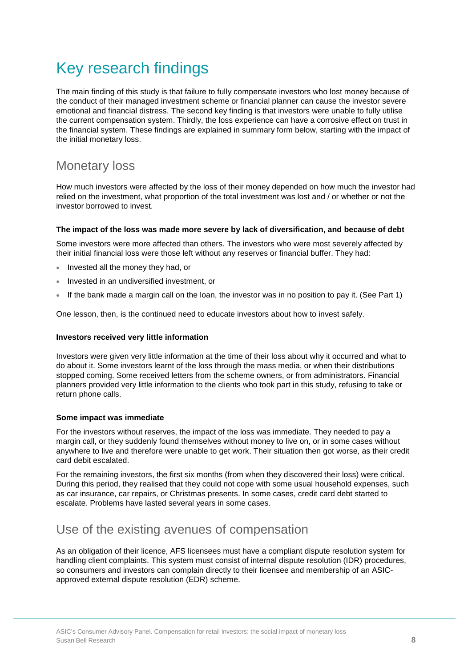## <span id="page-8-0"></span>Key research findings

The main finding of this study is that failure to fully compensate investors who lost money because of the conduct of their managed investment scheme or financial planner can cause the investor severe emotional and financial distress. The second key finding is that investors were unable to fully utilise the current compensation system. Thirdly, the loss experience can have a corrosive effect on trust in the financial system. These findings are explained in summary form below, starting with the impact of the initial monetary loss.

## Monetary loss

How much investors were affected by the loss of their money depended on how much the investor had relied on the investment, what proportion of the total investment was lost and / or whether or not the investor borrowed to invest.

### **The impact of the loss was made more severe by lack of diversification, and because of debt**

Some investors were more affected than others. The investors who were most severely affected by their initial financial loss were those left without any reserves or financial buffer. They had:

- Invested all the money they had, or
- Invested in an undiversified investment, or
- If the bank made a margin call on the loan, the investor was in no position to pay it. (See Part 1)

One lesson, then, is the continued need to educate investors about how to invest safely.

### **Investors received very little information**

Investors were given very little information at the time of their loss about why it occurred and what to do about it. Some investors learnt of the loss through the mass media, or when their distributions stopped coming. Some received letters from the scheme owners, or from administrators. Financial planners provided very little information to the clients who took part in this study, refusing to take or return phone calls.

### **Some impact was immediate**

For the investors without reserves, the impact of the loss was immediate. They needed to pay a margin call, or they suddenly found themselves without money to live on, or in some cases without anywhere to live and therefore were unable to get work. Their situation then got worse, as their credit card debit escalated.

For the remaining investors, the first six months (from when they discovered their loss) were critical. During this period, they realised that they could not cope with some usual household expenses, such as car insurance, car repairs, or Christmas presents. In some cases, credit card debt started to escalate. Problems have lasted several years in some cases.

## Use of the existing avenues of compensation

As an obligation of their licence, AFS licensees must have a compliant dispute resolution system for handling client complaints. This system must consist of internal dispute resolution (IDR) procedures, so consumers and investors can complain directly to their licensee and membership of an ASICapproved external dispute resolution (EDR) scheme.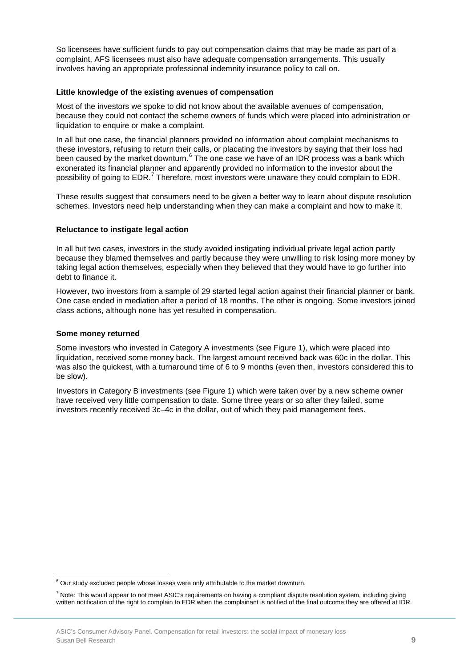So licensees have sufficient funds to pay out compensation claims that may be made as part of a complaint, AFS licensees must also have adequate compensation arrangements. This usually involves having an appropriate professional indemnity insurance policy to call on.

#### **Little knowledge of the existing avenues of compensation**

Most of the investors we spoke to did not know about the available avenues of compensation, because they could not contact the scheme owners of funds which were placed into administration or liquidation to enquire or make a complaint.

In all but one case, the financial planners provided no information about complaint mechanisms to these investors, refusing to return their calls, or placating the investors by saying that their loss had been caused by the market downturn.<sup>[6](#page-6-3)</sup> The one case we have of an IDR process was a bank which exonerated its financial planner and apparently provided no information to the investor about the possibility of going to EDR.<sup>[7](#page-9-0)</sup> Therefore, most investors were unaware they could complain to EDR.

These results suggest that consumers need to be given a better way to learn about dispute resolution schemes. Investors need help understanding when they can make a complaint and how to make it.

### **Reluctance to instigate legal action**

In all but two cases, investors in the study avoided instigating individual private legal action partly because they blamed themselves and partly because they were unwilling to risk losing more money by taking legal action themselves, especially when they believed that they would have to go further into debt to finance it.

However, two investors from a sample of 29 started legal action against their financial planner or bank. One case ended in mediation after a period of 18 months. The other is ongoing. Some investors joined class actions, although none has yet resulted in compensation.

#### **Some money returned**

<span id="page-9-1"></span>ŧ

Some investors who invested in Category A investments (see Figure 1), which were placed into liquidation, received some money back. The largest amount received back was 60c in the dollar. This was also the quickest, with a turnaround time of 6 to 9 months (even then, investors considered this to be slow).

Investors in Category B investments (see Figure 1) which were taken over by a new scheme owner have received very little compensation to date. Some three years or so after they failed, some investors recently received 3c–4c in the dollar, out of which they paid management fees.

 $6$  Our study excluded people whose losses were only attributable to the market downturn.

<span id="page-9-0"></span> $^7$  Note: This would appear to not meet ASIC's requirements on having a compliant dispute resolution system, including giving written notification of the right to complain to EDR when the complainant is notified of the final outcome they are offered at IDR.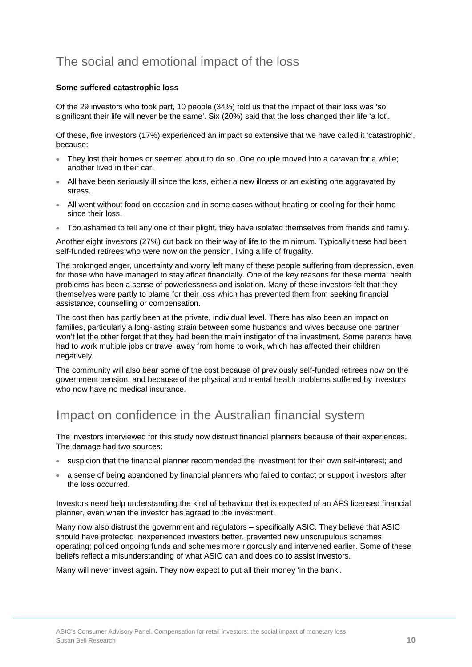## The social and emotional impact of the loss

### **Some suffered catastrophic loss**

Of the 29 investors who took part, 10 people (34%) told us that the impact of their loss was 'so significant their life will never be the same'. Six (20%) said that the loss changed their life 'a lot'.

Of these, five investors (17%) experienced an impact so extensive that we have called it 'catastrophic', because:

- They lost their homes or seemed about to do so. One couple moved into a caravan for a while; another lived in their car.
- All have been seriously ill since the loss, either a new illness or an existing one aggravated by stress.
- All went without food on occasion and in some cases without heating or cooling for their home since their loss.
- Too ashamed to tell any one of their plight, they have isolated themselves from friends and family.

Another eight investors (27%) cut back on their way of life to the minimum. Typically these had been self-funded retirees who were now on the pension, living a life of frugality.

The prolonged anger, uncertainty and worry left many of these people suffering from depression, even for those who have managed to stay afloat financially. One of the key reasons for these mental health problems has been a sense of powerlessness and isolation. Many of these investors felt that they themselves were partly to blame for their loss which has prevented them from seeking financial assistance, counselling or compensation.

The cost then has partly been at the private, individual level. There has also been an impact on families, particularly a long-lasting strain between some husbands and wives because one partner won't let the other forget that they had been the main instigator of the investment. Some parents have had to work multiple jobs or travel away from home to work, which has affected their children negatively.

The community will also bear some of the cost because of previously self-funded retirees now on the government pension, and because of the physical and mental health problems suffered by investors who now have no medical insurance.

## Impact on confidence in the Australian financial system

The investors interviewed for this study now distrust financial planners because of their experiences. The damage had two sources:

- suspicion that the financial planner recommended the investment for their own self-interest; and
- a sense of being abandoned by financial planners who failed to contact or support investors after the loss occurred.

Investors need help understanding the kind of behaviour that is expected of an AFS licensed financial planner, even when the investor has agreed to the investment.

Many now also distrust the government and regulators – specifically ASIC. They believe that ASIC should have protected inexperienced investors better, prevented new unscrupulous schemes operating; policed ongoing funds and schemes more rigorously and intervened earlier. Some of these beliefs reflect a misunderstanding of what ASIC can and does do to assist investors.

Many will never invest again. They now expect to put all their money 'in the bank'.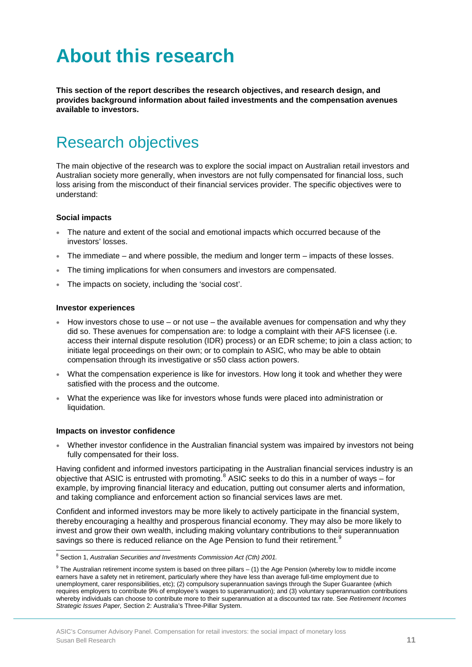# <span id="page-11-0"></span>**About this research**

**This section of the report describes the research objectives, and research design, and provides background information about failed investments and the compensation avenues available to investors.**

## <span id="page-11-1"></span>Research objectives

The main objective of the research was to explore the social impact on Australian retail investors and Australian society more generally, when investors are not fully compensated for financial loss, such loss arising from the misconduct of their financial services provider. The specific objectives were to understand:

### **Social impacts**

- The nature and extent of the social and emotional impacts which occurred because of the investors' losses.
- The immediate and where possible, the medium and longer term impacts of these losses.
- The timing implications for when consumers and investors are compensated.
- The impacts on society, including the 'social cost'.

#### **Investor experiences**

- How investors chose to use or not use the available avenues for compensation and why they did so. These avenues for compensation are: to lodge a complaint with their AFS licensee (i.e. access their internal dispute resolution (IDR) process) or an EDR scheme; to join a class action; to initiate legal proceedings on their own; or to complain to ASIC, who may be able to obtain compensation through its investigative or s50 class action powers.
- What the compensation experience is like for investors. How long it took and whether they were satisfied with the process and the outcome.
- What the experience was like for investors whose funds were placed into administration or liquidation.

#### **Impacts on investor confidence**

• Whether investor confidence in the Australian financial system was impaired by investors not being fully compensated for their loss.

Having confident and informed investors participating in the Australian financial services industry is an objective that ASIC is entrusted with promoting.<sup>[8](#page-9-1)</sup> ASIC seeks to do this in a number of ways – for example, by improving financial literacy and education, putting out consumer alerts and information, and taking compliance and enforcement action so financial services laws are met.

Confident and informed investors may be more likely to actively participate in the financial system, thereby encouraging a healthy and prosperous financial economy. They may also be more likely to invest and grow their own wealth, including making voluntary contributions to their superannuation savings so there is reduced reliance on the Age Pension to fund their retirement.<sup>[9](#page-11-2)</sup>

 $\overline{a}$ <sup>8</sup> Section 1, *Australian Securities and Investments Commission Act (Cth) 2001.*

<span id="page-11-3"></span><span id="page-11-2"></span> $9$  The Australian retirement income system is based on three pillars – (1) the Age Pension (whereby low to middle income earners have a safety net in retirement, particularly where they have less than average full-time employment due to unemployment, carer responsibilities, etc); (2) compulsory superannuation savings through the Super Guarantee (which requires employers to contribute 9% of employee's wages to superannuation); and (3) voluntary superannuation contributions whereby individuals can choose to contribute more to their superannuation at a discounted tax rate. See *Retirement Incomes Strategic Issues Paper,* Section 2: Australia's Three-Pillar System.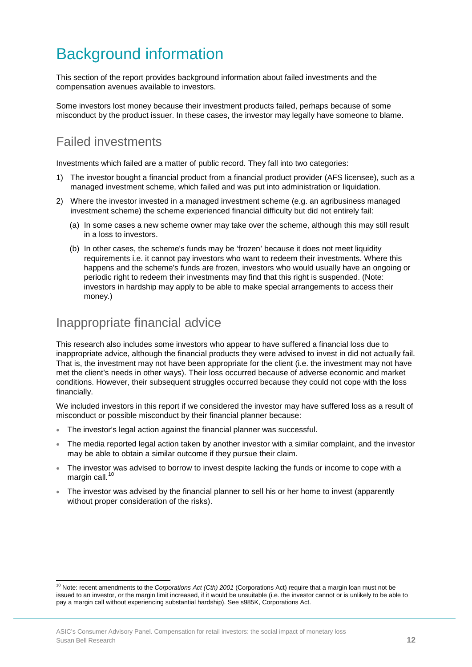## <span id="page-12-0"></span>Background information

This section of the report provides background information about failed investments and the compensation avenues available to investors.

Some investors lost money because their investment products failed, perhaps because of some misconduct by the product issuer. In these cases, the investor may legally have someone to blame.

## Failed investments

Investments which failed are a matter of public record. They fall into two categories:

- 1) The investor bought a financial product from a financial product provider (AFS licensee), such as a managed investment scheme, which failed and was put into administration or liquidation.
- 2) Where the investor invested in a managed investment scheme (e.g. an agribusiness managed investment scheme) the scheme experienced financial difficulty but did not entirely fail:
	- (a) In some cases a new scheme owner may take over the scheme, although this may still result in a loss to investors.
	- (b) In other cases, the scheme's funds may be 'frozen' because it does not meet liquidity requirements i.e. it cannot pay investors who want to redeem their investments. Where this happens and the scheme's funds are frozen, investors who would usually have an ongoing or periodic right to redeem their investments may find that this right is suspended. (Note: investors in hardship may apply to be able to make special arrangements to access their money.)

## Inappropriate financial advice

This research also includes some investors who appear to have suffered a financial loss due to inappropriate advice, although the financial products they were advised to invest in did not actually fail. That is, the investment may not have been appropriate for the client (i.e. the investment may not have met the client's needs in other ways). Their loss occurred because of adverse economic and market conditions. However, their subsequent struggles occurred because they could not cope with the loss financially.

We included investors in this report if we considered the investor may have suffered loss as a result of misconduct or possible misconduct by their financial planner because:

- The investor's legal action against the financial planner was successful.
- The media reported legal action taken by another investor with a similar complaint, and the investor may be able to obtain a similar outcome if they pursue their claim.
- The investor was advised to borrow to invest despite lacking the funds or income to cope with a margin call.<sup>[10](#page-11-3)</sup>
- The investor was advised by the financial planner to sell his or her home to invest (apparently without proper consideration of the risks).

<span id="page-12-1"></span>ŧ <sup>10</sup> Note: recent amendments to the *Corporations Act (Cth) 2001* (Corporations Act) require that a margin loan must not be issued to an investor, or the margin limit increased, if it would be unsuitable (i.e. the investor cannot or is unlikely to be able to pay a margin call without experiencing substantial hardship). See s985K, Corporations Act.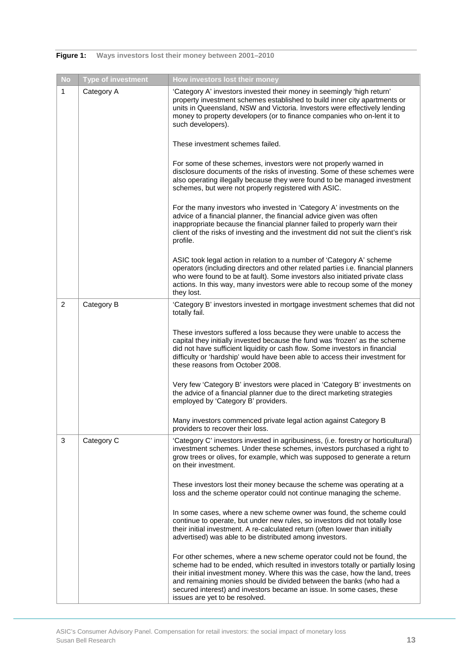| <b>No</b>      | <b>Type of investment</b> | How investors lost their money                                                                                                                                                                                                                                                                                                                                                                                              |
|----------------|---------------------------|-----------------------------------------------------------------------------------------------------------------------------------------------------------------------------------------------------------------------------------------------------------------------------------------------------------------------------------------------------------------------------------------------------------------------------|
| 1              | Category A                | 'Category A' investors invested their money in seemingly 'high return'<br>property investment schemes established to build inner city apartments or<br>units in Queensland, NSW and Victoria. Investors were effectively lending<br>money to property developers (or to finance companies who on-lent it to<br>such developers).                                                                                            |
|                |                           | These investment schemes failed.                                                                                                                                                                                                                                                                                                                                                                                            |
|                |                           | For some of these schemes, investors were not properly warned in<br>disclosure documents of the risks of investing. Some of these schemes were<br>also operating illegally because they were found to be managed investment<br>schemes, but were not properly registered with ASIC.                                                                                                                                         |
|                |                           | For the many investors who invested in 'Category A' investments on the<br>advice of a financial planner, the financial advice given was often<br>inappropriate because the financial planner failed to properly warn their<br>client of the risks of investing and the investment did not suit the client's risk<br>profile.                                                                                                |
|                |                           | ASIC took legal action in relation to a number of 'Category A' scheme<br>operators (including directors and other related parties i.e. financial planners<br>who were found to be at fault). Some investors also initiated private class<br>actions. In this way, many investors were able to recoup some of the money<br>they lost.                                                                                        |
| $\overline{2}$ | Category B                | 'Category B' investors invested in mortgage investment schemes that did not<br>totally fail.                                                                                                                                                                                                                                                                                                                                |
|                |                           | These investors suffered a loss because they were unable to access the<br>capital they initially invested because the fund was 'frozen' as the scheme<br>did not have sufficient liquidity or cash flow. Some investors in financial<br>difficulty or 'hardship' would have been able to access their investment for<br>these reasons from October 2008.                                                                    |
|                |                           | Very few 'Category B' investors were placed in 'Category B' investments on<br>the advice of a financial planner due to the direct marketing strategies<br>employed by 'Category B' providers.                                                                                                                                                                                                                               |
|                |                           | Many investors commenced private legal action against Category B<br>providers to recover their loss.                                                                                                                                                                                                                                                                                                                        |
| 3              | Category C                | 'Category C' investors invested in agribusiness, (i.e. forestry or horticultural)<br>investment schemes. Under these schemes, investors purchased a right to<br>grow trees or olives, for example, which was supposed to generate a return<br>on their investment.                                                                                                                                                          |
|                |                           | These investors lost their money because the scheme was operating at a<br>loss and the scheme operator could not continue managing the scheme.                                                                                                                                                                                                                                                                              |
|                |                           | In some cases, where a new scheme owner was found, the scheme could<br>continue to operate, but under new rules, so investors did not totally lose<br>their initial investment. A re-calculated return (often lower than initially<br>advertised) was able to be distributed among investors.                                                                                                                               |
|                |                           | For other schemes, where a new scheme operator could not be found, the<br>scheme had to be ended, which resulted in investors totally or partially losing<br>their initial investment money. Where this was the case, how the land, trees<br>and remaining monies should be divided between the banks (who had a<br>secured interest) and investors became an issue. In some cases, these<br>issues are yet to be resolved. |

### <span id="page-13-0"></span>**Figure 1: Ways investors lost their money between 2001–2010**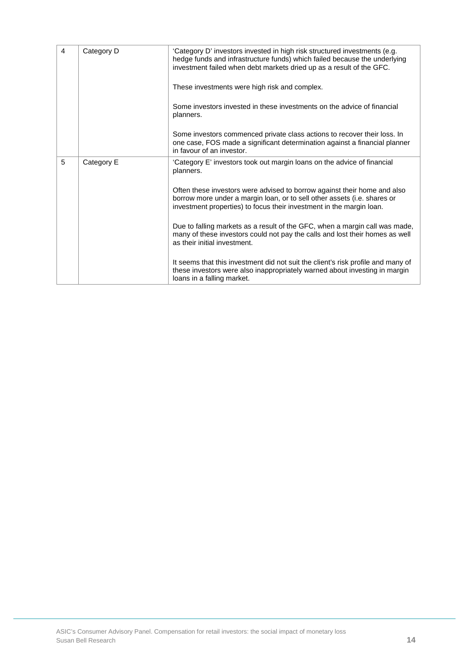| $\overline{4}$ | Category D | 'Category D' investors invested in high risk structured investments (e.g.<br>hedge funds and infrastructure funds) which failed because the underlying<br>investment failed when debt markets dried up as a result of the GFC. |
|----------------|------------|--------------------------------------------------------------------------------------------------------------------------------------------------------------------------------------------------------------------------------|
|                |            | These investments were high risk and complex.                                                                                                                                                                                  |
|                |            | Some investors invested in these investments on the advice of financial<br>planners.                                                                                                                                           |
|                |            | Some investors commenced private class actions to recover their loss. In<br>one case, FOS made a significant determination against a financial planner<br>in favour of an investor.                                            |
| 5              | Category E | 'Category E' investors took out margin loans on the advice of financial<br>planners.                                                                                                                                           |
|                |            | Often these investors were advised to borrow against their home and also<br>borrow more under a margin loan, or to sell other assets (i.e. shares or<br>investment properties) to focus their investment in the margin loan.   |
|                |            | Due to falling markets as a result of the GFC, when a margin call was made,<br>many of these investors could not pay the calls and lost their homes as well<br>as their initial investment.                                    |
|                |            | It seems that this investment did not suit the client's risk profile and many of<br>these investors were also inappropriately warned about investing in margin<br>loans in a falling market.                                   |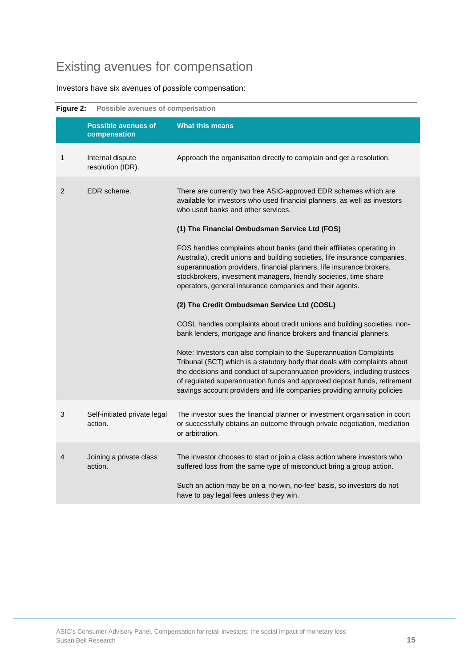## Existing avenues for compensation

Investors have six avenues of possible compensation:

<span id="page-15-0"></span>

| Figure 2:<br><b>Possible avenues of compensation</b> |                                            |                                                                                                                                                                                                                                                                                                                                                                                     |  |
|------------------------------------------------------|--------------------------------------------|-------------------------------------------------------------------------------------------------------------------------------------------------------------------------------------------------------------------------------------------------------------------------------------------------------------------------------------------------------------------------------------|--|
|                                                      | <b>Possible avenues of</b><br>compensation | <b>What this means</b>                                                                                                                                                                                                                                                                                                                                                              |  |
| 1                                                    | Internal dispute<br>resolution (IDR).      | Approach the organisation directly to complain and get a resolution.                                                                                                                                                                                                                                                                                                                |  |
| EDR scheme.<br>2                                     |                                            | There are currently two free ASIC-approved EDR schemes which are<br>available for investors who used financial planners, as well as investors<br>who used banks and other services.                                                                                                                                                                                                 |  |
|                                                      |                                            | (1) The Financial Ombudsman Service Ltd (FOS)                                                                                                                                                                                                                                                                                                                                       |  |
|                                                      |                                            | FOS handles complaints about banks (and their affiliates operating in<br>Australia), credit unions and building societies, life insurance companies,<br>superannuation providers, financial planners, life insurance brokers,<br>stockbrokers, investment managers, friendly societies, time share<br>operators, general insurance companies and their agents.                      |  |
|                                                      |                                            | (2) The Credit Ombudsman Service Ltd (COSL)                                                                                                                                                                                                                                                                                                                                         |  |
|                                                      |                                            | COSL handles complaints about credit unions and building societies, non-<br>bank lenders, mortgage and finance brokers and financial planners.                                                                                                                                                                                                                                      |  |
|                                                      |                                            | Note: Investors can also complain to the Superannuation Complaints<br>Tribunal (SCT) which is a statutory body that deals with complaints about<br>the decisions and conduct of superannuation providers, including trustees<br>of regulated superannuation funds and approved deposit funds, retirement<br>savings account providers and life companies providing annuity policies |  |
| 3                                                    | Self-initiated private legal<br>action.    | The investor sues the financial planner or investment organisation in court<br>or successfully obtains an outcome through private negotiation, mediation<br>or arbitration.                                                                                                                                                                                                         |  |
| 4                                                    | Joining a private class<br>action.         | The investor chooses to start or join a class action where investors who<br>suffered loss from the same type of misconduct bring a group action.                                                                                                                                                                                                                                    |  |
|                                                      |                                            | Such an action may be on a 'no-win, no-fee' basis, so investors do not<br>have to pay legal fees unless they win.                                                                                                                                                                                                                                                                   |  |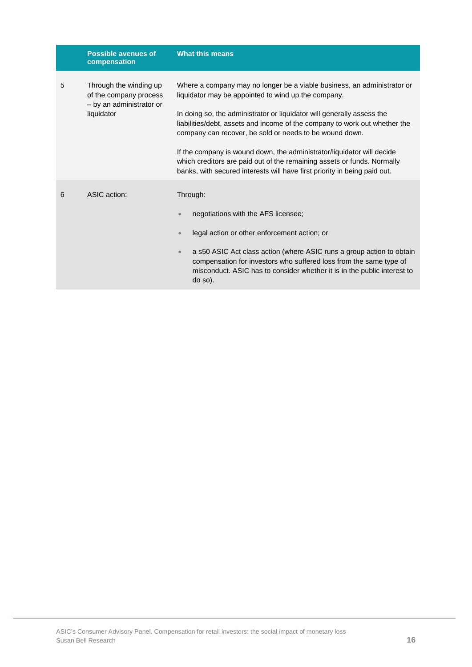|   | <b>Possible avenues of</b><br>compensation                                                 | <b>What this means</b>                                                                                                                                                                                                                                                                                                                                                                                                                                                                                                                                                              |  |
|---|--------------------------------------------------------------------------------------------|-------------------------------------------------------------------------------------------------------------------------------------------------------------------------------------------------------------------------------------------------------------------------------------------------------------------------------------------------------------------------------------------------------------------------------------------------------------------------------------------------------------------------------------------------------------------------------------|--|
| 5 | Through the winding up<br>of the company process<br>- by an administrator or<br>liquidator | Where a company may no longer be a viable business, an administrator or<br>liquidator may be appointed to wind up the company.<br>In doing so, the administrator or liquidator will generally assess the<br>liabilities/debt, assets and income of the company to work out whether the<br>company can recover, be sold or needs to be wound down.<br>If the company is wound down, the administrator/liquidator will decide<br>which creditors are paid out of the remaining assets or funds. Normally<br>banks, with secured interests will have first priority in being paid out. |  |
| 6 | ASIC action:                                                                               | Through:<br>negotiations with the AFS licensee;<br>$\bullet$<br>legal action or other enforcement action; or<br>$\bullet$<br>a s50 ASIC Act class action (where ASIC runs a group action to obtain<br>$\bullet$<br>compensation for investors who suffered loss from the same type of<br>misconduct. ASIC has to consider whether it is in the public interest to<br>do so).                                                                                                                                                                                                        |  |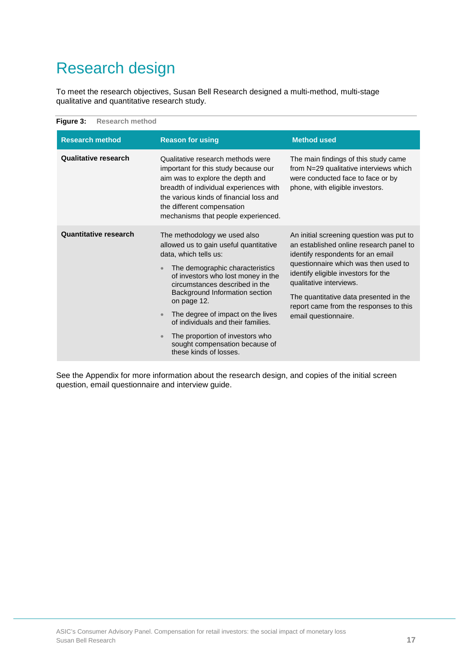## <span id="page-17-0"></span>Research design

To meet the research objectives, Susan Bell Research designed a multi-method, multi-stage qualitative and quantitative research study.

<span id="page-17-1"></span>

| Figure 3:<br><b>Research method</b> |                                                                                                                                                                                                                                                                                                  |                                                                                                                                                                                                                                                                                                                        |
|-------------------------------------|--------------------------------------------------------------------------------------------------------------------------------------------------------------------------------------------------------------------------------------------------------------------------------------------------|------------------------------------------------------------------------------------------------------------------------------------------------------------------------------------------------------------------------------------------------------------------------------------------------------------------------|
| <b>Research method</b>              | <b>Reason for using</b>                                                                                                                                                                                                                                                                          | <b>Method used</b>                                                                                                                                                                                                                                                                                                     |
| <b>Qualitative research</b>         | Qualitative research methods were<br>important for this study because our<br>aim was to explore the depth and<br>breadth of individual experiences with<br>the various kinds of financial loss and<br>the different compensation<br>mechanisms that people experienced.                          | The main findings of this study came<br>from N=29 qualitative interviews which<br>were conducted face to face or by<br>phone, with eligible investors.                                                                                                                                                                 |
| <b>Quantitative research</b>        | The methodology we used also<br>allowed us to gain useful quantitative<br>data, which tells us:<br>The demographic characteristics<br>of investors who lost money in the<br>circumstances described in the<br>Background Information section<br>on page 12.<br>The degree of impact on the lives | An initial screening question was put to<br>an established online research panel to<br>identify respondents for an email<br>questionnaire which was then used to<br>identify eligible investors for the<br>qualitative interviews.<br>The quantitative data presented in the<br>report came from the responses to this |
|                                     | of individuals and their families.<br>The proportion of investors who<br>sought compensation because of<br>these kinds of losses.                                                                                                                                                                | email questionnaire.                                                                                                                                                                                                                                                                                                   |

See the Appendix for more information about the research design, and copies of the initial screen question, email questionnaire and interview guide.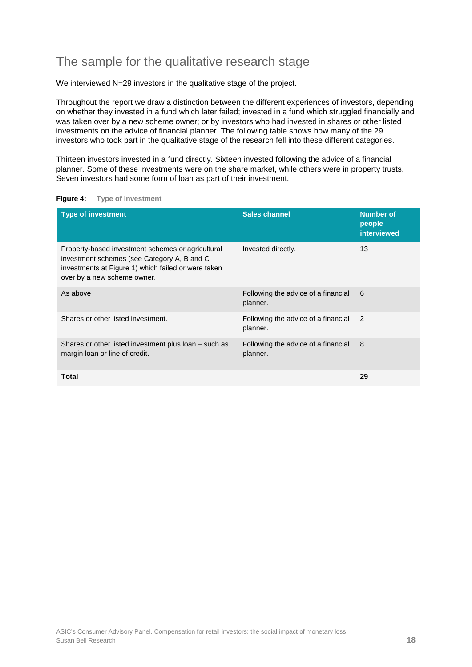## The sample for the qualitative research stage

We interviewed N=29 investors in the qualitative stage of the project.

Throughout the report we draw a distinction between the different experiences of investors, depending on whether they invested in a fund which later failed; invested in a fund which struggled financially and was taken over by a new scheme owner; or by investors who had invested in shares or other listed investments on the advice of financial planner. The following table shows how many of the 29 investors who took part in the qualitative stage of the research fell into these different categories.

Thirteen investors invested in a fund directly. Sixteen invested following the advice of a financial planner. Some of these investments were on the share market, while others were in property trusts. Seven investors had some form of loan as part of their investment.

| <b>Type of investment</b>                                                                                                                                                              | <b>Sales channel</b>                            | <b>Number of</b><br>people<br><b>interviewed</b> |
|----------------------------------------------------------------------------------------------------------------------------------------------------------------------------------------|-------------------------------------------------|--------------------------------------------------|
| Property-based investment schemes or agricultural<br>investment schemes (see Category A, B and C<br>investments at Figure 1) which failed or were taken<br>over by a new scheme owner. | Invested directly.                              | 13                                               |
| As above                                                                                                                                                                               | Following the advice of a financial<br>planner. | 6                                                |
| Shares or other listed investment.                                                                                                                                                     | Following the advice of a financial<br>planner. | $\overline{2}$                                   |
| Shares or other listed investment plus loan – such as<br>margin loan or line of credit.                                                                                                | Following the advice of a financial<br>planner. | 8                                                |
| <b>Total</b>                                                                                                                                                                           |                                                 | 29                                               |

<span id="page-18-0"></span>**Figure 4: Type of investment**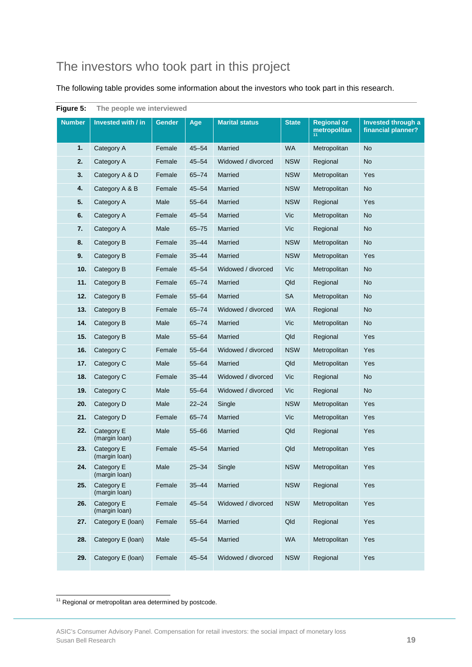## The investors who took part in this project

The following table provides some information about the investors who took part in this research.

| ı ıyuı <del>c</del><br>v. | <b>THE DEADLE ME INTERNED</b> |               |           |                       |              |                                    |                                          |
|---------------------------|-------------------------------|---------------|-----------|-----------------------|--------------|------------------------------------|------------------------------------------|
| <b>Number</b>             | Invested with / in            | <b>Gender</b> | Age       | <b>Marital status</b> | <b>State</b> | <b>Regional or</b><br>metropolitan | Invested through a<br>financial planner? |
| 1.                        | Category A                    | Female        | $45 - 54$ | Married               | <b>WA</b>    | Metropolitan                       | <b>No</b>                                |
| 2.                        | Category A                    | Female        | $45 - 54$ | Widowed / divorced    | <b>NSW</b>   | Regional                           | <b>No</b>                                |
| 3.                        | Category A & D                | Female        | $65 - 74$ | Married               | <b>NSW</b>   | Metropolitan                       | Yes                                      |
| 4.                        | Category A & B                | Female        | $45 - 54$ | Married               | <b>NSW</b>   | Metropolitan                       | <b>No</b>                                |
| 5.                        | Category A                    | Male          | $55 - 64$ | Married               | <b>NSW</b>   | Regional                           | Yes                                      |
| 6.                        | Category A                    | Female        | $45 - 54$ | Married               | Vic          | Metropolitan                       | <b>No</b>                                |
| 7.                        | Category A                    | Male          | $65 - 75$ | Married               | Vic          | Regional                           | <b>No</b>                                |
| 8.                        | Category B                    | Female        | $35 - 44$ | Married               | <b>NSW</b>   | Metropolitan                       | <b>No</b>                                |
| 9.                        | Category B                    | Female        | $35 - 44$ | Married               | <b>NSW</b>   | Metropolitan                       | Yes                                      |
| 10.                       | Category B                    | Female        | $45 - 54$ | Widowed / divorced    | Vic          | Metropolitan                       | <b>No</b>                                |
| 11.                       | Category B                    | Female        | $65 - 74$ | Married               | Qld          | Regional                           | <b>No</b>                                |
| 12.                       | Category B                    | Female        | $55 - 64$ | Married               | SA           | Metropolitan                       | <b>No</b>                                |
| 13.                       | Category B                    | Female        | $65 - 74$ | Widowed / divorced    | <b>WA</b>    | Regional                           | <b>No</b>                                |
| 14.                       | Category B                    | Male          | $65 - 74$ | Married               | Vic          | Metropolitan                       | <b>No</b>                                |
| 15.                       | Category B                    | Male          | $55 - 64$ | Married               | Qld          | Regional                           | Yes                                      |
| 16.                       | Category C                    | Female        | $55 - 64$ | Widowed / divorced    | <b>NSW</b>   | Metropolitan                       | Yes                                      |
| 17.                       | Category C                    | Male          | $55 - 64$ | Married               | Qld          | Metropolitan                       | Yes                                      |
| 18.                       | Category C                    | Female        | $35 - 44$ | Widowed / divorced    | Vic          | Regional                           | <b>No</b>                                |
| 19.                       | Category C                    | Male          | $55 - 64$ | Widowed / divorced    | Vic          | Regional                           | <b>No</b>                                |
| 20.                       | Category D                    | Male          | $22 - 24$ | Single                | <b>NSW</b>   | Metropolitan                       | Yes                                      |
| 21.                       | Category D                    | Female        | $65 - 74$ | Married               | Vic          | Metropolitan                       | Yes                                      |
| 22.                       | Category E<br>(margin loan)   | Male          | $55 - 66$ | Married               | Qld          | Regional                           | Yes                                      |
| 23.                       | Category E<br>(margin loan)   | Female        | $45 - 54$ | Married               | Qld          | Metropolitan                       | Yes                                      |
| 24.                       | Category E<br>(margin loan)   | Male          | $25 - 34$ | Single                | <b>NSW</b>   | Metropolitan                       | Yes                                      |
| 25.                       | Category E<br>(margin loan)   | Female        | $35 - 44$ | Married               | <b>NSW</b>   | Regional                           | Yes                                      |
| 26.                       | Category E<br>(margin loan)   | Female        | $45 - 54$ | Widowed / divorced    | <b>NSW</b>   | Metropolitan                       | Yes                                      |
| 27.                       | Category E (Ioan)             | Female        | $55 - 64$ | Married               | Qld          | Regional                           | Yes                                      |
| 28.                       | Category E (Ioan)             | Male          | $45 - 54$ | Married               | <b>WA</b>    | Metropolitan                       | Yes                                      |
| 29.                       | Category E (Ioan)             | Female        | $45 - 54$ | Widowed / divorced    | <b>NSW</b>   | Regional                           | Yes                                      |

<span id="page-19-0"></span>**Figure 5: The people we interviewed**

<span id="page-19-1"></span>ŧ <sup>11</sup> Regional or metropolitan area determined by postcode.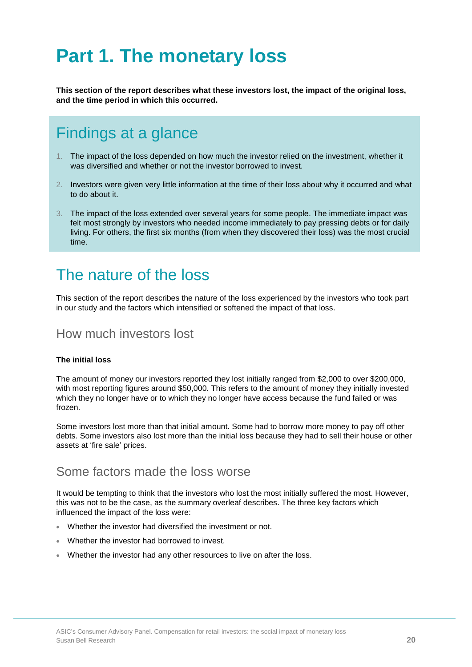# <span id="page-20-0"></span>**Part 1. The monetary loss**

**This section of the report describes what these investors lost, the impact of the original loss, and the time period in which this occurred.** 

## <span id="page-20-1"></span>Findings at a glance

- 1. The impact of the loss depended on how much the investor relied on the investment, whether it was diversified and whether or not the investor borrowed to invest.
- 2. Investors were given very little information at the time of their loss about why it occurred and what to do about it.
- 3. The impact of the loss extended over several years for some people. The immediate impact was felt most strongly by investors who needed income immediately to pay pressing debts or for daily living. For others, the first six months (from when they discovered their loss) was the most crucial time.

## <span id="page-20-2"></span>The nature of the loss

This section of the report describes the nature of the loss experienced by the investors who took part in our study and the factors which intensified or softened the impact of that loss.

## How much investors lost

### **The initial loss**

The amount of money our investors reported they lost initially ranged from \$2,000 to over \$200,000, with most reporting figures around \$50,000. This refers to the amount of money they initially invested which they no longer have or to which they no longer have access because the fund failed or was frozen.

Some investors lost more than that initial amount. Some had to borrow more money to pay off other debts. Some investors also lost more than the initial loss because they had to sell their house or other assets at 'fire sale' prices.

### Some factors made the loss worse

It would be tempting to think that the investors who lost the most initially suffered the most. However, this was not to be the case, as the summary overleaf describes. The three key factors which influenced the impact of the loss were:

- Whether the investor had diversified the investment or not.
- Whether the investor had borrowed to invest.
- Whether the investor had any other resources to live on after the loss.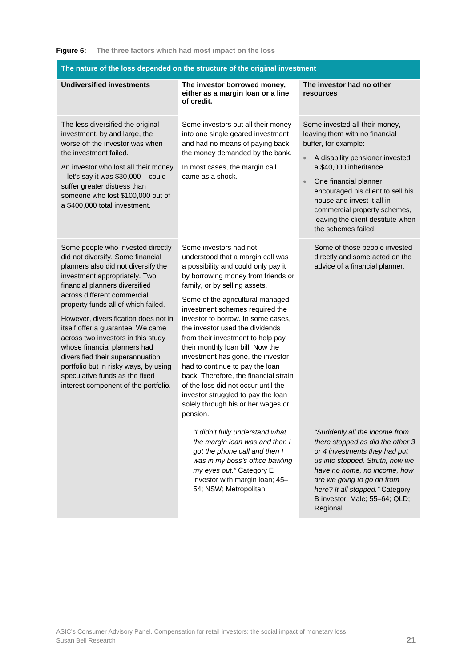### <span id="page-21-0"></span>**Figure 6: The three factors which had most impact on the loss**

| The nature of the loss depended on the structure of the original investment                                                                                                                                                                                                                                                                                                                                                                                                                                                                                      |                                                                                                                                                                                                                                                                                                                                                                                                                                                                                                                                                                                                                                                    |                                                                                                                                                                                                                                                                                                                                                                          |  |  |
|------------------------------------------------------------------------------------------------------------------------------------------------------------------------------------------------------------------------------------------------------------------------------------------------------------------------------------------------------------------------------------------------------------------------------------------------------------------------------------------------------------------------------------------------------------------|----------------------------------------------------------------------------------------------------------------------------------------------------------------------------------------------------------------------------------------------------------------------------------------------------------------------------------------------------------------------------------------------------------------------------------------------------------------------------------------------------------------------------------------------------------------------------------------------------------------------------------------------------|--------------------------------------------------------------------------------------------------------------------------------------------------------------------------------------------------------------------------------------------------------------------------------------------------------------------------------------------------------------------------|--|--|
| <b>Undiversified investments</b>                                                                                                                                                                                                                                                                                                                                                                                                                                                                                                                                 | The investor borrowed money,<br>either as a margin loan or a line<br>of credit.                                                                                                                                                                                                                                                                                                                                                                                                                                                                                                                                                                    | The investor had no other<br><b>resources</b>                                                                                                                                                                                                                                                                                                                            |  |  |
| The less diversified the original<br>investment, by and large, the<br>worse off the investor was when<br>the investment failed.<br>An investor who lost all their money<br>$-$ let's say it was \$30,000 $-$ could<br>suffer greater distress than<br>someone who lost \$100,000 out of<br>a \$400,000 total investment.                                                                                                                                                                                                                                         | Some investors put all their money<br>into one single geared investment<br>and had no means of paying back<br>the money demanded by the bank.<br>In most cases, the margin call<br>came as a shock.                                                                                                                                                                                                                                                                                                                                                                                                                                                | Some invested all their money,<br>leaving them with no financial<br>buffer, for example:<br>A disability pensioner invested<br>$\bullet$<br>a \$40,000 inheritance.<br>One financial planner<br>$\bullet$<br>encouraged his client to sell his<br>house and invest it all in<br>commercial property schemes,<br>leaving the client destitute when<br>the schemes failed. |  |  |
| Some people who invested directly<br>did not diversify. Some financial<br>planners also did not diversify the<br>investment appropriately. Two<br>financial planners diversified<br>across different commercial<br>property funds all of which failed.<br>However, diversification does not in<br>itself offer a guarantee. We came<br>across two investors in this study<br>whose financial planners had<br>diversified their superannuation<br>portfolio but in risky ways, by using<br>speculative funds as the fixed<br>interest component of the portfolio. | Some investors had not<br>understood that a margin call was<br>a possibility and could only pay it<br>by borrowing money from friends or<br>family, or by selling assets.<br>Some of the agricultural managed<br>investment schemes required the<br>investor to borrow. In some cases,<br>the investor used the dividends<br>from their investment to help pay<br>their monthly loan bill. Now the<br>investment has gone, the investor<br>had to continue to pay the loan<br>back. Therefore, the financial strain<br>of the loss did not occur until the<br>investor struggled to pay the loan<br>solely through his or her wages or<br>pension. | Some of those people invested<br>directly and some acted on the<br>advice of a financial planner.                                                                                                                                                                                                                                                                        |  |  |
|                                                                                                                                                                                                                                                                                                                                                                                                                                                                                                                                                                  | "I didn't fully understand what<br>the margin loan was and then I<br>got the phone call and then I<br>was in my boss's office bawling<br>my eyes out." Category E<br>investor with margin loan; 45-<br>54; NSW; Metropolitan                                                                                                                                                                                                                                                                                                                                                                                                                       | "Suddenly all the income from<br>there stopped as did the other 3<br>or 4 investments they had put<br>us into stopped. Struth, now we<br>have no home, no income, how<br>are we going to go on from<br>here? It all stopped." Category<br>B investor; Male; 55-64; QLD;<br>Regional                                                                                      |  |  |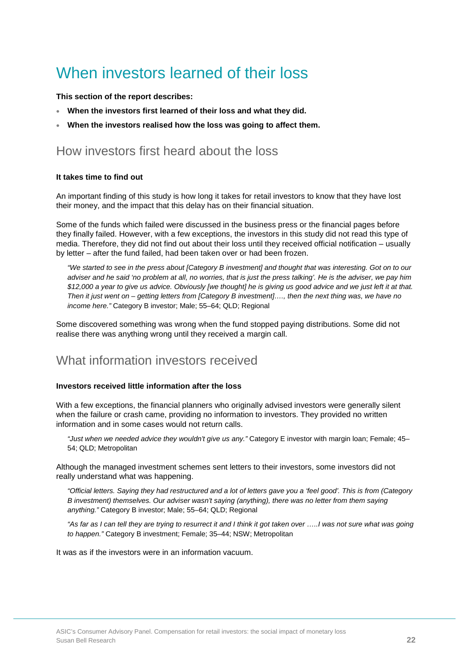## <span id="page-22-0"></span>When investors learned of their loss

### **This section of the report describes:**

- **When the investors first learned of their loss and what they did.**
- **When the investors realised how the loss was going to affect them.**

## How investors first heard about the loss

#### **It takes time to find out**

An important finding of this study is how long it takes for retail investors to know that they have lost their money, and the impact that this delay has on their financial situation.

Some of the funds which failed were discussed in the business press or the financial pages before they finally failed. However, with a few exceptions, the investors in this study did not read this type of media. Therefore, they did not find out about their loss until they received official notification – usually by letter – after the fund failed, had been taken over or had been frozen.

*"We started to see in the press about [Category B investment] and thought that was interesting. Got on to our adviser and he said 'no problem at all, no worries, that is just the press talking'. He is the adviser, we pay him \$12,000 a year to give us advice. Obviously [we thought] he is giving us good advice and we just left it at that. Then it just went on – getting letters from [Category B investment]…., then the next thing was, we have no income here."* Category B investor; Male; 55–64; QLD; Regional

Some discovered something was wrong when the fund stopped paying distributions. Some did not realise there was anything wrong until they received a margin call.

## What information investors received

### **Investors received little information after the loss**

With a few exceptions, the financial planners who originally advised investors were generally silent when the failure or crash came, providing no information to investors. They provided no written information and in some cases would not return calls.

*"Just when we needed advice they wouldn't give us any."* Category E investor with margin loan; Female; 45– 54; QLD; Metropolitan

Although the managed investment schemes sent letters to their investors, some investors did not really understand what was happening.

*"Official letters. Saying they had restructured and a lot of letters gave you a 'feel good'. This is from (Category B investment) themselves. Our adviser wasn't saying (anything), there was no letter from them saying anything."* Category B investor; Male; 55–64; QLD; Regional

*"As far as I can tell they are trying to resurrect it and I think it got taken over …..I was not sure what was going to happen."* Category B investment; Female; 35–44; NSW; Metropolitan

It was as if the investors were in an information vacuum.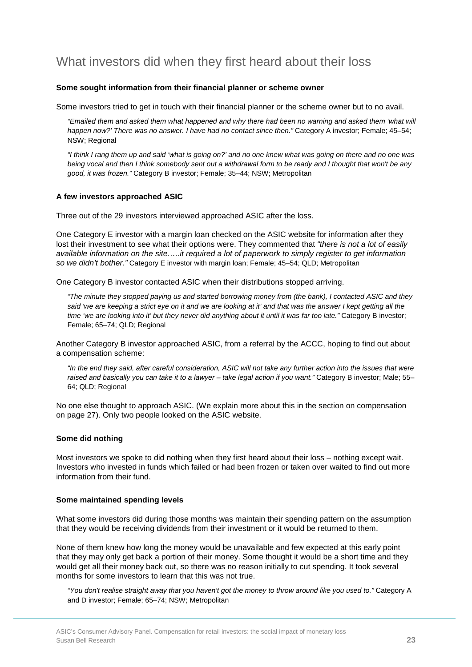## What investors did when they first heard about their loss

#### **Some sought information from their financial planner or scheme owner**

Some investors tried to get in touch with their financial planner or the scheme owner but to no avail.

*"Emailed them and asked them what happened and why there had been no warning and asked them 'what will happen now?' There was no answer. I have had no contact since then."* Category A investor; Female; 45–54; NSW; Regional

*"I think I rang them up and said 'what is going on?' and no one knew what was going on there and no one was being vocal and then I think somebody sent out a withdrawal form to be ready and I thought that won't be any good, it was frozen."* Category B investor; Female; 35–44; NSW; Metropolitan

#### **A few investors approached ASIC**

Three out of the 29 investors interviewed approached ASIC after the loss.

One Category E investor with a margin loan checked on the ASIC website for information after they lost their investment to see what their options were. They commented that *"there is not a lot of easily available information on the site…..it required a lot of paperwork to simply register to get information so we didn't bother."* Category E investor with margin loan; Female; 45–54; QLD; Metropolitan

One Category B investor contacted ASIC when their distributions stopped arriving.

*"The minute they stopped paying us and started borrowing money from (the bank), I contacted ASIC and they*  said 'we are keeping a strict eye on it and we are looking at it' and that was the answer I kept getting all the *time 'we are looking into it' but they never did anything about it until it was far too late."* Category B investor; Female; 65–74; QLD; Regional

Another Category B investor approached ASIC, from a referral by the ACCC, hoping to find out about a compensation scheme:

*"In the end they said, after careful consideration, ASIC will not take any further action into the issues that were raised and basically you can take it to a lawyer – take legal action if you want."* Category B investor; Male; 55– 64; QLD; Regional

No one else thought to approach ASIC. (We explain more about this in the section on compensation on page 27). Only two people looked on the ASIC website.

#### **Some did nothing**

Most investors we spoke to did nothing when they first heard about their loss – nothing except wait. Investors who invested in funds which failed or had been frozen or taken over waited to find out more information from their fund.

#### **Some maintained spending levels**

What some investors did during those months was maintain their spending pattern on the assumption that they would be receiving dividends from their investment or it would be returned to them.

None of them knew how long the money would be unavailable and few expected at this early point that they may only get back a portion of their money. Some thought it would be a short time and they would get all their money back out, so there was no reason initially to cut spending. It took several months for some investors to learn that this was not true.

*"You don't realise straight away that you haven't got the money to throw around like you used to."* Category A and D investor; Female; 65–74; NSW; Metropolitan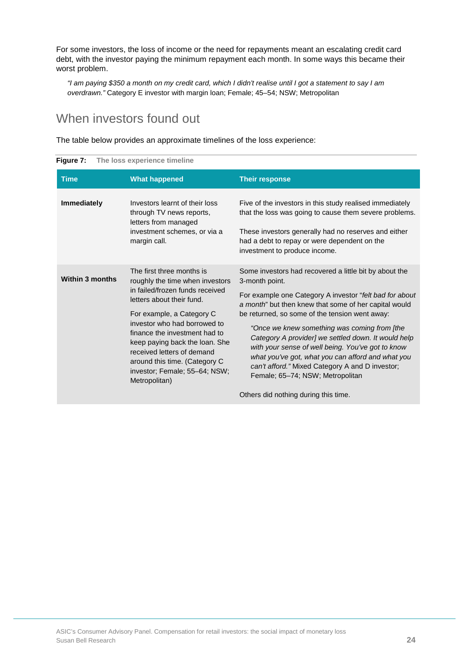For some investors, the loss of income or the need for repayments meant an escalating credit card debt, with the investor paying the minimum repayment each month. In some ways this became their worst problem.

*"I am paying \$350 a month on my credit card, which I didn't realise until I got a statement to say I am overdrawn."* Category E investor with margin loan; Female; 45–54; NSW; Metropolitan

## When investors found out

The table below provides an approximate timelines of the loss experience:

| <b>SAMO II</b> THE ROOD UNPUTSING MINUTING |                                                                                                                                                                                                                                                                                                                                                                               |                                                                                                                                                                                                                                                                                                                                                                                                                                                                                                                                                        |
|--------------------------------------------|-------------------------------------------------------------------------------------------------------------------------------------------------------------------------------------------------------------------------------------------------------------------------------------------------------------------------------------------------------------------------------|--------------------------------------------------------------------------------------------------------------------------------------------------------------------------------------------------------------------------------------------------------------------------------------------------------------------------------------------------------------------------------------------------------------------------------------------------------------------------------------------------------------------------------------------------------|
| <b>Time</b>                                | <b>What happened</b>                                                                                                                                                                                                                                                                                                                                                          | <b>Their response</b>                                                                                                                                                                                                                                                                                                                                                                                                                                                                                                                                  |
| <b>Immediately</b>                         | Investors learnt of their loss<br>through TV news reports,<br>letters from managed<br>investment schemes, or via a<br>margin call.                                                                                                                                                                                                                                            | Five of the investors in this study realised immediately<br>that the loss was going to cause them severe problems.<br>These investors generally had no reserves and either<br>had a debt to repay or were dependent on the<br>investment to produce income.                                                                                                                                                                                                                                                                                            |
| <b>Within 3 months</b>                     | The first three months is<br>roughly the time when investors<br>in failed/frozen funds received<br>letters about their fund.<br>For example, a Category C<br>investor who had borrowed to<br>finance the investment had to<br>keep paying back the loan. She<br>received letters of demand<br>around this time. (Category C<br>investor; Female; 55-64; NSW;<br>Metropolitan) | Some investors had recovered a little bit by about the<br>3-month point.<br>For example one Category A investor "felt bad for about<br>a month" but then knew that some of her capital would<br>be returned, so some of the tension went away:<br>"Once we knew something was coming from [the<br>Category A provider] we settled down. It would help<br>with your sense of well being. You've got to know<br>what you've got, what you can afford and what you<br>can't afford." Mixed Category A and D investor;<br>Female; 65-74; NSW; Metropolitan |
|                                            |                                                                                                                                                                                                                                                                                                                                                                               | Others did nothing during this time.                                                                                                                                                                                                                                                                                                                                                                                                                                                                                                                   |

<span id="page-24-0"></span>**Figure 7: The loss experience timeline**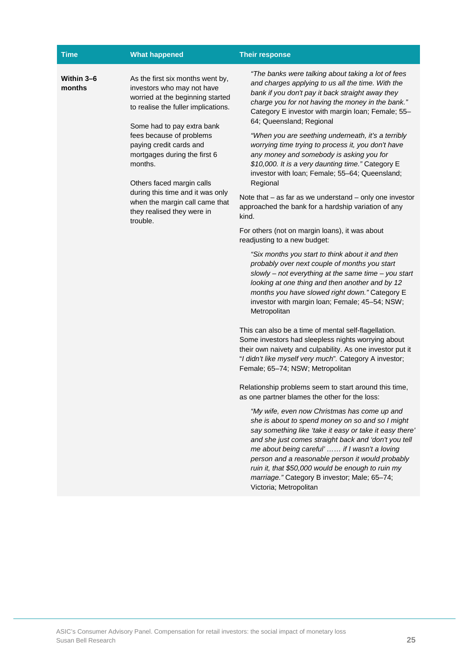| <b>Time</b>          | <b>What happened</b>                                                                                                                                                                                                                                                                                                                                                                                                   | <b>Their response</b>                                                                                                                                                                                                                                                                                                                                                                                                                                                                                                                                                                                                                                                                                                                                                                                                                                                                                                                                                                                                                                                                                                                                                                                                                                                                                                                                                                                                                                                                                                                                                                                                                                                                                                                                                                                                                                                                                                                                                           |
|----------------------|------------------------------------------------------------------------------------------------------------------------------------------------------------------------------------------------------------------------------------------------------------------------------------------------------------------------------------------------------------------------------------------------------------------------|---------------------------------------------------------------------------------------------------------------------------------------------------------------------------------------------------------------------------------------------------------------------------------------------------------------------------------------------------------------------------------------------------------------------------------------------------------------------------------------------------------------------------------------------------------------------------------------------------------------------------------------------------------------------------------------------------------------------------------------------------------------------------------------------------------------------------------------------------------------------------------------------------------------------------------------------------------------------------------------------------------------------------------------------------------------------------------------------------------------------------------------------------------------------------------------------------------------------------------------------------------------------------------------------------------------------------------------------------------------------------------------------------------------------------------------------------------------------------------------------------------------------------------------------------------------------------------------------------------------------------------------------------------------------------------------------------------------------------------------------------------------------------------------------------------------------------------------------------------------------------------------------------------------------------------------------------------------------------------|
| Within 3-6<br>months | As the first six months went by,<br>investors who may not have<br>worried at the beginning started<br>to realise the fuller implications.<br>Some had to pay extra bank<br>fees because of problems<br>paying credit cards and<br>mortgages during the first 6<br>months.<br>Others faced margin calls<br>during this time and it was only<br>when the margin call came that<br>they realised they were in<br>trouble. | "The banks were talking about taking a lot of fees<br>and charges applying to us all the time. With the<br>bank if you don't pay it back straight away they<br>charge you for not having the money in the bank."<br>Category E investor with margin loan; Female; 55-<br>64; Queensland; Regional<br>"When you are seething underneath, it's a terribly<br>worrying time trying to process it, you don't have<br>any money and somebody is asking you for<br>\$10,000. It is a very daunting time." Category E<br>investor with loan; Female; 55-64; Queensland;<br>Regional<br>Note that $-$ as far as we understand $-$ only one investor<br>approached the bank for a hardship variation of any<br>kind.<br>For others (not on margin loans), it was about<br>readjusting to a new budget:<br>"Six months you start to think about it and then<br>probably over next couple of months you start<br>slowly - not everything at the same time - you start<br>looking at one thing and then another and by 12<br>months you have slowed right down." Category E<br>investor with margin loan; Female; 45-54; NSW;<br>Metropolitan<br>This can also be a time of mental self-flagellation.<br>Some investors had sleepless nights worrying about<br>their own naivety and culpability. As one investor put it<br>"I didn't like myself very much". Category A investor;<br>Female; 65-74; NSW; Metropolitan<br>Relationship problems seem to start around this time,<br>as one partner blames the other for the loss:<br>"My wife, even now Christmas has come up and<br>she is about to spend money on so and so I might<br>say something like 'take it easy or take it easy there'<br>and she just comes straight back and 'don't you tell<br>me about being careful'  if I wasn't a loving<br>person and a reasonable person it would probably<br>ruin it, that \$50,000 would be enough to ruin my<br>marriage." Category B investor; Male; 65-74;<br>Victoria; Metropolitan |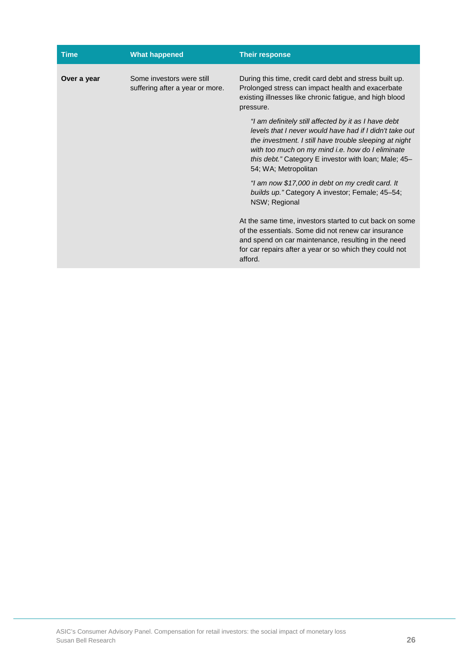| <b>Time</b> | <b>What happened</b>                                         | <b>Their response</b>                                                                                                                                                                                                                                                                                         |
|-------------|--------------------------------------------------------------|---------------------------------------------------------------------------------------------------------------------------------------------------------------------------------------------------------------------------------------------------------------------------------------------------------------|
| Over a year | Some investors were still<br>suffering after a year or more. | During this time, credit card debt and stress built up.<br>Prolonged stress can impact health and exacerbate<br>existing illnesses like chronic fatigue, and high blood<br>pressure.                                                                                                                          |
|             |                                                              | "I am definitely still affected by it as I have debt<br>levels that I never would have had if I didn't take out<br>the investment. I still have trouble sleeping at night<br>with too much on my mind i.e. how do I eliminate<br>this debt." Category E investor with loan; Male; 45-<br>54; WA; Metropolitan |
|             |                                                              | "I am now \$17,000 in debt on my credit card. It<br>builds up." Category A investor; Female; 45-54;<br>NSW; Regional                                                                                                                                                                                          |
|             |                                                              | At the same time, investors started to cut back on some<br>of the essentials. Some did not renew car insurance<br>and spend on car maintenance, resulting in the need<br>for car repairs after a year or so which they could not<br>afford.                                                                   |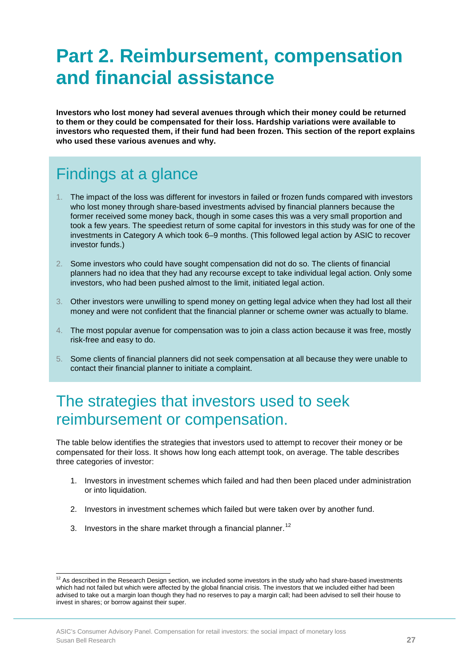# <span id="page-27-0"></span>**Part 2. Reimbursement, compensation and financial assistance**

**Investors who lost money had several avenues through which their money could be returned to them or they could be compensated for their loss. Hardship variations were available to investors who requested them, if their fund had been frozen. This section of the report explains who used these various avenues and why.**

## <span id="page-27-1"></span>Findings at a glance

- 1. The impact of the loss was different for investors in failed or frozen funds compared with investors who lost money through share-based investments advised by financial planners because the former received some money back, though in some cases this was a very small proportion and took a few years. The speediest return of some capital for investors in this study was for one of the investments in Category A which took 6–9 months. (This followed legal action by ASIC to recover investor funds.)
- 2. Some investors who could have sought compensation did not do so. The clients of financial planners had no idea that they had any recourse except to take individual legal action. Only some investors, who had been pushed almost to the limit, initiated legal action.
- 3. Other investors were unwilling to spend money on getting legal advice when they had lost all their money and were not confident that the financial planner or scheme owner was actually to blame.
- 4. The most popular avenue for compensation was to join a class action because it was free, mostly risk-free and easy to do.
- 5. Some clients of financial planners did not seek compensation at all because they were unable to contact their financial planner to initiate a complaint.

## <span id="page-27-2"></span>The strategies that investors used to seek reimbursement or compensation.

The table below identifies the strategies that investors used to attempt to recover their money or be compensated for their loss. It shows how long each attempt took, on average. The table describes three categories of investor:

- 1. Investors in investment schemes which failed and had then been placed under administration or into liquidation.
- 2. Investors in investment schemes which failed but were taken over by another fund.
- 3. Investors in the share market through a financial planner.<sup>[12](#page-19-1)</sup>

<span id="page-27-3"></span> $\overline{1}$  $12$  As described in the Research Design section, we included some investors in the study who had share-based investments which had not failed but which were affected by the global financial crisis. The investors that we included either had been advised to take out a margin loan though they had no reserves to pay a margin call; had been advised to sell their house to invest in shares; or borrow against their super.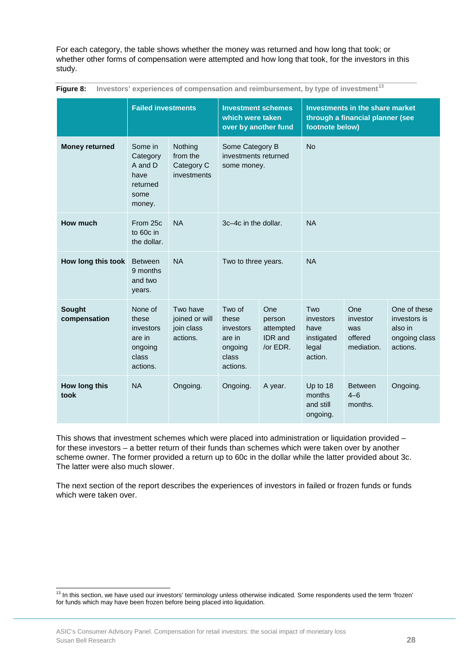For each category, the table shows whether the money was returned and how long that took; or whether other forms of compensation were attempted and how long that took, for the investors in this study.

|                               | <b>Failed investments</b>                                               |                                                      | <b>Investment schemes</b><br>which were taken<br>over by another fund  |                                                          | <b>Investments in the share market</b><br>through a financial planner (see<br>footnote below) |                                                 |                                                                      |
|-------------------------------|-------------------------------------------------------------------------|------------------------------------------------------|------------------------------------------------------------------------|----------------------------------------------------------|-----------------------------------------------------------------------------------------------|-------------------------------------------------|----------------------------------------------------------------------|
| <b>Money returned</b>         | Some in<br>Category<br>A and D<br>have<br>returned<br>some<br>money.    | Nothing<br>from the<br>Category C<br>investments     | Some Category B<br>investments returned<br>some money.                 |                                                          | <b>No</b>                                                                                     |                                                 |                                                                      |
| <b>How much</b>               | From 25c<br>to 60c in<br>the dollar.                                    | <b>NA</b>                                            | 3c-4c in the dollar.                                                   |                                                          | <b>NA</b>                                                                                     |                                                 |                                                                      |
| How long this took            | <b>Between</b><br>9 months<br>and two<br>years.                         | <b>NA</b>                                            | Two to three years.                                                    |                                                          | <b>NA</b>                                                                                     |                                                 |                                                                      |
| <b>Sought</b><br>compensation | None of<br>these<br>investors<br>are in<br>ongoing<br>class<br>actions. | Two have<br>joined or will<br>join class<br>actions. | Two of<br>these<br>investors<br>are in<br>ongoing<br>class<br>actions. | One<br>person<br>attempted<br><b>IDR</b> and<br>/or EDR. | Two<br>investors<br>have<br>instigated<br>legal<br>action.                                    | One<br>investor<br>was<br>offered<br>mediation. | One of these<br>investors is<br>also in<br>ongoing class<br>actions. |
| How long this<br>took         | <b>NA</b>                                                               | Ongoing.                                             | Ongoing.                                                               | A year.                                                  | Up to 18<br>months<br>and still<br>ongoing.                                                   | <b>Between</b><br>$4 - 6$<br>months.            | Ongoing.                                                             |

<span id="page-28-0"></span>**Figure 8: Investors' experiences of compensation and reimbursement, by type of investment[13](#page-27-3)**

This shows that investment schemes which were placed into administration or liquidation provided – for these investors – a better return of their funds than schemes which were taken over by another scheme owner. The former provided a return up to 60c in the dollar while the latter provided about 3c. The latter were also much slower.

The next section of the report describes the experiences of investors in failed or frozen funds or funds which were taken over.

<sup>&</sup>lt;sup>13</sup> In this section, we have used our investors' terminology unless otherwise indicated. Some respondents used the term 'frozen' for funds which may have been frozen before being placed into liquidation.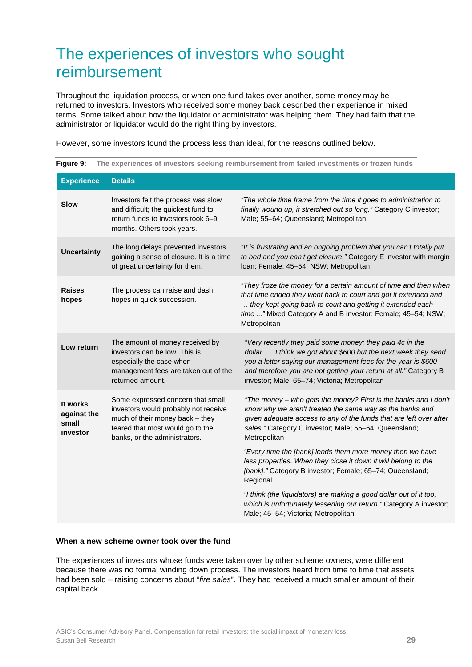## <span id="page-29-0"></span>The experiences of investors who sought reimbursement

Throughout the liquidation process, or when one fund takes over another, some money may be returned to investors. Investors who received some money back described their experience in mixed terms. Some talked about how the liquidator or administrator was helping them. They had faith that the administrator or liquidator would do the right thing by investors.

<span id="page-29-1"></span>**Figure 9: The experiences of investors seeking reimbursement from failed investments or frozen funds**

However, some investors found the process less than ideal, for the reasons outlined below.

| <b>Experience</b>                            | <b>Details</b>                                                                                                                                                                    |                                                                                                                                                                                                                                                                                                                  |
|----------------------------------------------|-----------------------------------------------------------------------------------------------------------------------------------------------------------------------------------|------------------------------------------------------------------------------------------------------------------------------------------------------------------------------------------------------------------------------------------------------------------------------------------------------------------|
| <b>Slow</b>                                  | Investors felt the process was slow<br>and difficult; the quickest fund to<br>return funds to investors took 6-9<br>months. Others took years.                                    | "The whole time frame from the time it goes to administration to<br>finally wound up, it stretched out so long." Category C investor;<br>Male; 55-64; Queensland; Metropolitan                                                                                                                                   |
| <b>Uncertainty</b>                           | The long delays prevented investors<br>gaining a sense of closure. It is a time<br>of great uncertainty for them.                                                                 | "It is frustrating and an ongoing problem that you can't totally put<br>to bed and you can't get closure." Category E investor with margin<br>Ioan; Female; 45-54; NSW; Metropolitan                                                                                                                             |
| <b>Raises</b><br>hopes                       | The process can raise and dash<br>hopes in quick succession.                                                                                                                      | "They froze the money for a certain amount of time and then when<br>that time ended they went back to court and got it extended and<br>they kept going back to court and getting it extended each<br>time " Mixed Category A and B investor; Female; 45-54; NSW;<br>Metropolitan                                 |
| Low return                                   | The amount of money received by<br>investors can be low. This is<br>especially the case when<br>management fees are taken out of the<br>returned amount.                          | "Very recently they paid some money; they paid 4c in the<br>dollar I think we got about \$600 but the next week they send<br>you a letter saying our management fees for the year is \$600<br>and therefore you are not getting your return at all." Category B<br>investor; Male; 65-74; Victoria; Metropolitan |
| It works<br>against the<br>small<br>investor | Some expressed concern that small<br>investors would probably not receive<br>much of their money back - they<br>feared that most would go to the<br>banks, or the administrators. | "The money - who gets the money? First is the banks and I don't<br>know why we aren't treated the same way as the banks and<br>given adequate access to any of the funds that are left over after<br>sales." Category C investor; Male; 55-64; Queensland;<br>Metropolitan                                       |
|                                              |                                                                                                                                                                                   | "Every time the [bank] lends them more money then we have<br>less properties. When they close it down it will belong to the<br>[bank]." Category B investor; Female; 65-74; Queensland;<br>Regional                                                                                                              |
|                                              |                                                                                                                                                                                   | "I think (the liquidators) are making a good dollar out of it too,<br>which is unfortunately lessening our return." Category A investor;<br>Male; 45-54; Victoria; Metropolitan                                                                                                                                  |

#### **When a new scheme owner took over the fund**

The experiences of investors whose funds were taken over by other scheme owners, were different because there was no formal winding down process. The investors heard from time to time that assets had been sold – raising concerns about "*fire sales*". They had received a much smaller amount of their capital back.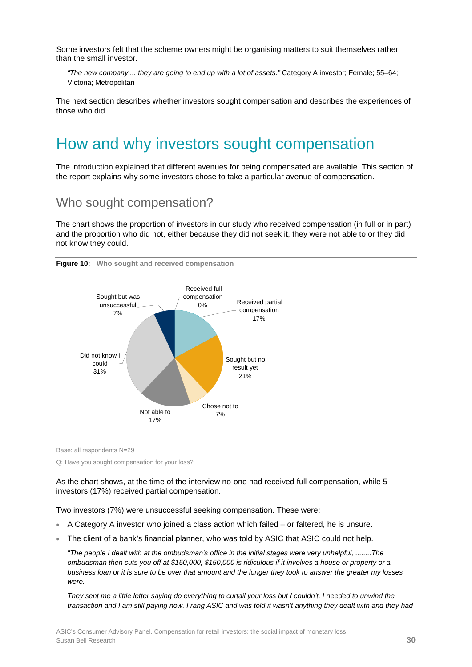Some investors felt that the scheme owners might be organising matters to suit themselves rather than the small investor.

*"The new company ... they are going to end up with a lot of assets."* Category A investor; Female; 55–64; Victoria; Metropolitan

The next section describes whether investors sought compensation and describes the experiences of those who did.

## <span id="page-30-0"></span>How and why investors sought compensation

The introduction explained that different avenues for being compensated are available. This section of the report explains why some investors chose to take a particular avenue of compensation.

## Who sought compensation?

The chart shows the proportion of investors in our study who received compensation (in full or in part) and the proportion who did not, either because they did not seek it, they were not able to or they did not know they could.



<span id="page-30-1"></span>**Figure 10: Who sought and received compensation** 

Base: all respondents N=29

Q: Have you sought compensation for your loss?

As the chart shows, at the time of the interview no-one had received full compensation, while 5 investors (17%) received partial compensation.

Two investors (7%) were unsuccessful seeking compensation. These were:

- A Category A investor who joined a class action which failed or faltered, he is unsure.
- The client of a bank's financial planner, who was told by ASIC that ASIC could not help.

*"The people I dealt with at the ombudsman's office in the initial stages were very unhelpful, ........The ombudsman then cuts you off at \$150,000, \$150,000 is ridiculous if it involves a house or property or a business loan or it is sure to be over that amount and the longer they took to answer the greater my losses were.* 

*They sent me a little letter saying do everything to curtail your loss but I couldn't, I needed to unwind the transaction and I am still paying now. I rang ASIC and was told it wasn't anything they dealt with and they had*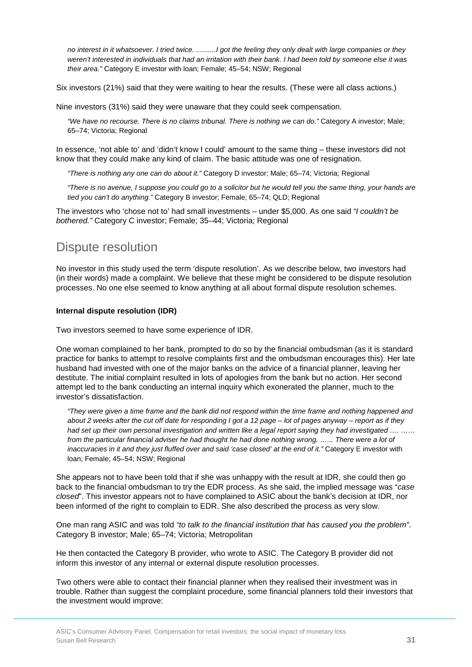*no interest in it whatsoever. I tried twice. ..........I got the feeling they only dealt with large companies or they weren't interested in individuals that had an irritation with their bank. I had been told by someone else it was their area."* Category E investor with loan; Female; 45–54; NSW; Regional

Six investors (21%) said that they were waiting to hear the results. (These were all class actions.)

Nine investors (31%) said they were unaware that they could seek compensation.

*"We have no recourse. There is no claims tribunal. There is nothing we can do."* Category A investor; Male; 65–74; Victoria; Regional

In essence, 'not able to' and 'didn't know I could' amount to the same thing – these investors did not know that they could make any kind of claim. The basic attitude was one of resignation.

*"There is nothing any one can do about it."* Category D investor; Male; 65–74; Victoria; Regional

*"There is no avenue, I suppose you could go to a solicitor but he would tell you the same thing, your hands are tied you can't do anything."* Category B investor; Female; 65–74; QLD; Regional

The investors who 'chose not to' had small investments – under \$5,000. As one said *"I couldn't be bothered."* Category C investor; Female; 35–44; Victoria; Regional

## Dispute resolution

No investor in this study used the term 'dispute resolution'. As we describe below, two investors had (in their words) made a complaint. We believe that these might be considered to be dispute resolution processes. No one else seemed to know anything at all about formal dispute resolution schemes.

#### **Internal dispute resolution (IDR)**

Two investors seemed to have some experience of IDR.

One woman complained to her bank, prompted to do so by the financial ombudsman (as it is standard practice for banks to attempt to resolve complaints first and the ombudsman encourages this). Her late husband had invested with one of the major banks on the advice of a financial planner, leaving her destitute. The initial complaint resulted in lots of apologies from the bank but no action. Her second attempt led to the bank conducting an internal inquiry which exonerated the planner, much to the investor's dissatisfaction.

*"They were given a time frame and the bank did not respond within the time frame and nothing happened and about 2 weeks after the cut off date for responding I got a 12 page – lot of pages anyway – report as if they had set up their own personal investigation and written like a legal report saying they had investigated …. …… from the particular financial adviser he had thought he had done nothing wrong. …... There were a lot of inaccuracies in it and they just fluffed over and said 'case closed' at the end of it." Category E investor with* loan; Female; 45–54; NSW; Regional

She appears not to have been told that if she was unhappy with the result at IDR, she could then go back to the financial ombudsman to try the EDR process. As she said, the implied message was "*case closed*". This investor appears not to have complained to ASIC about the bank's decision at IDR, nor been informed of the right to complain to EDR. She also described the process as very slow.

One man rang ASIC and was told *"to talk to the financial institution that has caused you the problem"*. Category B investor; Male; 65–74; Victoria; Metropolitan

He then contacted the Category B provider, who wrote to ASIC. The Category B provider did not inform this investor of any internal or external dispute resolution processes.

Two others were able to contact their financial planner when they realised their investment was in trouble. Rather than suggest the complaint procedure, some financial planners told their investors that the investment would improve: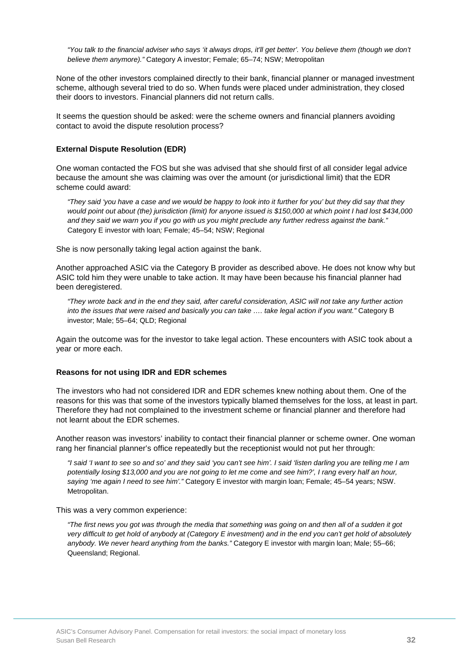*"You talk to the financial adviser who says 'it always drops, it'll get better'. You believe them (though we don't believe them anymore)."* Category A investor; Female; 65–74; NSW; Metropolitan

None of the other investors complained directly to their bank, financial planner or managed investment scheme, although several tried to do so. When funds were placed under administration, they closed their doors to investors. Financial planners did not return calls.

It seems the question should be asked: were the scheme owners and financial planners avoiding contact to avoid the dispute resolution process?

#### **External Dispute Resolution (EDR)**

One woman contacted the FOS but she was advised that she should first of all consider legal advice because the amount she was claiming was over the amount (or jurisdictional limit) that the EDR scheme could award:

*"They said 'you have a case and we would be happy to look into it further for you' but they did say that they would point out about (the) jurisdiction (limit) for anyone issued is \$150,000 at which point I had lost \$434,000 and they said we warn you if you go with us you might preclude any further redress against the bank."*  Category E investor with loan*;* Female; 45–54; NSW; Regional

She is now personally taking legal action against the bank.

Another approached ASIC via the Category B provider as described above. He does not know why but ASIC told him they were unable to take action. It may have been because his financial planner had been deregistered.

*"They wrote back and in the end they said, after careful consideration, ASIC will not take any further action into the issues that were raised and basically you can take …. take legal action if you want."* Category B investor; Male; 55–64; QLD; Regional

Again the outcome was for the investor to take legal action. These encounters with ASIC took about a year or more each.

#### **Reasons for not using IDR and EDR schemes**

The investors who had not considered IDR and EDR schemes knew nothing about them. One of the reasons for this was that some of the investors typically blamed themselves for the loss, at least in part. Therefore they had not complained to the investment scheme or financial planner and therefore had not learnt about the EDR schemes.

Another reason was investors' inability to contact their financial planner or scheme owner. One woman rang her financial planner's office repeatedly but the receptionist would not put her through:

*"I said 'I want to see so and so' and they said 'you can't see him'. I said 'listen darling you are telling me I am potentially losing \$13,000 and you are not going to let me come and see him?', I rang every half an hour, saying 'me again I need to see him'."* Category E investor with margin loan; Female; 45–54 years; NSW. Metropolitan.

This was a very common experience:

*"The first news you got was through the media that something was going on and then all of a sudden it got very difficult to get hold of anybody at (Category E investment) and in the end you can't get hold of absolutely anybody. We never heard anything from the banks."* Category E investor with margin loan; Male; 55–66; Queensland; Regional.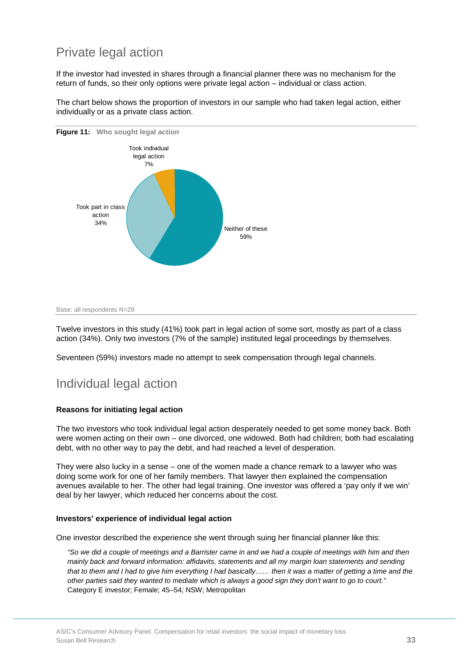## Private legal action

If the investor had invested in shares through a financial planner there was no mechanism for the return of funds, so their only options were private legal action – individual or class action.

<span id="page-33-0"></span>

The chart below shows the proportion of investors in our sample who had taken legal action, either individually or as a private class action.

Twelve investors in this study (41%) took part in legal action of some sort, mostly as part of a class action (34%). Only two investors (7% of the sample) instituted legal proceedings by themselves.

Seventeen (59%) investors made no attempt to seek compensation through legal channels.

## Individual legal action

### **Reasons for initiating legal action**

The two investors who took individual legal action desperately needed to get some money back. Both were women acting on their own – one divorced, one widowed. Both had children; both had escalating debt, with no other way to pay the debt, and had reached a level of desperation.

They were also lucky in a sense – one of the women made a chance remark to a lawyer who was doing some work for one of her family members. That lawyer then explained the compensation avenues available to her. The other had legal training. One investor was offered a 'pay only if we win' deal by her lawyer, which reduced her concerns about the cost.

### **Investors' experience of individual legal action**

One investor described the experience she went through suing her financial planner like this:

*"So we did a couple of meetings and a Barrister came in and we had a couple of meetings with him and then mainly back and forward information: affidavits, statements and all my margin loan statements and sending that to them and I had to give him everything I had basically…… then it was a matter of getting a time and the other parties said they wanted to mediate which is always a good sign they don't want to go to court."* Category E investor; Female; 45–54; NSW; Metropolitan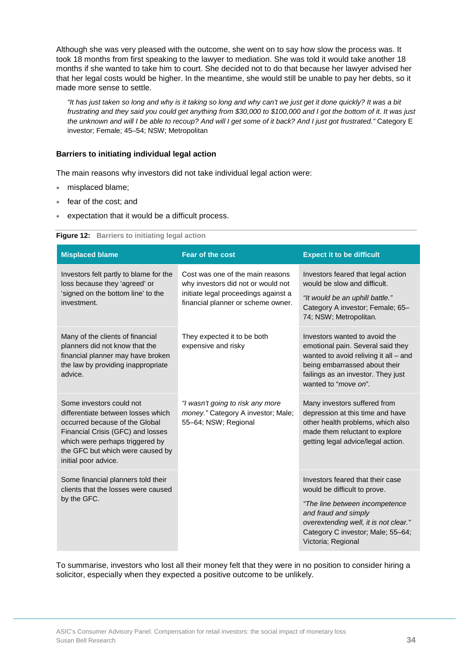Although she was very pleased with the outcome, she went on to say how slow the process was. It took 18 months from first speaking to the lawyer to mediation. She was told it would take another 18 months if she wanted to take him to court. She decided not to do that because her lawyer advised her that her legal costs would be higher. In the meantime, she would still be unable to pay her debts, so it made more sense to settle.

*"It has just taken so long and why is it taking so long and why can't we just get it done quickly? It was a bit frustrating and they said you could get anything from \$30,000 to \$100,000 and I got the bottom of it. It was just the unknown and will I be able to recoup? And will I get some of it back? And I just got frustrated."* Category E investor; Female; 45–54; NSW; Metropolitan

### **Barriers to initiating individual legal action**

The main reasons why investors did not take individual legal action were:

- misplaced blame;
- fear of the cost; and
- <span id="page-34-1"></span>expectation that it would be a difficult process.

| Figure 12: Barriers to initiating legal action |  |  |  |  |
|------------------------------------------------|--|--|--|--|
|------------------------------------------------|--|--|--|--|

| <b>Misplaced blame</b>                                                                                                                                                                                                               | <b>Fear of the cost</b>                                                                                                                              | <b>Expect it to be difficult</b>                                                                                                                                                                                               |
|--------------------------------------------------------------------------------------------------------------------------------------------------------------------------------------------------------------------------------------|------------------------------------------------------------------------------------------------------------------------------------------------------|--------------------------------------------------------------------------------------------------------------------------------------------------------------------------------------------------------------------------------|
| Investors felt partly to blame for the<br>loss because they 'agreed' or<br>'signed on the bottom line' to the<br>investment.                                                                                                         | Cost was one of the main reasons<br>why investors did not or would not<br>initiate legal proceedings against a<br>financial planner or scheme owner. | Investors feared that legal action<br>would be slow and difficult.<br>"It would be an uphill battle."<br>Category A investor; Female; 65-<br>74; NSW; Metropolitan.                                                            |
| Many of the clients of financial<br>planners did not know that the<br>financial planner may have broken<br>the law by providing inappropriate<br>advice.                                                                             | They expected it to be both<br>expensive and risky                                                                                                   | Investors wanted to avoid the<br>emotional pain. Several said they<br>wanted to avoid reliving it all - and<br>being embarrassed about their<br>failings as an investor. They just<br>wanted to "move on".                     |
| Some investors could not<br>differentiate between losses which<br>occurred because of the Global<br>Financial Crisis (GFC) and losses<br>which were perhaps triggered by<br>the GFC but which were caused by<br>initial poor advice. | "I wasn't going to risk any more<br>money." Category A investor; Male;<br>55-64; NSW; Regional                                                       | Many investors suffered from<br>depression at this time and have<br>other health problems, which also<br>made them reluctant to explore<br>getting legal advice/legal action.                                                  |
| Some financial planners told their<br>clients that the losses were caused<br>by the GFC.                                                                                                                                             |                                                                                                                                                      | Investors feared that their case<br>would be difficult to prove.<br>"The line between incompetence<br>and fraud and simply<br>overextending well, it is not clear."<br>Category C investor; Male; 55-64;<br>Victoria; Regional |

<span id="page-34-0"></span>To summarise, investors who lost all their money felt that they were in no position to consider hiring a solicitor, especially when they expected a positive outcome to be unlikely.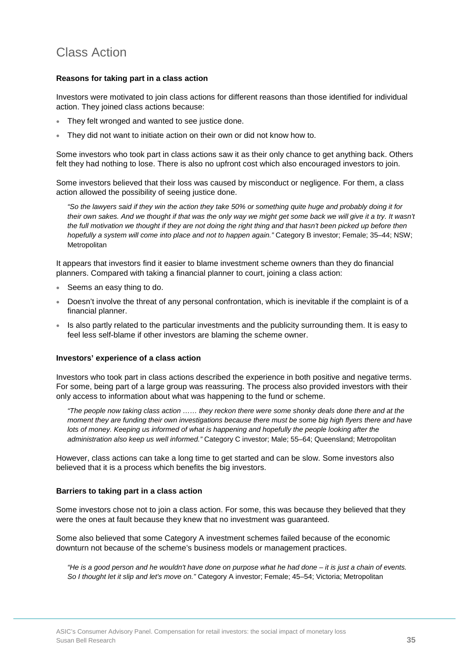## Class Action

### **Reasons for taking part in a class action**

Investors were motivated to join class actions for different reasons than those identified for individual action. They joined class actions because:

- They felt wronged and wanted to see justice done.
- They did not want to initiate action on their own or did not know how to.

Some investors who took part in class actions saw it as their only chance to get anything back. Others felt they had nothing to lose. There is also no upfront cost which also encouraged investors to join.

Some investors believed that their loss was caused by misconduct or negligence. For them, a class action allowed the possibility of seeing justice done.

*"So the lawyers said if they win the action they take 50% or something quite huge and probably doing it for*  their own sakes. And we thought if that was the only way we might get some back we will give it a try. It wasn't the full motivation we thought if they are not doing the right thing and that hasn't been picked up before then *hopefully a system will come into place and not to happen again."* Category B investor; Female; 35–44; NSW; **Metropolitan** 

It appears that investors find it easier to blame investment scheme owners than they do financial planners. Compared with taking a financial planner to court, joining a class action:

- Seems an easy thing to do.
- Doesn't involve the threat of any personal confrontation, which is inevitable if the complaint is of a financial planner.
- Is also partly related to the particular investments and the publicity surrounding them. It is easy to feel less self-blame if other investors are blaming the scheme owner.

#### **Investors' experience of a class action**

Investors who took part in class actions described the experience in both positive and negative terms. For some, being part of a large group was reassuring. The process also provided investors with their only access to information about what was happening to the fund or scheme.

*"The people now taking class action …… they reckon there were some shonky deals done there and at the moment they are funding their own investigations because there must be some big high flyers there and have*  lots of money. Keeping us informed of what is happening and hopefully the people looking after the *administration also keep us well informed."* Category C investor; Male; 55–64; Queensland; Metropolitan

However, class actions can take a long time to get started and can be slow. Some investors also believed that it is a process which benefits the big investors.

#### **Barriers to taking part in a class action**

Some investors chose not to join a class action. For some, this was because they believed that they were the ones at fault because they knew that no investment was guaranteed.

Some also believed that some Category A investment schemes failed because of the economic downturn not because of the scheme's business models or management practices.

*"He is a good person and he wouldn't have done on purpose what he had done – it is just a chain of events. So I thought let it slip and let's move on."* Category A investor; Female; 45–54; Victoria; Metropolitan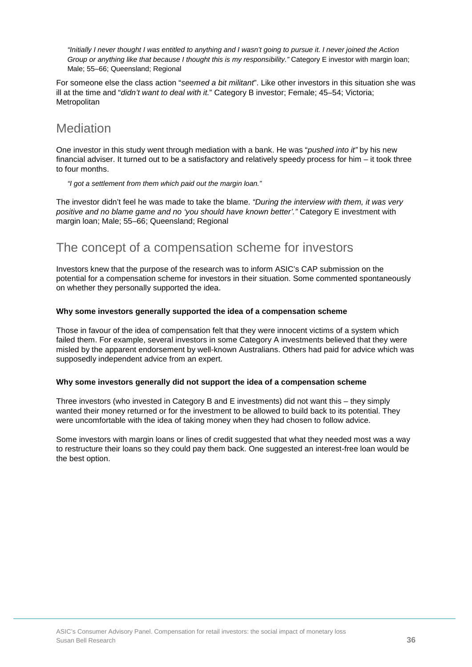*"Initially I never thought I was entitled to anything and I wasn't going to pursue it. I never joined the Action Group or anything like that because I thought this is my responsibility."* Category E investor with margin loan; Male; 55–66; Queensland; Regional

For someone else the class action "*seemed a bit militant*". Like other investors in this situation she was ill at the time and "*didn't want to deal with it.*" Category B investor; Female; 45–54; Victoria; **Metropolitan** 

### **Mediation**

One investor in this study went through mediation with a bank. He was "*pushed into it"* by his new financial adviser. It turned out to be a satisfactory and relatively speedy process for him – it took three to four months.

*"I got a settlement from them which paid out the margin loan."* 

The investor didn't feel he was made to take the blame. *"During the interview with them, it was very positive and no blame game and no 'you should have known better'."* Category E investment with margin loan; Male; 55–66; Queensland; Regional

### The concept of a compensation scheme for investors

Investors knew that the purpose of the research was to inform ASIC's CAP submission on the potential for a compensation scheme for investors in their situation. Some commented spontaneously on whether they personally supported the idea.

### **Why some investors generally supported the idea of a compensation scheme**

Those in favour of the idea of compensation felt that they were innocent victims of a system which failed them. For example, several investors in some Category A investments believed that they were misled by the apparent endorsement by well-known Australians. Others had paid for advice which was supposedly independent advice from an expert.

### **Why some investors generally did not support the idea of a compensation scheme**

Three investors (who invested in Category B and E investments) did not want this – they simply wanted their money returned or for the investment to be allowed to build back to its potential. They were uncomfortable with the idea of taking money when they had chosen to follow advice.

Some investors with margin loans or lines of credit suggested that what they needed most was a way to restructure their loans so they could pay them back. One suggested an interest-free loan would be the best option.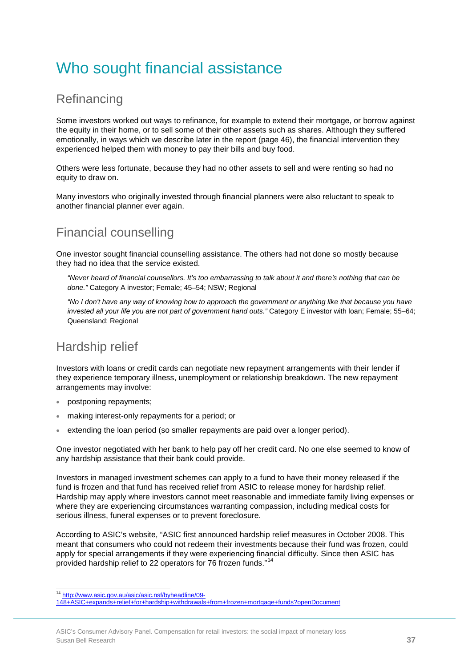# Who sought financial assistance

### **Refinancing**

Some investors worked out ways to refinance, for example to extend their mortgage, or borrow against the equity in their home, or to sell some of their other assets such as shares. Although they suffered emotionally, in ways which we describe later in the report (page 46), the financial intervention they experienced helped them with money to pay their bills and buy food.

Others were less fortunate, because they had no other assets to sell and were renting so had no equity to draw on.

Many investors who originally invested through financial planners were also reluctant to speak to another financial planner ever again.

### Financial counselling

One investor sought financial counselling assistance. The others had not done so mostly because they had no idea that the service existed.

*"Never heard of financial counsellors. It's too embarrassing to talk about it and there's nothing that can be done."* Category A investor; Female; 45–54; NSW; Regional

*"No I don't have any way of knowing how to approach the government or anything like that because you have invested all your life you are not part of government hand outs."* Category E investor with loan; Female; 55–64; Queensland; Regional

## Hardship relief

Investors with loans or credit cards can negotiate new repayment arrangements with their lender if they experience temporary illness, unemployment or relationship breakdown. The new repayment arrangements may involve:

- postponing repayments;
- making interest-only repayments for a period; or
- extending the loan period (so smaller repayments are paid over a longer period).

One investor negotiated with her bank to help pay off her credit card. No one else seemed to know of any hardship assistance that their bank could provide.

Investors in managed investment schemes can apply to a fund to have their money released if the fund is frozen and that fund has received relief from ASIC to release money for hardship relief. Hardship may apply where investors cannot meet reasonable and immediate family living expenses or where they are experiencing circumstances warranting compassion, including medical costs for serious illness, funeral expenses or to prevent foreclosure.

According to ASIC's website, "ASIC first announced hardship relief measures in October 2008. This meant that consumers who could not redeem their investments because their fund was frozen, could apply for special arrangements if they were experiencing financial difficulty. Since then ASIC has provided hardship relief to 22 operators for 76 frozen funds."<sup>[14](#page-28-0)</sup>

ŧ

<sup>&</sup>lt;sup>14</sup> [http://www.asic.gov.au/asic/asic.nsf/byheadline/09-](http://www.asic.gov.au/asic/asic.nsf/byheadline/09-148+ASIC+expands+relief+for+hardship+withdrawals+from+frozen+mortgage+funds?openDocument)

<span id="page-37-0"></span>[<sup>148+</sup>ASIC+expands+relief+for+hardship+withdrawals+from+frozen+mortgage+funds?openDocument](http://www.asic.gov.au/asic/asic.nsf/byheadline/09-148+ASIC+expands+relief+for+hardship+withdrawals+from+frozen+mortgage+funds?openDocument)

ASIC's Consumer Advisory Panel. Compensation for retail investors: the social impact of monetary loss Susan Bell Research **37**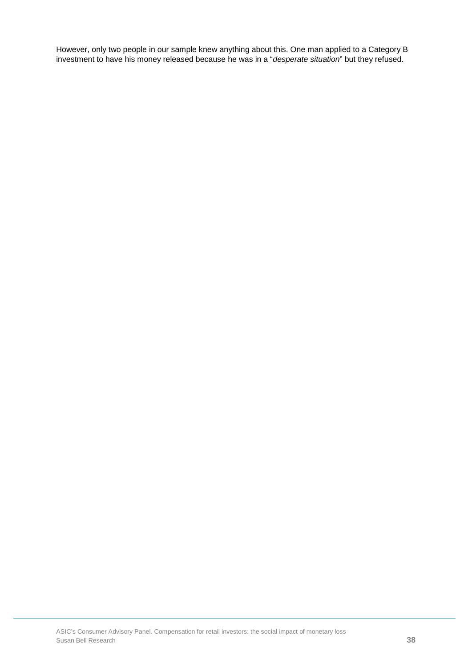However, only two people in our sample knew anything about this. One man applied to a Category B investment to have his money released because he was in a "*desperate situation*" but they refused.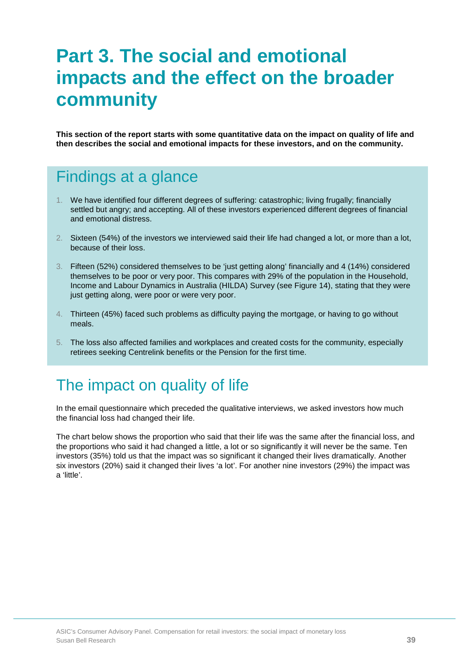# **Part 3. The social and emotional impacts and the effect on the broader community**

**This section of the report starts with some quantitative data on the impact on quality of life and then describes the social and emotional impacts for these investors, and on the community.**

## Findings at a glance

- 1. We have identified four different degrees of suffering: catastrophic; living frugally; financially settled but angry; and accepting. All of these investors experienced different degrees of financial and emotional distress.
- 2. Sixteen (54%) of the investors we interviewed said their life had changed a lot, or more than a lot, because of their loss.
- 3. Fifteen (52%) considered themselves to be 'just getting along' financially and 4 (14%) considered themselves to be poor or very poor. This compares with 29% of the population in the Household, Income and Labour Dynamics in Australia (HILDA) Survey (see Figure 14), stating that they were just getting along, were poor or were very poor.
- 4. Thirteen (45%) faced such problems as difficulty paying the mortgage, or having to go without meals.
- 5. The loss also affected families and workplaces and created costs for the community, especially retirees seeking Centrelink benefits or the Pension for the first time.

## The impact on quality of life

In the email questionnaire which preceded the qualitative interviews, we asked investors how much the financial loss had changed their life.

The chart below shows the proportion who said that their life was the same after the financial loss, and the proportions who said it had changed a little, a lot or so significantly it will never be the same. Ten investors (35%) told us that the impact was so significant it changed their lives dramatically. Another six investors (20%) said it changed their lives 'a lot'. For another nine investors (29%) the impact was a 'little'.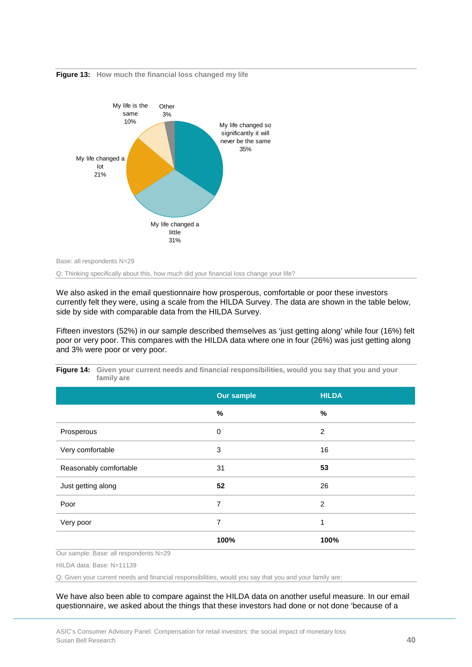

**Figure 13: How much the financial loss changed my life**

Base: all respondents N=29

Q: Thinking specifically about this, how much did your financial loss change your life?

We also asked in the email questionnaire how prosperous, comfortable or poor these investors currently felt they were, using a scale from the HILDA Survey. The data are shown in the table below, side by side with comparable data from the HILDA Survey.

Fifteen investors (52%) in our sample described themselves as 'just getting along' while four (16%) felt poor or very poor. This compares with the HILDA data where one in four (26%) was just getting along and 3% were poor or very poor.

|                        | <b>Our sample</b> | <b>HILDA</b>   |
|------------------------|-------------------|----------------|
|                        | %                 | $\%$           |
| Prosperous             | 0                 | $\overline{2}$ |
| Very comfortable       | 3                 | 16             |
| Reasonably comfortable | 31                | 53             |
| Just getting along     | 52                | 26             |
| Poor                   | 7                 | $\overline{2}$ |
| Very poor              | 7                 | 1              |
|                        | 100%              | 100%           |

**Figure 14: Given your current needs and financial responsibilities, would you say that you and your family are**

Our sample: Base: all respondents N=29

HILDA data: Base: N=11139

Q: Given your current needs and financial responsibilities, would you say that you and your family are:

We have also been able to compare against the HILDA data on another useful measure. In our email questionnaire, we asked about the things that these investors had done or not done 'because of a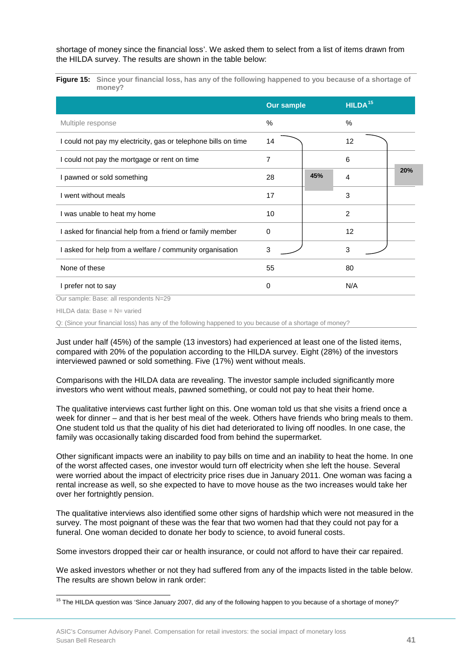shortage of money since the financial loss'. We asked them to select from a list of items drawn from the HILDA survey. The results are shown in the table below:

**Figure 15: Since your financial loss, has any of the following happened to you because of a shortage of money?**

|                                                                | <b>Our sample</b> |     | HILDA <sup>15</sup> |     |
|----------------------------------------------------------------|-------------------|-----|---------------------|-----|
| Multiple response                                              | $\frac{0}{0}$     |     | $\frac{0}{0}$       |     |
| I could not pay my electricity, gas or telephone bills on time | 14                |     | 12                  |     |
| I could not pay the mortgage or rent on time                   | 7                 |     | 6                   |     |
| I pawned or sold something                                     | 28                | 45% | 4                   | 20% |
| I went without meals                                           | 17                |     | 3                   |     |
| I was unable to heat my home                                   | 10                |     | $\overline{2}$      |     |
| I asked for financial help from a friend or family member      | $\Omega$          |     | 12                  |     |
| I asked for help from a welfare / community organisation       | 3                 |     | 3                   |     |
| None of these                                                  | 55                |     | 80                  |     |
| I prefer not to say                                            | 0                 |     | N/A                 |     |

Our sample: Base: all respondents N=29

HILDA data: Base = N= varied

Q: (Since your financial loss) has any of the following happened to you because of a shortage of money?

Just under half (45%) of the sample (13 investors) had experienced at least one of the listed items, compared with 20% of the population according to the HILDA survey. Eight (28%) of the investors interviewed pawned or sold something. Five (17%) went without meals.

Comparisons with the HILDA data are revealing. The investor sample included significantly more investors who went without meals, pawned something, or could not pay to heat their home.

The qualitative interviews cast further light on this. One woman told us that she visits a friend once a week for dinner – and that is her best meal of the week. Others have friends who bring meals to them. One student told us that the quality of his diet had deteriorated to living off noodles. In one case, the family was occasionally taking discarded food from behind the supermarket.

Other significant impacts were an inability to pay bills on time and an inability to heat the home. In one of the worst affected cases, one investor would turn off electricity when she left the house. Several were worried about the impact of electricity price rises due in January 2011. One woman was facing a rental increase as well, so she expected to have to move house as the two increases would take her over her fortnightly pension.

The qualitative interviews also identified some other signs of hardship which were not measured in the survey. The most poignant of these was the fear that two women had that they could not pay for a funeral. One woman decided to donate her body to science, to avoid funeral costs.

Some investors dropped their car or health insurance, or could not afford to have their car repaired.

We asked investors whether or not they had suffered from any of the impacts listed in the table below. The results are shown below in rank order:

<span id="page-41-0"></span>ŧ <sup>15</sup> The HILDA question was 'Since January 2007, did any of the following happen to you because of a shortage of money?'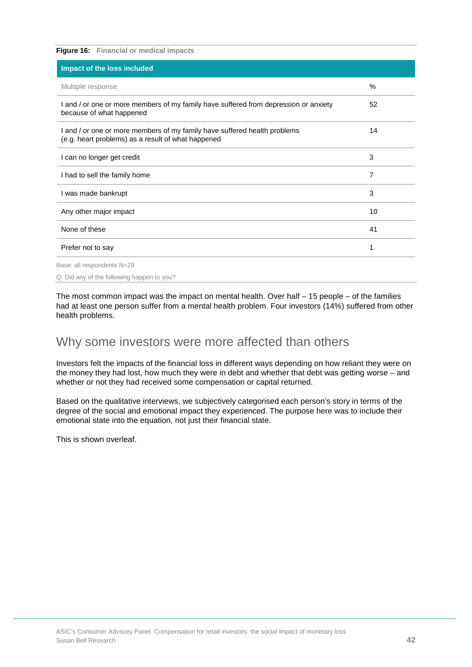| <b>Figure 16:</b> Financial or medical impacts                                                                                  |                |
|---------------------------------------------------------------------------------------------------------------------------------|----------------|
| Impact of the loss included                                                                                                     |                |
| Multiple response                                                                                                               | $\%$           |
| I and / or one or more members of my family have suffered from depression or anxiety<br>because of what happened                | 52             |
| I and / or one or more members of my family have suffered health problems<br>(e.g. heart problems) as a result of what happened | 14             |
| I can no longer get credit                                                                                                      | 3              |
| I had to sell the family home                                                                                                   | $\overline{7}$ |
| I was made bankrupt                                                                                                             | 3              |
| Any other major impact                                                                                                          | 10             |
| None of these                                                                                                                   | 41             |
| Prefer not to say                                                                                                               | 1              |
| Base: all respondents N=29                                                                                                      |                |
| Q: Did any of the following happen to you?                                                                                      |                |

The most common impact was the impact on mental health. Over half – 15 people – of the families had at least one person suffer from a mental health problem. Four investors (14%) suffered from other health problems.

### Why some investors were more affected than others

Investors felt the impacts of the financial loss in different ways depending on how reliant they were on the money they had lost, how much they were in debt and whether that debt was getting worse – and whether or not they had received some compensation or capital returned.

Based on the qualitative interviews, we subjectively categorised each person's story in terms of the degree of the social and emotional impact they experienced. The purpose here was to include their emotional state into the equation, not just their financial state.

This is shown overleaf.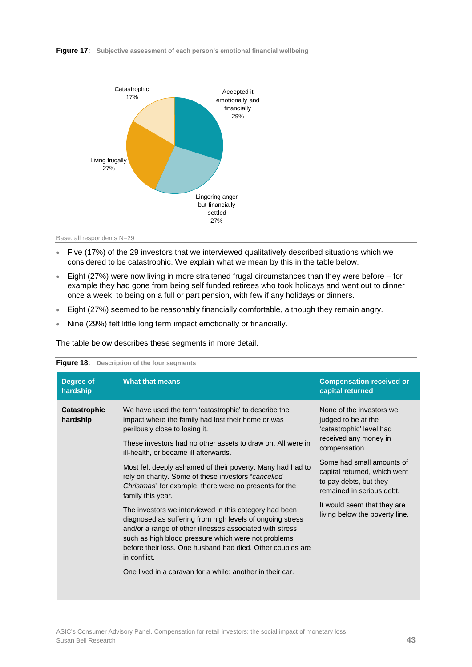#### **Figure 17: Subjective assessment of each person's emotional financial wellbeing**





- Five (17%) of the 29 investors that we interviewed qualitatively described situations which we considered to be catastrophic. We explain what we mean by this in the table below.
- Eight (27%) were now living in more straitened frugal circumstances than they were before for example they had gone from being self funded retirees who took holidays and went out to dinner once a week, to being on a full or part pension, with few if any holidays or dinners.
- Eight (27%) seemed to be reasonably financially comfortable, although they remain angry.
- Nine (29%) felt little long term impact emotionally or financially.

The table below describes these segments in more detail.

| Degree of<br>hardship    | <b>What that means</b>                                                                                                                                                                                                                                                                                               | <b>Compensation received or</b><br>capital returned                                                              |
|--------------------------|----------------------------------------------------------------------------------------------------------------------------------------------------------------------------------------------------------------------------------------------------------------------------------------------------------------------|------------------------------------------------------------------------------------------------------------------|
| Catastrophic<br>hardship | We have used the term 'catastrophic' to describe the<br>impact where the family had lost their home or was<br>perilously close to losing it.                                                                                                                                                                         | None of the investors we<br>judged to be at the<br>'catastrophic' level had                                      |
|                          | These investors had no other assets to draw on. All were in<br>ill-health, or became ill afterwards.                                                                                                                                                                                                                 | received any money in<br>compensation.                                                                           |
|                          | Most felt deeply ashamed of their poverty. Many had had to<br>rely on charity. Some of these investors "cancelled<br>Christmas" for example; there were no presents for the<br>family this year.                                                                                                                     | Some had small amounts of<br>capital returned, which went<br>to pay debts, but they<br>remained in serious debt. |
|                          | The investors we interviewed in this category had been<br>diagnosed as suffering from high levels of ongoing stress<br>and/or a range of other illnesses associated with stress<br>such as high blood pressure which were not problems<br>before their loss. One husband had died. Other couples are<br>in conflict. | It would seem that they are<br>living below the poverty line.                                                    |
|                          | One lived in a caravan for a while; another in their car.                                                                                                                                                                                                                                                            |                                                                                                                  |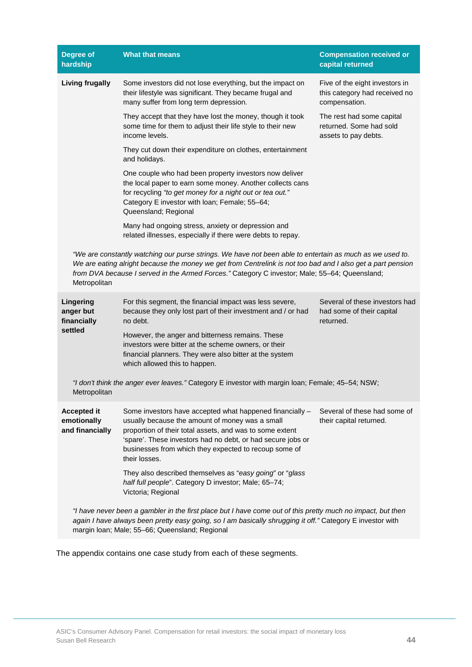| <b>Degree of</b><br>hardship                                                                                                                                                                                                                                               | <b>What that means</b>                                                                                                                                                                                                                                                                                                   | <b>Compensation received or</b><br>capital returned                              |  |  |
|----------------------------------------------------------------------------------------------------------------------------------------------------------------------------------------------------------------------------------------------------------------------------|--------------------------------------------------------------------------------------------------------------------------------------------------------------------------------------------------------------------------------------------------------------------------------------------------------------------------|----------------------------------------------------------------------------------|--|--|
| <b>Living frugally</b>                                                                                                                                                                                                                                                     | Some investors did not lose everything, but the impact on<br>their lifestyle was significant. They became frugal and<br>many suffer from long term depression.                                                                                                                                                           | Five of the eight investors in<br>this category had received no<br>compensation. |  |  |
|                                                                                                                                                                                                                                                                            | They accept that they have lost the money, though it took<br>some time for them to adjust their life style to their new<br>income levels.                                                                                                                                                                                | The rest had some capital<br>returned. Some had sold<br>assets to pay debts.     |  |  |
|                                                                                                                                                                                                                                                                            | They cut down their expenditure on clothes, entertainment<br>and holidays.                                                                                                                                                                                                                                               |                                                                                  |  |  |
|                                                                                                                                                                                                                                                                            | One couple who had been property investors now deliver<br>the local paper to earn some money. Another collects cans<br>for recycling "to get money for a night out or tea out."<br>Category E investor with loan; Female; 55-64;<br>Queensland; Regional                                                                 |                                                                                  |  |  |
|                                                                                                                                                                                                                                                                            | Many had ongoing stress, anxiety or depression and<br>related illnesses, especially if there were debts to repay.                                                                                                                                                                                                        |                                                                                  |  |  |
| Metropolitan                                                                                                                                                                                                                                                               | "We are constantly watching our purse strings. We have not been able to entertain as much as we used to.<br>We are eating alright because the money we get from Centrelink is not too bad and I also get a part pension<br>from DVA because I served in the Armed Forces." Category C investor; Male; 55-64; Queensland; |                                                                                  |  |  |
| Lingering<br>anger but<br>financially                                                                                                                                                                                                                                      | For this segment, the financial impact was less severe,<br>because they only lost part of their investment and / or had<br>no debt.                                                                                                                                                                                      | Several of these investors had<br>had some of their capital<br>returned.         |  |  |
| settled                                                                                                                                                                                                                                                                    | However, the anger and bitterness remains. These<br>investors were bitter at the scheme owners, or their<br>financial planners. They were also bitter at the system<br>which allowed this to happen.                                                                                                                     |                                                                                  |  |  |
| Metropolitan                                                                                                                                                                                                                                                               | "I don't think the anger ever leaves." Category E investor with margin loan; Female; 45-54; NSW;                                                                                                                                                                                                                         |                                                                                  |  |  |
| <b>Accepted it</b><br>emotionally<br>and financially                                                                                                                                                                                                                       | Some investors have accepted what happened financially -<br>usually because the amount of money was a small<br>proportion of their total assets, and was to some extent<br>'spare'. These investors had no debt, or had secure jobs or<br>businesses from which they expected to recoup some of<br>their losses.         | Several of these had some of<br>their capital returned.                          |  |  |
|                                                                                                                                                                                                                                                                            | They also described themselves as "easy going" or "glass<br>half full people". Category D investor; Male; 65-74;<br>Victoria; Regional                                                                                                                                                                                   |                                                                                  |  |  |
| "I have never been a gambler in the first place but I have come out of this pretty much no impact, but then<br>again I have always been pretty easy going, so I am basically shrugging it off." Category E investor with<br>margin Ioan; Male; 55-66; Queensland; Regional |                                                                                                                                                                                                                                                                                                                          |                                                                                  |  |  |

The appendix contains one case study from each of these segments.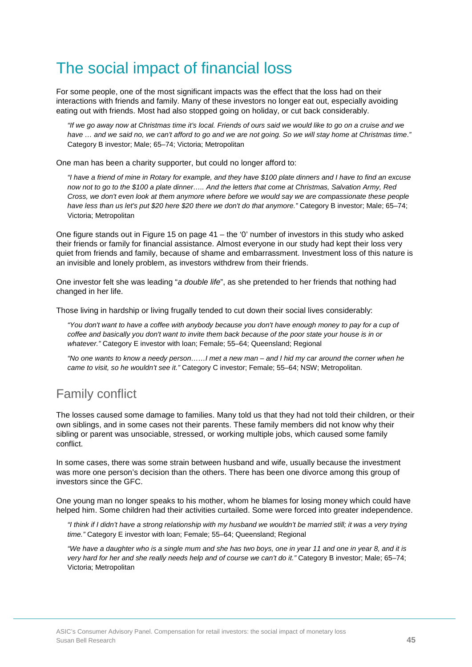# The social impact of financial loss

For some people, one of the most significant impacts was the effect that the loss had on their interactions with friends and family. Many of these investors no longer eat out, especially avoiding eating out with friends. Most had also stopped going on holiday, or cut back considerably.

*"If we go away now at Christmas time it's local. Friends of ours said we would like to go on a cruise and we*  have ... and we said no, we can't afford to go and we are not going. So we will stay home at Christmas time." Category B investor; Male; 65–74; Victoria; Metropolitan

One man has been a charity supporter, but could no longer afford to:

*"I have a friend of mine in Rotary for example, and they have \$100 plate dinners and I have to find an excuse now not to go to the \$100 a plate dinner….. And the letters that come at Christmas, Salvation Army, Red Cross, we don't even look at them anymore where before we would say we are compassionate these people have less than us let's put \$20 here \$20 there we don't do that anymore."* Category B investor; Male; 65–74; Victoria; Metropolitan

One figure stands out in Figure 15 on page  $41 -$  the '0' number of investors in this study who asked their friends or family for financial assistance. Almost everyone in our study had kept their loss very quiet from friends and family, because of shame and embarrassment. Investment loss of this nature is an invisible and lonely problem, as investors withdrew from their friends.

One investor felt she was leading "*a double life*", as she pretended to her friends that nothing had changed in her life.

Those living in hardship or living frugally tended to cut down their social lives considerably:

*"You don't want to have a coffee with anybody because you don't have enough money to pay for a cup of coffee and basically you don't want to invite them back because of the poor state your house is in or whatever."* Category E investor with loan; Female; 55–64; Queensland; Regional

*"No one wants to know a needy person……I met a new man – and I hid my car around the corner when he came to visit, so he wouldn't see it."* Category C investor; Female; 55–64; NSW; Metropolitan.

## Family conflict

The losses caused some damage to families. Many told us that they had not told their children, or their own siblings, and in some cases not their parents. These family members did not know why their sibling or parent was unsociable, stressed, or working multiple jobs, which caused some family conflict.

In some cases, there was some strain between husband and wife, usually because the investment was more one person's decision than the others. There has been one divorce among this group of investors since the GFC.

One young man no longer speaks to his mother, whom he blames for losing money which could have helped him. Some children had their activities curtailed. Some were forced into greater independence.

*"I think if I didn't have a strong relationship with my husband we wouldn't be married still; it was a very trying time."* Category E investor with loan; Female; 55–64; Queensland; Regional

*"We have a daughter who is a single mum and she has two boys, one in year 11 and one in year 8, and it is very hard for her and she really needs help and of course we can't do it."* Category B investor; Male; 65–74; Victoria; Metropolitan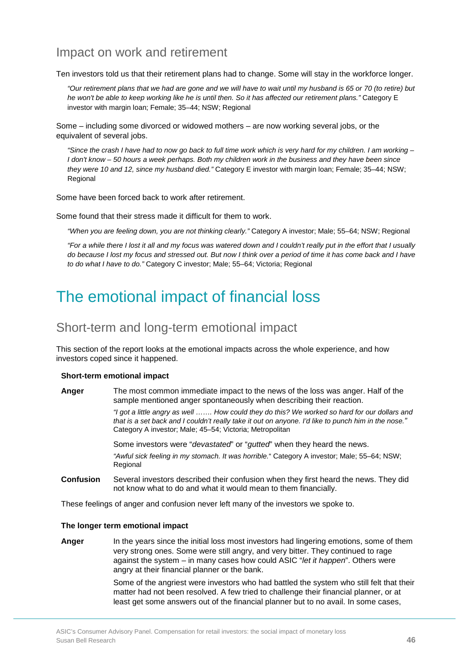### Impact on work and retirement

Ten investors told us that their retirement plans had to change. Some will stay in the workforce longer.

*"Our retirement plans that we had are gone and we will have to wait until my husband is 65 or 70 (to retire) but he won't be able to keep working like he is until then. So it has affected our retirement plans."* Category E investor with margin loan; Female; 35–44; NSW; Regional

Some – including some divorced or widowed mothers – are now working several jobs, or the equivalent of several jobs.

*"Since the crash I have had to now go back to full time work which is very hard for my children. I am working – I* don't know – 50 hours a week perhaps. Both my children work in the business and they have been since *they were 10 and 12, since my husband died."* Category E investor with margin loan; Female; 35–44; NSW; Regional

Some have been forced back to work after retirement.

Some found that their stress made it difficult for them to work.

*"When you are feeling down, you are not thinking clearly."* Category A investor; Male; 55–64; NSW; Regional

*"For a while there I lost it all and my focus was watered down and I couldn't really put in the effort that I usually do because I lost my focus and stressed out. But now I think over a period of time it has come back and I have to do what I have to do."* Category C investor; Male; 55–64; Victoria; Regional

## The emotional impact of financial loss

### Short-term and long-term emotional impact

This section of the report looks at the emotional impacts across the whole experience, and how investors coped since it happened.

#### **Short-term emotional impact**

**Anger** The most common immediate impact to the news of the loss was anger. Half of the sample mentioned anger spontaneously when describing their reaction.

> *"I got a little angry as well ……. How could they do this? We worked so hard for our dollars and that is a set back and I couldn't really take it out on anyone. I'd like to punch him in the nose."* Category A investor; Male; 45–54; Victoria; Metropolitan

Some investors were "*devastated*" or "*gutted*" when they heard the news. *"Awful sick feeling in my stomach. It was horrible.*" Category A investor; Male; 55–64; NSW; Regional

**Confusion** Several investors described their confusion when they first heard the news. They did not know what to do and what it would mean to them financially.

These feelings of anger and confusion never left many of the investors we spoke to.

#### **The longer term emotional impact**

**Anger** In the years since the initial loss most investors had lingering emotions, some of them very strong ones. Some were still angry, and very bitter. They continued to rage against the system – in many cases how could ASIC "*let it happen*". Others were angry at their financial planner or the bank.

> Some of the angriest were investors who had battled the system who still felt that their matter had not been resolved. A few tried to challenge their financial planner, or at least get some answers out of the financial planner but to no avail. In some cases,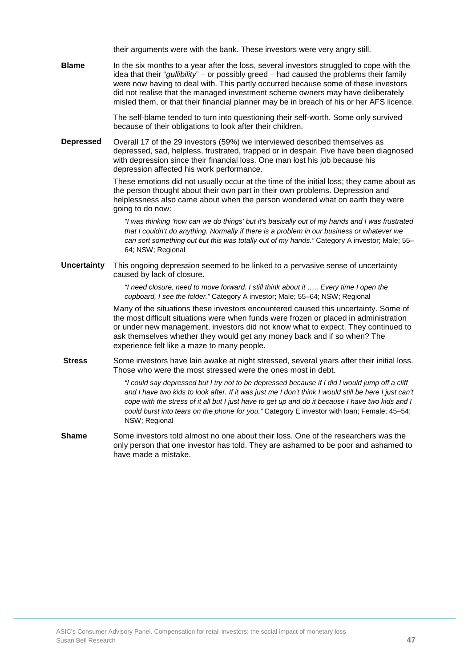their arguments were with the bank. These investors were very angry still.

**Blame** In the six months to a year after the loss, several investors struggled to cope with the idea that their "*gullibility*" – or possibly greed – had caused the problems their family were now having to deal with. This partly occurred because some of these investors did not realise that the managed investment scheme owners may have deliberately misled them, or that their financial planner may be in breach of his or her AFS licence.

> The self-blame tended to turn into questioning their self-worth. Some only survived because of their obligations to look after their children.

**Depressed** Overall 17 of the 29 investors (59%) we interviewed described themselves as depressed, sad, helpless, frustrated, trapped or in despair. Five have been diagnosed with depression since their financial loss. One man lost his job because his depression affected his work performance.

> These emotions did not usually occur at the time of the initial loss; they came about as the person thought about their own part in their own problems. Depression and helplessness also came about when the person wondered what on earth they were going to do now:

*"I was thinking 'how can we do things' but it's basically out of my hands and I was frustrated that I couldn't do anything. Normally if there is a problem in our business or whatever we can sort something out but this was totally out of my hands."* Category A investor; Male; 55– 64; NSW; Regional

**Uncertainty** This ongoing depression seemed to be linked to a pervasive sense of uncertainty caused by lack of closure.

> *"I need closure, need to move forward. I still think about it ….. Every time I open the cupboard, I see the folder."* Category A investor; Male; 55–64; NSW; Regional

Many of the situations these investors encountered caused this uncertainty. Some of the most difficult situations were when funds were frozen or placed in administration or under new management, investors did not know what to expect. They continued to ask themselves whether they would get any money back and if so when? The experience felt like a maze to many people.

**Stress** Some investors have lain awake at night stressed, several years after their initial loss. Those who were the most stressed were the ones most in debt.

> *"I could say depressed but I try not to be depressed because if I did I would jump off a cliff and I have two kids to look after. If it was just me I don't think I would still be here I just can't cope with the stress of it all but I just have to get up and do it because I have two kids and I could burst into tears on the phone for you."* Category E investor with loan; Female; 45–54; NSW; Regional

**Shame** Some investors told almost no one about their loss. One of the researchers was the only person that one investor has told. They are ashamed to be poor and ashamed to have made a mistake.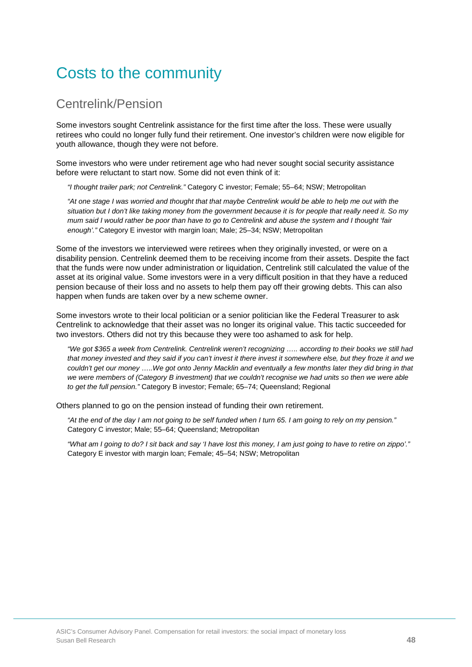# Costs to the community

### Centrelink/Pension

Some investors sought Centrelink assistance for the first time after the loss. These were usually retirees who could no longer fully fund their retirement. One investor's children were now eligible for youth allowance, though they were not before.

Some investors who were under retirement age who had never sought social security assistance before were reluctant to start now. Some did not even think of it:

*"I thought trailer park; not Centrelink."* Category C investor; Female; 55–64; NSW; Metropolitan

*"At one stage I was worried and thought that that maybe Centrelink would be able to help me out with the situation but I don't like taking money from the government because it is for people that really need it. So my mum said I would rather be poor than have to go to Centrelink and abuse the system and I thought 'fair enough'."* Category E investor with margin loan; Male; 25–34; NSW; Metropolitan

Some of the investors we interviewed were retirees when they originally invested, or were on a disability pension. Centrelink deemed them to be receiving income from their assets. Despite the fact that the funds were now under administration or liquidation, Centrelink still calculated the value of the asset at its original value. Some investors were in a very difficult position in that they have a reduced pension because of their loss and no assets to help them pay off their growing debts. This can also happen when funds are taken over by a new scheme owner.

Some investors wrote to their local politician or a senior politician like the Federal Treasurer to ask Centrelink to acknowledge that their asset was no longer its original value. This tactic succeeded for two investors. Others did not try this because they were too ashamed to ask for help.

*"We got \$365 a week from Centrelink. Centrelink weren't recognizing ….. according to their books we still had that money invested and they said if you can't invest it there invest it somewhere else, but they froze it and we*  couldn't get our money .....We got onto Jenny Macklin and eventually a few months later they did bring in that *we were members of (Category B investment) that we couldn't recognise we had units so then we were able to get the full pension."* Category B investor; Female; 65–74; Queensland; Regional

Others planned to go on the pension instead of funding their own retirement.

*"At the end of the day I am not going to be self funded when I turn 65. I am going to rely on my pension."* Category C investor; Male; 55–64; Queensland; Metropolitan

*"What am I going to do? I sit back and say 'I have lost this money, I am just going to have to retire on zippo'."* Category E investor with margin loan; Female; 45–54; NSW; Metropolitan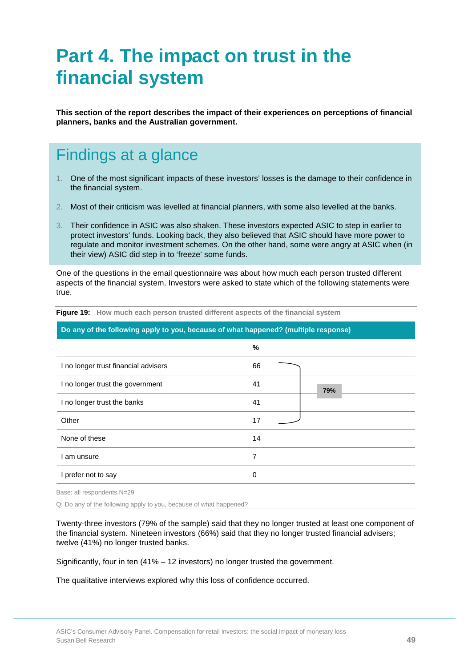# **Part 4. The impact on trust in the financial system**

**This section of the report describes the impact of their experiences on perceptions of financial planners, banks and the Australian government.**

# Findings at a glance

- 1. One of the most significant impacts of these investors' losses is the damage to their confidence in the financial system.
- 2. Most of their criticism was levelled at financial planners, with some also levelled at the banks.
- 3. Their confidence in ASIC was also shaken. These investors expected ASIC to step in earlier to protect investors' funds. Looking back, they also believed that ASIC should have more power to regulate and monitor investment schemes. On the other hand, some were angry at ASIC when (in their view) ASIC did step in to 'freeze' some funds.

One of the questions in the email questionnaire was about how much each person trusted different aspects of the financial system. Investors were asked to state which of the following statements were true.

| <u>20 any of the following apply to you, booddoo of miat happened: (inditiple response)</u> |             |     |  |
|---------------------------------------------------------------------------------------------|-------------|-----|--|
|                                                                                             | %           |     |  |
| I no longer trust financial advisers                                                        | 66          |     |  |
| I no longer trust the government                                                            | 41          | 79% |  |
| I no longer trust the banks                                                                 | 41          |     |  |
| Other                                                                                       | 17          |     |  |
| None of these                                                                               | 14          |     |  |
| l am unsure                                                                                 | 7           |     |  |
| I prefer not to say                                                                         | $\mathbf 0$ |     |  |
|                                                                                             |             |     |  |

**Figure 19: How much each person trusted different aspects of the financial system**

**Do any of the following apply to you, because of what happened? (multiple response)**

Base: all respondents N=29

Q: Do any of the following apply to you, because of what happened?

Twenty-three investors (79% of the sample) said that they no longer trusted at least one component of the financial system. Nineteen investors (66%) said that they no longer trusted financial advisers; twelve (41%) no longer trusted banks.

Significantly, four in ten (41% – 12 investors) no longer trusted the government.

The qualitative interviews explored why this loss of confidence occurred.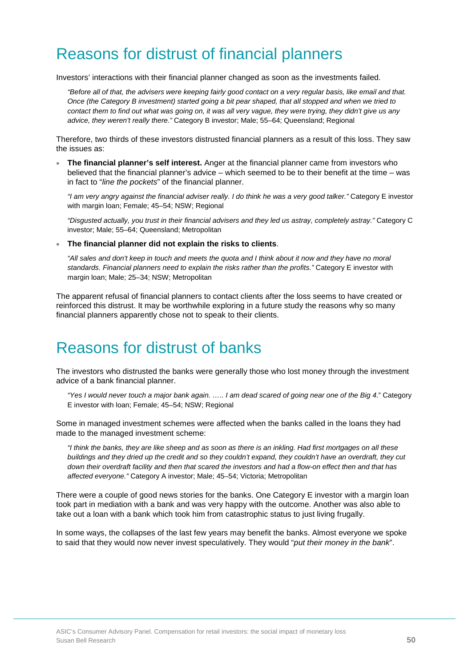## Reasons for distrust of financial planners

Investors' interactions with their financial planner changed as soon as the investments failed.

*"Before all of that, the advisers were keeping fairly good contact on a very regular basis, like email and that. Once (the Category B investment) started going a bit pear shaped, that all stopped and when we tried to contact them to find out what was going on, it was all very vague, they were trying, they didn't give us any advice, they weren't really there."* Category B investor; Male; 55–64; Queensland; Regional

Therefore, two thirds of these investors distrusted financial planners as a result of this loss. They saw the issues as:

• **The financial planner's self interest.** Anger at the financial planner came from investors who believed that the financial planner's advice – which seemed to be to their benefit at the time – was in fact to "*line the pockets*" of the financial planner.

*"I am very angry against the financial adviser really. I do think he was a very good talker."* Category E investor with margin loan; Female; 45–54; NSW; Regional

*"Disgusted actually, you trust in their financial advisers and they led us astray, completely astray."* Category C investor; Male; 55–64; Queensland; Metropolitan

#### • **The financial planner did not explain the risks to clients**.

*"All sales and don't keep in touch and meets the quota and I think about it now and they have no moral standards. Financial planners need to explain the risks rather than the profits."* Category E investor with margin loan; Male; 25–34; NSW; Metropolitan

The apparent refusal of financial planners to contact clients after the loss seems to have created or reinforced this distrust. It may be worthwhile exploring in a future study the reasons why so many financial planners apparently chose not to speak to their clients.

## Reasons for distrust of banks

The investors who distrusted the banks were generally those who lost money through the investment advice of a bank financial planner.

*"Yes I would never touch a major bank again. ….. I am dead scared of going near one of the Big 4*." Category E investor with loan; Female; 45–54; NSW; Regional

Some in managed investment schemes were affected when the banks called in the loans they had made to the managed investment scheme:

*"I think the banks, they are like sheep and as soon as there is an inkling. Had first mortgages on all these buildings and they dried up the credit and so they couldn't expand, they couldn't have an overdraft, they cut down their overdraft facility and then that scared the investors and had a flow-on effect then and that has affected everyone."* Category A investor; Male; 45–54; Victoria; Metropolitan

There were a couple of good news stories for the banks. One Category E investor with a margin loan took part in mediation with a bank and was very happy with the outcome. Another was also able to take out a loan with a bank which took him from catastrophic status to just living frugally.

In some ways, the collapses of the last few years may benefit the banks. Almost everyone we spoke to said that they would now never invest speculatively. They would "*put their money in the bank*".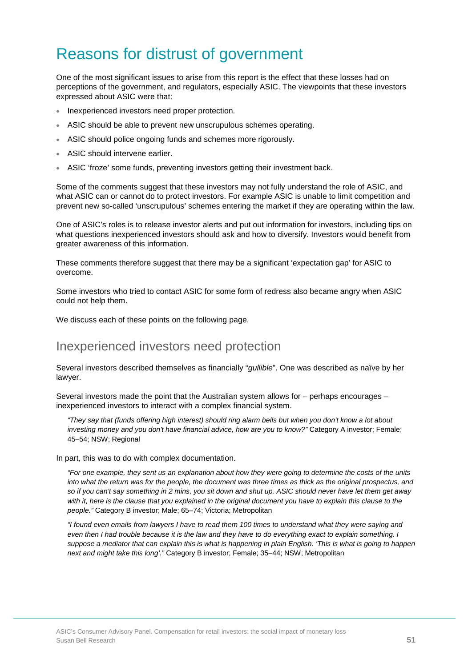# Reasons for distrust of government

One of the most significant issues to arise from this report is the effect that these losses had on perceptions of the government, and regulators, especially ASIC. The viewpoints that these investors expressed about ASIC were that:

- Inexperienced investors need proper protection.
- ASIC should be able to prevent new unscrupulous schemes operating.
- ASIC should police ongoing funds and schemes more rigorously.
- ASIC should intervene earlier.
- ASIC 'froze' some funds, preventing investors getting their investment back.

Some of the comments suggest that these investors may not fully understand the role of ASIC, and what ASIC can or cannot do to protect investors. For example ASIC is unable to limit competition and prevent new so-called 'unscrupulous' schemes entering the market if they are operating within the law.

One of ASIC's roles is to release investor alerts and put out information for investors, including tips on what questions inexperienced investors should ask and how to diversify. Investors would benefit from greater awareness of this information.

These comments therefore suggest that there may be a significant 'expectation gap' for ASIC to overcome.

Some investors who tried to contact ASIC for some form of redress also became angry when ASIC could not help them.

We discuss each of these points on the following page.

### Inexperienced investors need protection

Several investors described themselves as financially "*gullible*". One was described as naïve by her lawyer.

Several investors made the point that the Australian system allows for – perhaps encourages – inexperienced investors to interact with a complex financial system.

*"They say that (funds offering high interest) should ring alarm bells but when you don't know a lot about*  investing money and you don't have financial advice, how are you to know?" Category A investor; Female; 45–54; NSW; Regional

In part, this was to do with complex documentation.

*"For one example, they sent us an explanation about how they were going to determine the costs of the units into what the return was for the people, the document was three times as thick as the original prospectus, and so if you can't say something in 2 mins, you sit down and shut up. ASIC should never have let them get away with it, here is the clause that you explained in the original document you have to explain this clause to the people."* Category B investor; Male; 65–74; Victoria; Metropolitan

*"I found even emails from lawyers I have to read them 100 times to understand what they were saying and even then I had trouble because it is the law and they have to do everything exact to explain something. I suppose a mediator that can explain this is what is happening in plain English. 'This is what is going to happen next and might take this long'."* Category B investor; Female; 35–44; NSW; Metropolitan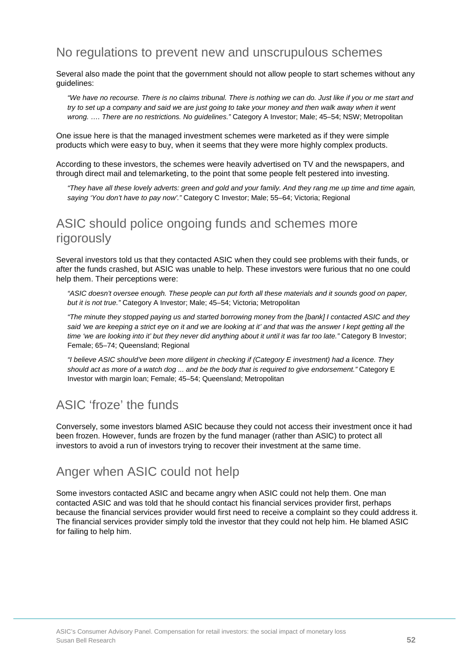### No regulations to prevent new and unscrupulous schemes

Several also made the point that the government should not allow people to start schemes without any guidelines:

*"We have no recourse. There is no claims tribunal. There is nothing we can do. Just like if you or me start and*  try to set up a company and said we are just going to take your money and then walk away when it went *wrong. …. There are no restrictions. No guidelines."* Category A Investor; Male; 45–54; NSW; Metropolitan

One issue here is that the managed investment schemes were marketed as if they were simple products which were easy to buy, when it seems that they were more highly complex products.

According to these investors, the schemes were heavily advertised on TV and the newspapers, and through direct mail and telemarketing, to the point that some people felt pestered into investing.

*"They have all these lovely adverts: green and gold and your family. And they rang me up time and time again, saying 'You don't have to pay now'."* Category C Investor; Male; 55–64; Victoria; Regional

### ASIC should police ongoing funds and schemes more rigorously

Several investors told us that they contacted ASIC when they could see problems with their funds, or after the funds crashed, but ASIC was unable to help. These investors were furious that no one could help them. Their perceptions were:

*"ASIC doesn't oversee enough. These people can put forth all these materials and it sounds good on paper, but it is not true."* Category A Investor; Male; 45–54; Victoria; Metropolitan

*"The minute they stopped paying us and started borrowing money from the [bank] I contacted ASIC and they*  said 'we are keeping a strict eye on it and we are looking at it' and that was the answer I kept getting all the *time 'we are looking into it' but they never did anything about it until it was far too late."* Category B Investor; Female; 65–74; Queensland; Regional

*"I believe ASIC should've been more diligent in checking if (Category E investment) had a licence. They should act as more of a watch dog ... and be the body that is required to give endorsement."* Category E Investor with margin loan; Female; 45–54; Queensland; Metropolitan

## ASIC 'froze' the funds

Conversely, some investors blamed ASIC because they could not access their investment once it had been frozen. However, funds are frozen by the fund manager (rather than ASIC) to protect all investors to avoid a run of investors trying to recover their investment at the same time.

### Anger when ASIC could not help

Some investors contacted ASIC and became angry when ASIC could not help them. One man contacted ASIC and was told that he should contact his financial services provider first, perhaps because the financial services provider would first need to receive a complaint so they could address it. The financial services provider simply told the investor that they could not help him. He blamed ASIC for failing to help him.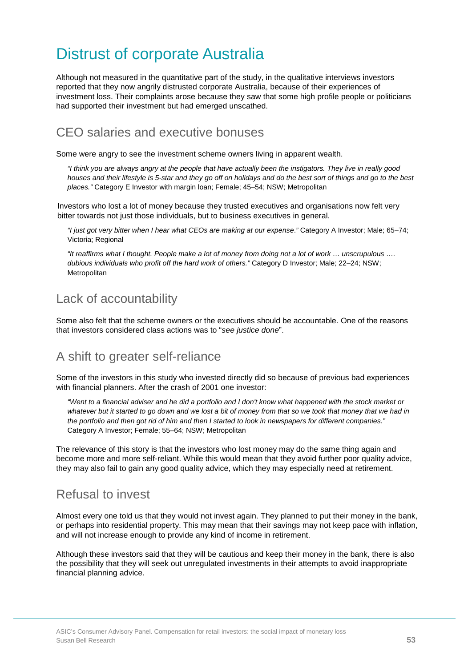# Distrust of corporate Australia

Although not measured in the quantitative part of the study, in the qualitative interviews investors reported that they now angrily distrusted corporate Australia, because of their experiences of investment loss. Their complaints arose because they saw that some high profile people or politicians had supported their investment but had emerged unscathed.

## CEO salaries and executive bonuses

Some were angry to see the investment scheme owners living in apparent wealth.

*"I think you are always angry at the people that have actually been the instigators. They live in really good houses and their lifestyle is 5-star and they go off on holidays and do the best sort of things and go to the best places."* Category E Investor with margin loan; Female; 45–54; NSW; Metropolitan

Investors who lost a lot of money because they trusted executives and organisations now felt very bitter towards not just those individuals, but to business executives in general.

*"I just got very bitter when I hear what CEOs are making at our expense*.*"* Category A Investor; Male; 65–74; Victoria; Regional

*"It reaffirms what I thought. People make a lot of money from doing not a lot of work … unscrupulous …. dubious individuals who profit off the hard work of others."* Category D Investor; Male; 22–24; NSW; Metropolitan

## Lack of accountability

Some also felt that the scheme owners or the executives should be accountable. One of the reasons that investors considered class actions was to "*see justice done*".

### A shift to greater self-reliance

Some of the investors in this study who invested directly did so because of previous bad experiences with financial planners. After the crash of 2001 one investor:

*"Went to a financial adviser and he did a portfolio and I don't know what happened with the stock market or whatever but it started to go down and we lost a bit of money from that so we took that money that we had in the portfolio and then got rid of him and then I started to look in newspapers for different companies."* Category A Investor; Female; 55–64; NSW; Metropolitan

The relevance of this story is that the investors who lost money may do the same thing again and become more and more self-reliant. While this would mean that they avoid further poor quality advice, they may also fail to gain any good quality advice, which they may especially need at retirement.

### Refusal to invest

Almost every one told us that they would not invest again. They planned to put their money in the bank, or perhaps into residential property. This may mean that their savings may not keep pace with inflation, and will not increase enough to provide any kind of income in retirement.

Although these investors said that they will be cautious and keep their money in the bank, there is also the possibility that they will seek out unregulated investments in their attempts to avoid inappropriate financial planning advice.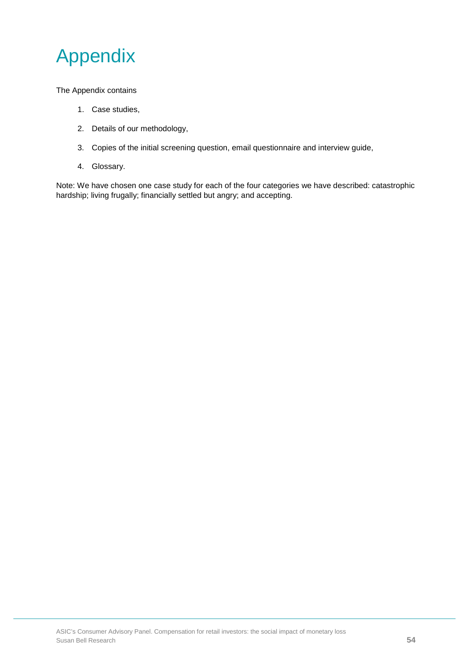

The Appendix contains

- 1. Case studies,
- 2. Details of our methodology,
- 3. Copies of the initial screening question, email questionnaire and interview guide,
- 4. Glossary.

Note: We have chosen one case study for each of the four categories we have described: catastrophic hardship; living frugally; financially settled but angry; and accepting.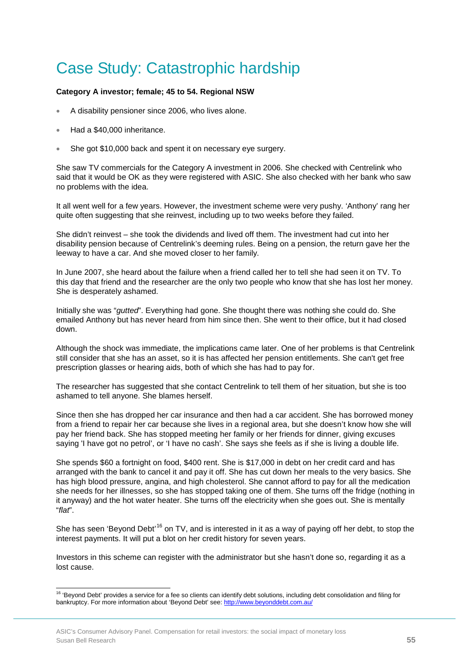# Case Study: Catastrophic hardship

### **Category A investor; female; 45 to 54. Regional NSW**

- A disability pensioner since 2006, who lives alone.
- Had a \$40,000 inheritance.
- She got \$10,000 back and spent it on necessary eye surgery.

She saw TV commercials for the Category A investment in 2006. She checked with Centrelink who said that it would be OK as they were registered with ASIC. She also checked with her bank who saw no problems with the idea.

It all went well for a few years. However, the investment scheme were very pushy. 'Anthony' rang her quite often suggesting that she reinvest, including up to two weeks before they failed.

She didn't reinvest – she took the dividends and lived off them. The investment had cut into her disability pension because of Centrelink's deeming rules. Being on a pension, the return gave her the leeway to have a car. And she moved closer to her family.

In June 2007, she heard about the failure when a friend called her to tell she had seen it on TV. To this day that friend and the researcher are the only two people who know that she has lost her money. She is desperately ashamed.

Initially she was "*gutted*". Everything had gone. She thought there was nothing she could do. She emailed Anthony but has never heard from him since then. She went to their office, but it had closed down.

Although the shock was immediate, the implications came later. One of her problems is that Centrelink still consider that she has an asset, so it is has affected her pension entitlements. She can't get free prescription glasses or hearing aids, both of which she has had to pay for.

The researcher has suggested that she contact Centrelink to tell them of her situation, but she is too ashamed to tell anyone. She blames herself.

Since then she has dropped her car insurance and then had a car accident. She has borrowed money from a friend to repair her car because she lives in a regional area, but she doesn't know how she will pay her friend back. She has stopped meeting her family or her friends for dinner, giving excuses saying 'I have got no petrol', or 'I have no cash'. She says she feels as if she is living a double life.

She spends \$60 a fortnight on food, \$400 rent. She is \$17,000 in debt on her credit card and has arranged with the bank to cancel it and pay it off. She has cut down her meals to the very basics. She has high blood pressure, angina, and high cholesterol. She cannot afford to pay for all the medication she needs for her illnesses, so she has stopped taking one of them. She turns off the fridge (nothing in it anyway) and the hot water heater. She turns off the electricity when she goes out. She is mentally "*flat*".

She has seen 'Beyond Debt'<sup>[16](#page-41-0)</sup> on TV, and is interested in it as a way of paying off her debt, to stop the interest payments. It will put a blot on her credit history for seven years.

Investors in this scheme can register with the administrator but she hasn't done so, regarding it as a lost cause.

<span id="page-55-0"></span>ŧ <sup>16</sup> 'Beyond Debt' provides a service for a fee so clients can identify debt solutions, including debt consolidation and filing for bankruptcy. For more information about 'Beyond Debt' see: http://www.beyonddebt.com.au/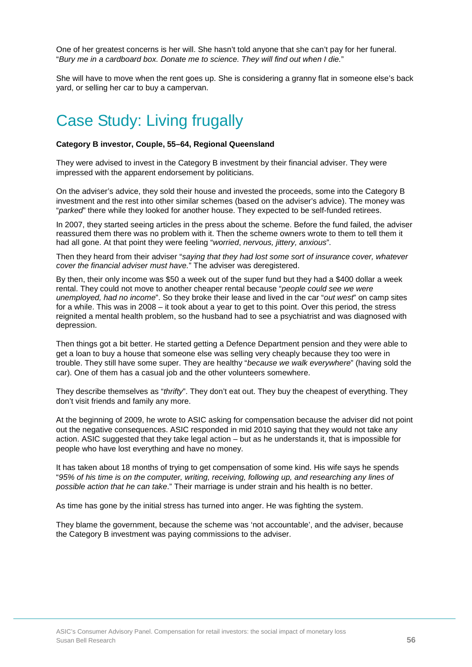One of her greatest concerns is her will. She hasn't told anyone that she can't pay for her funeral. "*Bury me in a cardboard box. Donate me to science. They will find out when I die.*"

She will have to move when the rent goes up. She is considering a granny flat in someone else's back yard, or selling her car to buy a campervan.

# Case Study: Living frugally

#### **Category B investor, Couple, 55–64, Regional Queensland**

They were advised to invest in the Category B investment by their financial adviser. They were impressed with the apparent endorsement by politicians.

On the adviser's advice, they sold their house and invested the proceeds, some into the Category B investment and the rest into other similar schemes (based on the adviser's advice). The money was "*parked*" there while they looked for another house. They expected to be self-funded retirees.

In 2007, they started seeing articles in the press about the scheme. Before the fund failed, the adviser reassured them there was no problem with it. Then the scheme owners wrote to them to tell them it had all gone. At that point they were feeling "*worried*, *nervous, jittery, anxious*"*.*

Then they heard from their adviser "*saying that they had lost some sort of insurance cover, whatever cover the financial adviser must have.*" The adviser was deregistered.

By then, their only income was \$50 a week out of the super fund but they had a \$400 dollar a week rental. They could not move to another cheaper rental because "*people could see we were unemployed, had no income*". So they broke their lease and lived in the car "*out west*" on camp sites for a while. This was in 2008 – it took about a year to get to this point. Over this period, the stress reignited a mental health problem, so the husband had to see a psychiatrist and was diagnosed with depression.

Then things got a bit better. He started getting a Defence Department pension and they were able to get a loan to buy a house that someone else was selling very cheaply because they too were in trouble. They still have some super. They are healthy "*because we walk everywhere*" (having sold the car). One of them has a casual job and the other volunteers somewhere.

They describe themselves as "*thrifty*". They don't eat out. They buy the cheapest of everything. They don't visit friends and family any more.

At the beginning of 2009, he wrote to ASIC asking for compensation because the adviser did not point out the negative consequences. ASIC responded in mid 2010 saying that they would not take any action. ASIC suggested that they take legal action – but as he understands it, that is impossible for people who have lost everything and have no money.

It has taken about 18 months of trying to get compensation of some kind. His wife says he spends "*95% of his time is on the computer, writing, receiving, following up, and researching any lines of possible action that he can take*." Their marriage is under strain and his health is no better.

As time has gone by the initial stress has turned into anger. He was fighting the system.

They blame the government, because the scheme was 'not accountable', and the adviser, because the Category B investment was paying commissions to the adviser.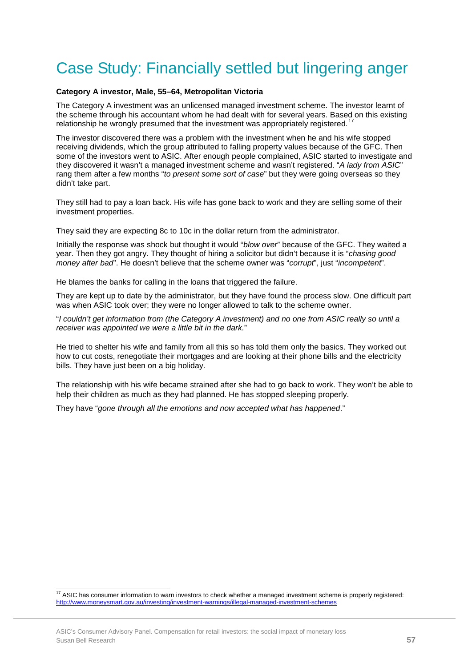# Case Study: Financially settled but lingering anger

#### **Category A investor, Male, 55–64, Metropolitan Victoria**

The Category A investment was an unlicensed managed investment scheme. The investor learnt of the scheme through his accountant whom he had dealt with for several years. Based on this existing relationship he wrongly presumed that the investment was appropriately registered.<sup>[17](#page-55-0)</sup>

The investor discovered there was a problem with the investment when he and his wife stopped receiving dividends, which the group attributed to falling property values because of the GFC. Then some of the investors went to ASIC. After enough people complained, ASIC started to investigate and they discovered it wasn't a managed investment scheme and wasn't registered. "*A lady from ASIC*" rang them after a few months "*to present some sort of case*" but they were going overseas so they didn't take part.

They still had to pay a loan back. His wife has gone back to work and they are selling some of their investment properties.

They said they are expecting 8c to 10c in the dollar return from the administrator.

Initially the response was shock but thought it would "*blow over*" because of the GFC. They waited a year. Then they got angry. They thought of hiring a solicitor but didn't because it is "*chasing good money after bad*". He doesn't believe that the scheme owner was "*corrupt*", just "*incompetent*".

He blames the banks for calling in the loans that triggered the failure.

They are kept up to date by the administrator, but they have found the process slow. One difficult part was when ASIC took over; they were no longer allowed to talk to the scheme owner.

"*I couldn't get information from (the Category A investment) and no one from ASIC really so until a receiver was appointed we were a little bit in the dark.*"

He tried to shelter his wife and family from all this so has told them only the basics. They worked out how to cut costs, renegotiate their mortgages and are looking at their phone bills and the electricity bills. They have just been on a big holiday.

The relationship with his wife became strained after she had to go back to work. They won't be able to help their children as much as they had planned. He has stopped sleeping properly.

They have "*gone through all the emotions and now accepted what has happened*."

ŧ

<span id="page-57-0"></span> $17$  ASIC has consumer information to warn investors to check whether a managed investment scheme is properly registered: http://www.moneysmart.gov.au/investing/investment-warnings/illegal-managed-investment-schemes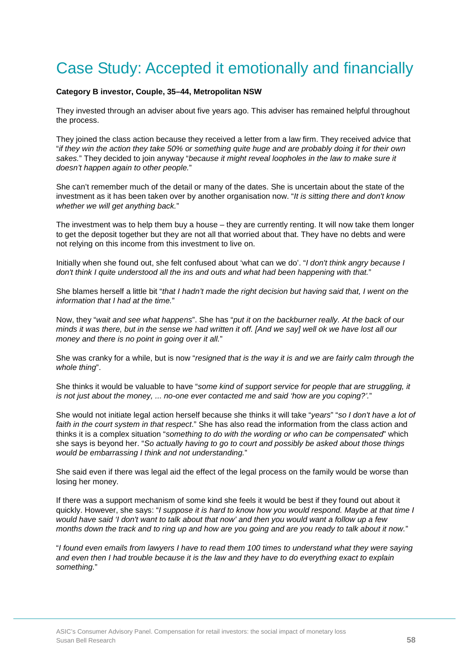# Case Study: Accepted it emotionally and financially

#### **Category B investor, Couple, 35–44, Metropolitan NSW**

They invested through an adviser about five years ago. This adviser has remained helpful throughout the process.

They joined the class action because they received a letter from a law firm. They received advice that "*if they win the action they take 50% or something quite huge and are probably doing it for their own sakes.*" They decided to join anyway "*because it might reveal loopholes in the law to make sure it doesn't happen again to other people.*"

She can't remember much of the detail or many of the dates. She is uncertain about the state of the investment as it has been taken over by another organisation now. "*It is sitting there and don't know whether we will get anything back.*"

The investment was to help them buy a house – they are currently renting. It will now take them longer to get the deposit together but they are not all that worried about that. They have no debts and were not relying on this income from this investment to live on.

Initially when she found out, she felt confused about 'what can we do'. "*I don't think angry because I don't think I quite understood all the ins and outs and what had been happening with that.*"

She blames herself a little bit "*that I hadn't made the right decision but having said that, I went on the information that I had at the time.*"

Now, they "*wait and see what happens*". She has "*put it on the backburner really. At the back of our minds it was there, but in the sense we had written it off. [And we say] well ok we have lost all our money and there is no point in going over it all.*"

She was cranky for a while, but is now "*resigned that is the way it is and we are fairly calm through the whole thing*".

She thinks it would be valuable to have "*some kind of support service for people that are struggling, it is not just about the money, ... no-one ever contacted me and said 'how are you coping?'.*"

She would not initiate legal action herself because she thinks it will take "*years*" "*so I don't have a lot of faith in the court system in that respect*." She has also read the information from the class action and thinks it is a complex situation "*something to do with the wording or who can be compensated*" which she says is beyond her. "*So actually having to go to court and possibly be asked about those things would be embarrassing I think and not understanding.*"

She said even if there was legal aid the effect of the legal process on the family would be worse than losing her money.

If there was a support mechanism of some kind she feels it would be best if they found out about it quickly. However, she says: "*I suppose it is hard to know how you would respond. Maybe at that time I would have said 'I don't want to talk about that now' and then you would want a follow up a few months down the track and to ring up and how are you going and are you ready to talk about it now.*"

"*I found even emails from lawyers I have to read them 100 times to understand what they were saying and even then I had trouble because it is the law and they have to do everything exact to explain something.*"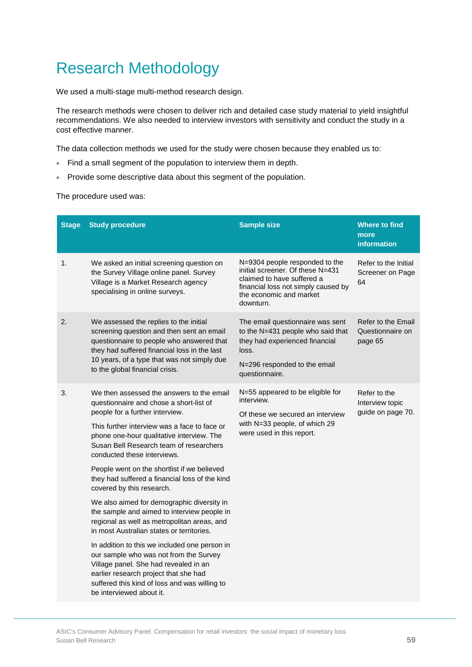# Research Methodology

We used a multi-stage multi-method research design.

The research methods were chosen to deliver rich and detailed case study material to yield insightful recommendations. We also needed to interview investors with sensitivity and conduct the study in a cost effective manner.

The data collection methods we used for the study were chosen because they enabled us to:

- Find a small segment of the population to interview them in depth.
- Provide some descriptive data about this segment of the population.

The procedure used was:

| <b>Stage</b> | <b>Study procedure</b>                                                                                                                                                                                                                                                                                                                                                                                                                                                                                                                                                                                                                                                                                                                                                                                                                                                          | <b>Sample size</b>                                                                                                                                                              | <b>Where to find</b><br>more<br><b>information</b>   |
|--------------|---------------------------------------------------------------------------------------------------------------------------------------------------------------------------------------------------------------------------------------------------------------------------------------------------------------------------------------------------------------------------------------------------------------------------------------------------------------------------------------------------------------------------------------------------------------------------------------------------------------------------------------------------------------------------------------------------------------------------------------------------------------------------------------------------------------------------------------------------------------------------------|---------------------------------------------------------------------------------------------------------------------------------------------------------------------------------|------------------------------------------------------|
| 1.           | We asked an initial screening question on<br>the Survey Village online panel. Survey<br>Village is a Market Research agency<br>specialising in online surveys.                                                                                                                                                                                                                                                                                                                                                                                                                                                                                                                                                                                                                                                                                                                  | N=9304 people responded to the<br>initial screener. Of these N=431<br>claimed to have suffered a<br>financial loss not simply caused by<br>the economic and market<br>downturn. | Refer to the Initial<br>Screener on Page<br>64       |
| 2.           | We assessed the replies to the initial<br>screening question and then sent an email<br>questionnaire to people who answered that<br>they had suffered financial loss in the last<br>10 years, of a type that was not simply due<br>to the global financial crisis.                                                                                                                                                                                                                                                                                                                                                                                                                                                                                                                                                                                                              | The email questionnaire was sent<br>to the N=431 people who said that<br>they had experienced financial<br>loss.<br>N=296 responded to the email<br>questionnaire.              | Refer to the Email<br>Questionnaire on<br>page 65    |
| 3.           | We then assessed the answers to the email<br>questionnaire and chose a short-list of<br>people for a further interview.<br>This further interview was a face to face or<br>phone one-hour qualitative interview. The<br>Susan Bell Research team of researchers<br>conducted these interviews.<br>People went on the shortlist if we believed<br>they had suffered a financial loss of the kind<br>covered by this research.<br>We also aimed for demographic diversity in<br>the sample and aimed to interview people in<br>regional as well as metropolitan areas, and<br>in most Australian states or territories.<br>In addition to this we included one person in<br>our sample who was not from the Survey<br>Village panel. She had revealed in an<br>earlier research project that she had<br>suffered this kind of loss and was willing to<br>be interviewed about it. | N=55 appeared to be eligible for<br>interview.<br>Of these we secured an interview<br>with N=33 people, of which 29<br>were used in this report.                                | Refer to the<br>Interview topic<br>guide on page 70. |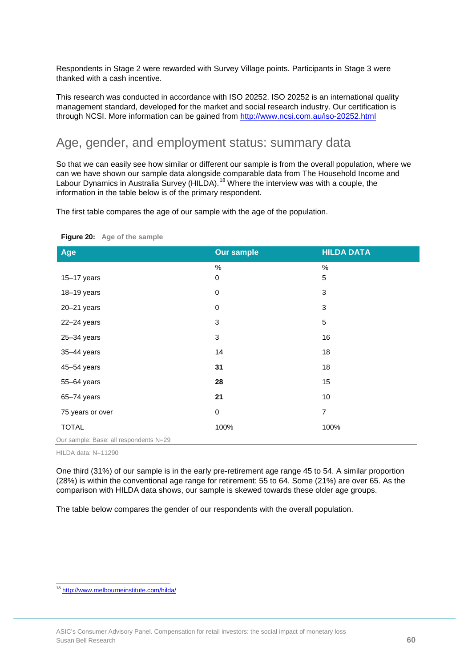Respondents in Stage 2 were rewarded with Survey Village points. Participants in Stage 3 were thanked with a cash incentive.

This research was conducted in accordance with ISO 20252. ISO 20252 is an international quality management standard, developed for the market and social research industry. Our certification is through NCSI. More information can be gained from<http://www.ncsi.com.au/iso-20252.html>

### Age, gender, and employment status: summary data

So that we can easily see how similar or different our sample is from the overall population, where we can we have shown our sample data alongside comparable data from The Household Income and Labour Dynamics in Australia Survey (HILDA).<sup>[18](#page-57-0)</sup> Where the interview was with a couple, the information in the table below is of the primary respondent.

The first table compares the age of our sample with the age of the population.

| Figure 20: Age of the sample           |                   |                   |  |  |
|----------------------------------------|-------------------|-------------------|--|--|
| Age                                    | <b>Our sample</b> | <b>HILDA DATA</b> |  |  |
|                                        | $\%$              | $\%$              |  |  |
| $15-17$ years                          | 0                 | 5                 |  |  |
| 18-19 years                            | $\mathbf 0$       | 3                 |  |  |
| $20 - 21$ years                        | $\pmb{0}$         | 3                 |  |  |
| $22 - 24$ years                        | 3                 | 5                 |  |  |
| $25 - 34$ years                        | 3                 | 16                |  |  |
| 35-44 years                            | 14                | 18                |  |  |
| 45-54 years                            | 31                | 18                |  |  |
| 55-64 years                            | 28                | 15                |  |  |
| 65-74 years                            | 21                | 10                |  |  |
| 75 years or over                       | $\mathbf 0$       | $\overline{7}$    |  |  |
| <b>TOTAL</b>                           | 100%              | 100%              |  |  |
| Our sample: Base: all respondents N=29 |                   |                   |  |  |

HILDA data: N=11290

One third (31%) of our sample is in the early pre-retirement age range 45 to 54. A similar proportion (28%) is within the conventional age range for retirement: 55 to 64. Some (21%) are over 65. As the comparison with HILDA data shows, our sample is skewed towards these older age groups.

The table below compares the gender of our respondents with the overall population.

<span id="page-60-0"></span>ŧ <sup>18</sup> <http://www.melbourneinstitute.com/hilda/>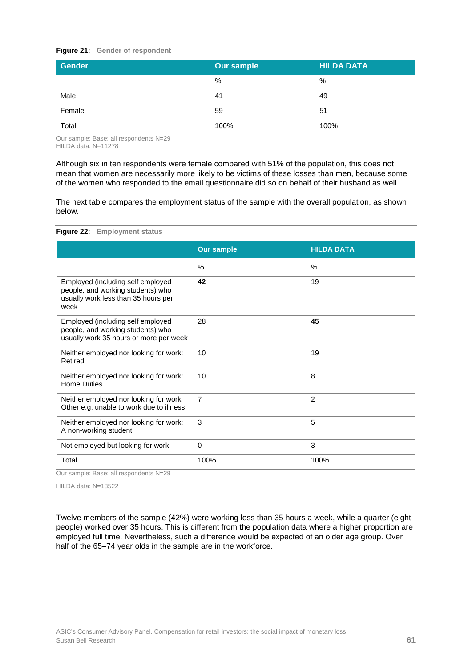#### **Figure 21: Gender of respondent**

| <b>Gender</b> | <b>Our sample</b> | <b>HILDA DATA</b> |  |
|---------------|-------------------|-------------------|--|
|               | %                 | %                 |  |
| Male          | 41                | 49                |  |
| Female        | 59                | 51                |  |
| Total         | 100%              | 100%              |  |

Our sample: Base: all respondents N=29 HILDA data: N=11278

Although six in ten respondents were female compared with 51% of the population, this does not mean that women are necessarily more likely to be victims of these losses than men, because some of the women who responded to the email questionnaire did so on behalf of their husband as well.

The next table compares the employment status of the sample with the overall population, as shown below.

| <b>Employment status</b><br>Figure 22:                                                                                |                   |                   |
|-----------------------------------------------------------------------------------------------------------------------|-------------------|-------------------|
|                                                                                                                       | <b>Our sample</b> | <b>HILDA DATA</b> |
|                                                                                                                       | $\%$              | $\frac{0}{0}$     |
| Employed (including self employed<br>people, and working students) who<br>usually work less than 35 hours per<br>week | 42                | 19                |
| Employed (including self employed<br>people, and working students) who<br>usually work 35 hours or more per week      | 28                | 45                |
| Neither employed nor looking for work:<br>Retired                                                                     | 10                | 19                |
| Neither employed nor looking for work:<br><b>Home Duties</b>                                                          | 10                | 8                 |
| Neither employed nor looking for work<br>Other e.g. unable to work due to illness                                     | $\overline{7}$    | $\overline{2}$    |
| Neither employed nor looking for work:<br>A non-working student                                                       | 3                 | 5                 |
| Not employed but looking for work                                                                                     | $\mathbf 0$       | 3                 |
| Total                                                                                                                 | 100%              | 100%              |
| Our sample: Base: all respondents N=29                                                                                |                   |                   |
| HILDA data: N=13522                                                                                                   |                   |                   |

Twelve members of the sample (42%) were working less than 35 hours a week, while a quarter (eight people) worked over 35 hours. This is different from the population data where a higher proportion are employed full time. Nevertheless, such a difference would be expected of an older age group. Over half of the 65–74 year olds in the sample are in the workforce.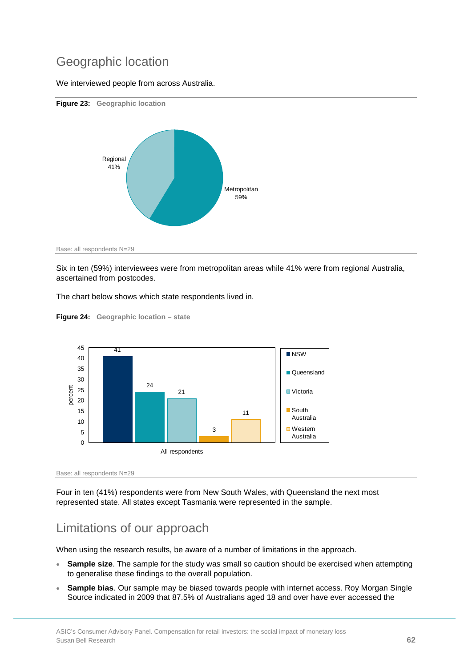## Geographic location

We interviewed people from across Australia.



Six in ten (59%) interviewees were from metropolitan areas while 41% were from regional Australia, ascertained from postcodes.

The chart below shows which state respondents lived in.



```
Figure 24: Geographic location – state
```
Base: all respondents N=29

Four in ten (41%) respondents were from New South Wales, with Queensland the next most represented state. All states except Tasmania were represented in the sample.

## Limitations of our approach

When using the research results, be aware of a number of limitations in the approach.

- **Sample size**. The sample for the study was small so caution should be exercised when attempting to generalise these findings to the overall population.
- **Sample bias**. Our sample may be biased towards people with internet access. Roy Morgan Single Source indicated in 2009 that 87.5% of Australians aged 18 and over have ever accessed the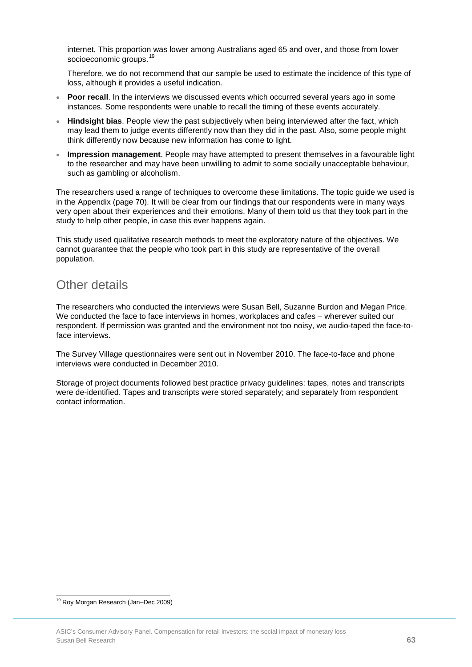internet. This proportion was lower among Australians aged 65 and over, and those from lower socioeconomic groups.<sup>[19](#page-60-0)</sup>

Therefore, we do not recommend that our sample be used to estimate the incidence of this type of loss, although it provides a useful indication.

- **Poor recall**. In the interviews we discussed events which occurred several years ago in some instances. Some respondents were unable to recall the timing of these events accurately.
- **Hindsight bias**. People view the past subjectively when being interviewed after the fact, which may lead them to judge events differently now than they did in the past. Also, some people might think differently now because new information has come to light.
- **Impression management**. People may have attempted to present themselves in a favourable light to the researcher and may have been unwilling to admit to some socially unacceptable behaviour, such as gambling or alcoholism.

The researchers used a range of techniques to overcome these limitations. The topic guide we used is in the Appendix (page 70). It will be clear from our findings that our respondents were in many ways very open about their experiences and their emotions. Many of them told us that they took part in the study to help other people, in case this ever happens again.

This study used qualitative research methods to meet the exploratory nature of the objectives. We cannot guarantee that the people who took part in this study are representative of the overall population.

### Other details

The researchers who conducted the interviews were Susan Bell, Suzanne Burdon and Megan Price. We conducted the face to face interviews in homes, workplaces and cafes – wherever suited our respondent. If permission was granted and the environment not too noisy, we audio-taped the face-toface interviews.

The Survey Village questionnaires were sent out in November 2010. The face-to-face and phone interviews were conducted in December 2010.

Storage of project documents followed best practice privacy guidelines: tapes, notes and transcripts were de-identified. Tapes and transcripts were stored separately; and separately from respondent contact information.

ŧ <sup>19</sup> Roy Morgan Research (Jan–Dec 2009)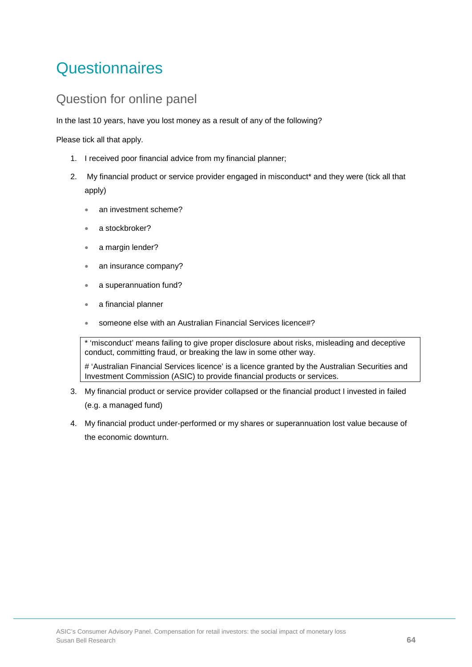# **Questionnaires**

### Question for online panel

In the last 10 years, have you lost money as a result of any of the following?

Please tick all that apply.

- 1. I received poor financial advice from my financial planner;
- 2. My financial product or service provider engaged in misconduct\* and they were (tick all that apply)
	- an investment scheme?
	- a stockbroker?
	- a margin lender?
	- an insurance company?
	- a superannuation fund?
	- a financial planner
	- someone else with an Australian Financial Services licence#?

\* 'misconduct' means failing to give proper disclosure about risks, misleading and deceptive conduct, committing fraud, or breaking the law in some other way.

# 'Australian Financial Services licence' is a licence granted by the Australian Securities and Investment Commission (ASIC) to provide financial products or services.

- 3. My financial product or service provider collapsed or the financial product I invested in failed (e.g. a managed fund)
- 4. My financial product under-performed or my shares or superannuation lost value because of the economic downturn.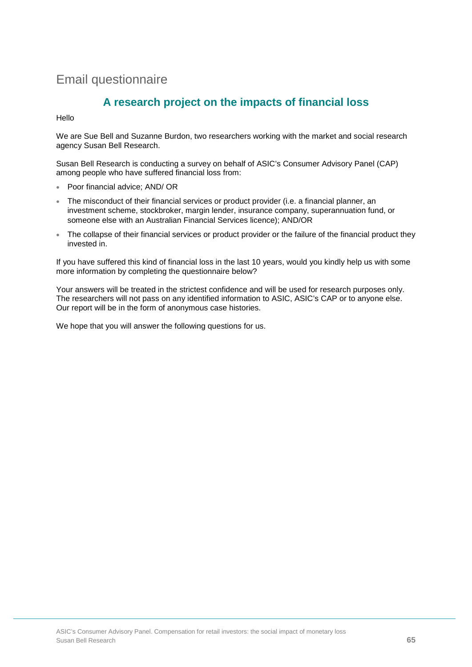## Email questionnaire

### **A research project on the impacts of financial loss**

Hello

We are Sue Bell and Suzanne Burdon, two researchers working with the market and social research agency Susan Bell Research.

Susan Bell Research is conducting a survey on behalf of ASIC's Consumer Advisory Panel (CAP) among people who have suffered financial loss from:

- Poor financial advice; AND/ OR
- The misconduct of their financial services or product provider (i.e. a financial planner, an investment scheme, stockbroker, margin lender, insurance company, superannuation fund, or someone else with an Australian Financial Services licence); AND/OR
- The collapse of their financial services or product provider or the failure of the financial product they invested in.

If you have suffered this kind of financial loss in the last 10 years, would you kindly help us with some more information by completing the questionnaire below?

Your answers will be treated in the strictest confidence and will be used for research purposes only. The researchers will not pass on any identified information to ASIC, ASIC's CAP or to anyone else. Our report will be in the form of anonymous case histories.

We hope that you will answer the following questions for us.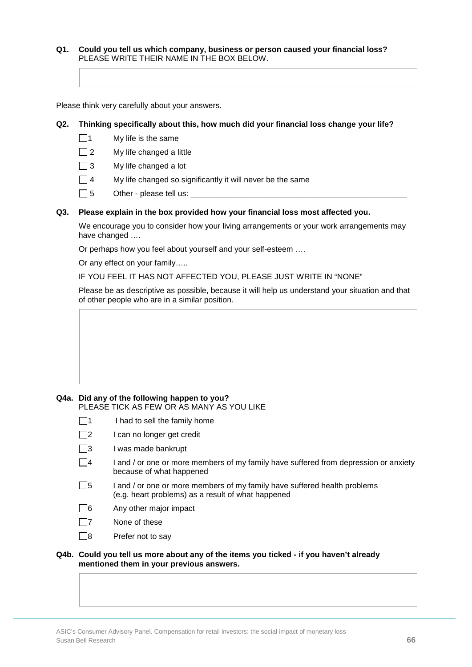**Q1. Could you tell us which company, business or person caused your financial loss?** PLEASE WRITE THEIR NAME IN THE BOX BELOW.

Please think very carefully about your answers.

#### **Q2. Thinking specifically about this, how much did your financial loss change your life?**

- $\Box$ 1 My life is the same
- $\Box$  2 My life changed a little
- $\Box$  3 My life changed a lot
- $\Box$  4 My life changed so significantly it will never be the same
- $\Box$  5 Other please tell us:

#### **Q3. Please explain in the box provided how your financial loss most affected you.**

We encourage you to consider how your living arrangements or your work arrangements may have changed ….

Or perhaps how you feel about yourself and your self-esteem ….

Or any effect on your family…..

IF YOU FEEL IT HAS NOT AFFECTED YOU, PLEASE JUST WRITE IN "NONE"

Please be as descriptive as possible, because it will help us understand your situation and that of other people who are in a similar position.

#### **Q4a. Did any of the following happen to you?** PLEASE TICK AS FEW OR AS MANY AS YOU LIKE

- $\Box$ 1 I had to sell the family home
- $\square$ 2 I can no longer get credit
- $\Box$ 3 I was made bankrupt
- $\Box$ 4 I and / or one or more members of my family have suffered from depression or anxiety because of what happened
- $\Box$ 5 I and / or one or more members of my family have suffered health problems (e.g. heart problems) as a result of what happened
- $\Box$ 6 Any other major impact
- $\Box$ 7 None of these
- $\Box$ 8 Prefer not to say

#### **Q4b. Could you tell us more about any of the items you ticked - if you haven't already mentioned them in your previous answers.**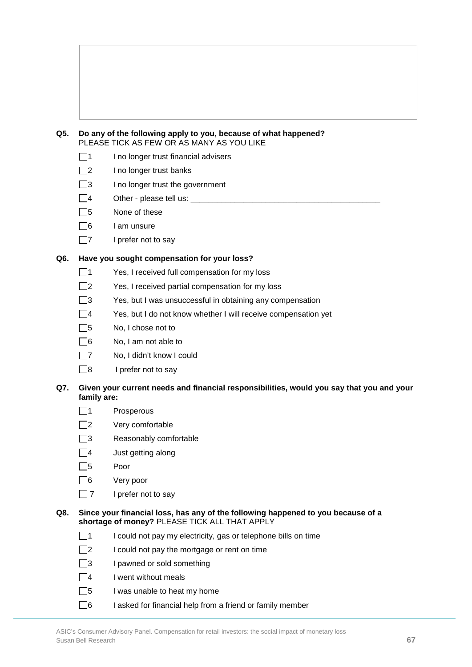

- $\Box$ 1 I no longer trust financial advisers
- $\Box$ 2 I no longer trust banks
- $\Box$ 3 I no longer trust the government
- $\square$ 4 Other please tell us:
- □5 None of these
- $\Box$ 6 I am unsure
- $\Box$ 7 I prefer not to say

### **Q6. Have you sought compensation for your loss?**

- $\Box$ 1 Yes, I received full compensation for my loss
- $\square$  Yes, I received partial compensation for my loss
- $\square$ 3 Yes, but I was unsuccessful in obtaining any compensation
- $\Box$ 4 Yes, but I do not know whether I will receive compensation yet
- $\Box$ 5 No, I chose not to
- $\Box$ 6 No, I am not able to
- 7 No, I didn't know I could
- $\Box$ 8 I prefer not to say

### **Q7. Given your current needs and financial responsibilities, would you say that you and your family are:**

- □1 Prosperous
- $\Box$ 2 Very comfortable
- □3 Reasonably comfortable
- $\Box$ 4 Just getting along
- 5 Poor
- 6 Very poor
- $\Box$  7 I prefer not to say

#### **Q8. Since your financial loss, has any of the following happened to you because of a shortage of money?** PLEASE TICK ALL THAT APPLY

- $\Box$ 1 I could not pay my electricity, gas or telephone bills on time
- $\square$ 2 I could not pay the mortgage or rent on time
- $\Box$ 3 I pawned or sold something
- $\Box$ 4 I went without meals
- $\Box$ 5 I was unable to heat my home
- $\Box$ 6 I asked for financial help from a friend or family member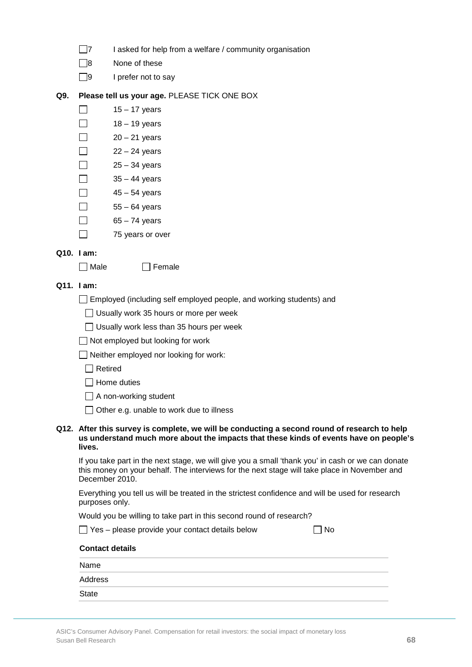| $\Box$ 7 | I asked for help from a welfare / community organisation |  |
|----------|----------------------------------------------------------|--|
|----------|----------------------------------------------------------|--|

- 8 None of these
- $\Box$ 9 I prefer not to say

### **Q9. Please tell us your age.** PLEASE TICK ONE BOX

- $\Box$ 15 – 17 years
- $\Box$ 18 – 19 years
- $\Box$  $20 - 21$  years
- $\Box$  $22 - 24$  years
	- 25 34 years
- $\Box$ 35 – 44 years
- $\Box$ 45 – 54 years
- $\Box$ 55 – 64 years
- $\Box$ 65 – 74 years
- $\Box$ 75 years or over

### **Q10. I am:**

П

 $\Box$  Male  $\Box$  Female

### **Q11. I am:**

- Employed (including self employed people, and working students) and
	- $\Box$  Usually work 35 hours or more per week
	- $\Box$  Usually work less than 35 hours per week
- □ Not employed but looking for work
- □ Neither employed nor looking for work:
	- Retired
	- □ Home duties
	- A non-working student
	- $\Box$  Other e.g. unable to work due to illness

#### **Q12. After this survey is complete, we will be conducting a second round of research to help us understand much more about the impacts that these kinds of events have on people's lives.**

If you take part in the next stage, we will give you a small 'thank you' in cash or we can donate this money on your behalf. The interviews for the next stage will take place in November and December 2010.

Everything you tell us will be treated in the strictest confidence and will be used for research purposes only.

Would you be willing to take part in this second round of research?

 $\Box$  Yes – please provide your contact details below  $\Box$  No

| <b>Contact details</b> |  |  |
|------------------------|--|--|
| Name                   |  |  |
| Address                |  |  |
| <b>State</b>           |  |  |
|                        |  |  |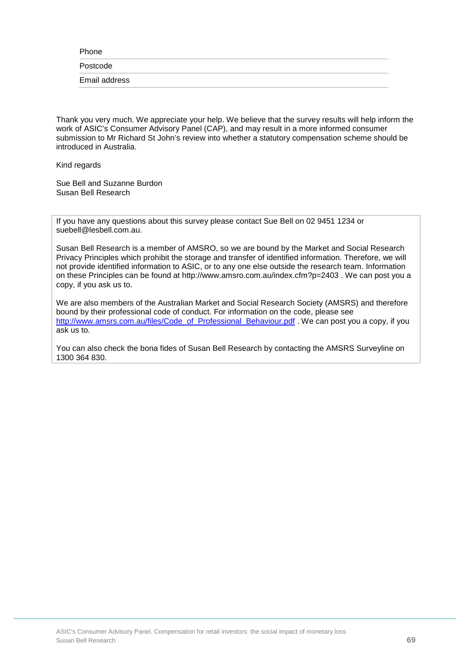Phone

Postcode

Email address

Thank you very much. We appreciate your help. We believe that the survey results will help inform the work of ASIC's Consumer Advisory Panel (CAP), and may result in a more informed consumer submission to Mr Richard St John's review into whether a statutory compensation scheme should be introduced in Australia.

Kind regards

Sue Bell and Suzanne Burdon Susan Bell Research

If you have any questions about this survey please contact Sue Bell on 02 9451 1234 or suebell@lesbell.com.au.

Susan Bell Research is a member of AMSRO, so we are bound by the Market and Social Research Privacy Principles which prohibit the storage and transfer of identified information. Therefore, we will not provide identified information to ASIC, or to any one else outside the research team. Information on these Principles can be found at http://www.amsro.com.au/index.cfm?p=2403 . We can post you a copy, if you ask us to.

We are also members of the Australian Market and Social Research Society (AMSRS) and therefore bound by their professional code of conduct. For information on the code, please see [http://www.amsrs.com.au/files/Code\\_of\\_Professional\\_Behaviour.pdf](http://www.amsrs.com.au/files/Code_of_Professional_Behaviour.pdf) . We can post you a copy, if you ask us to.

You can also check the bona fides of Susan Bell Research by contacting the AMSRS Surveyline on 1300 364 830.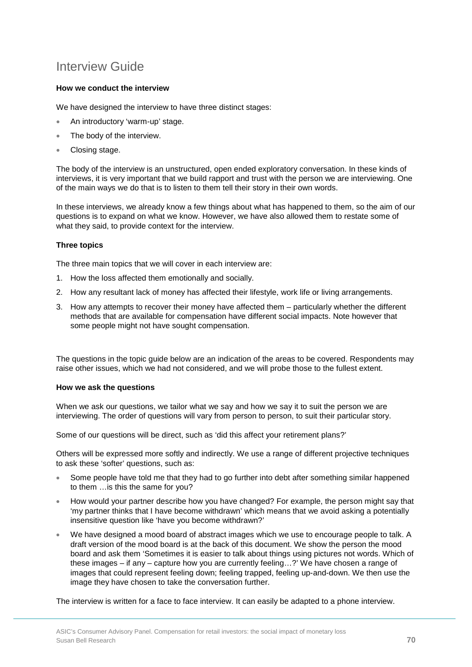## Interview Guide

### **How we conduct the interview**

We have designed the interview to have three distinct stages:

- An introductory 'warm-up' stage.
- The body of the interview.
- Closing stage.

The body of the interview is an unstructured, open ended exploratory conversation. In these kinds of interviews, it is very important that we build rapport and trust with the person we are interviewing. One of the main ways we do that is to listen to them tell their story in their own words.

In these interviews, we already know a few things about what has happened to them, so the aim of our questions is to expand on what we know. However, we have also allowed them to restate some of what they said, to provide context for the interview.

### **Three topics**

The three main topics that we will cover in each interview are:

- 1. How the loss affected them emotionally and socially.
- 2. How any resultant lack of money has affected their lifestyle, work life or living arrangements.
- 3. How any attempts to recover their money have affected them particularly whether the different methods that are available for compensation have different social impacts. Note however that some people might not have sought compensation.

The questions in the topic guide below are an indication of the areas to be covered. Respondents may raise other issues, which we had not considered, and we will probe those to the fullest extent.

### **How we ask the questions**

When we ask our questions, we tailor what we say and how we say it to suit the person we are interviewing. The order of questions will vary from person to person, to suit their particular story.

Some of our questions will be direct, such as 'did this affect your retirement plans?'

Others will be expressed more softly and indirectly. We use a range of different projective techniques to ask these 'softer' questions, such as:

- Some people have told me that they had to go further into debt after something similar happened to them …is this the same for you?
- How would your partner describe how you have changed? For example, the person might say that 'my partner thinks that I have become withdrawn' which means that we avoid asking a potentially insensitive question like 'have you become withdrawn?'
- We have designed a mood board of abstract images which we use to encourage people to talk. A draft version of the mood board is at the back of this document. We show the person the mood board and ask them 'Sometimes it is easier to talk about things using pictures not words. Which of these images – if any – capture how you are currently feeling…?' We have chosen a range of images that could represent feeling down; feeling trapped, feeling up-and-down. We then use the image they have chosen to take the conversation further.

The interview is written for a face to face interview. It can easily be adapted to a phone interview.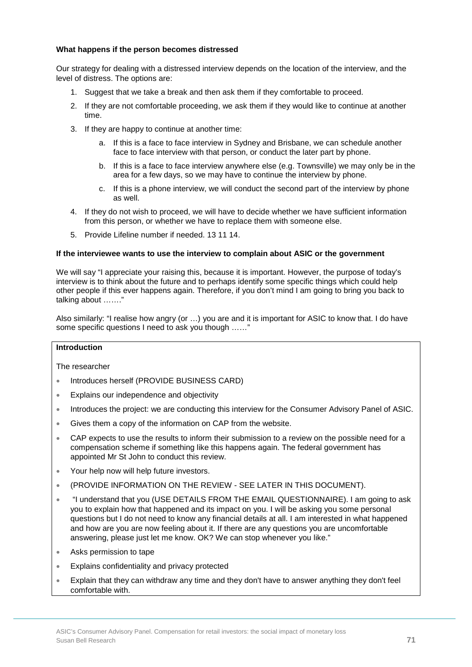### **What happens if the person becomes distressed**

Our strategy for dealing with a distressed interview depends on the location of the interview, and the level of distress. The options are:

- 1. Suggest that we take a break and then ask them if they comfortable to proceed.
- 2. If they are not comfortable proceeding, we ask them if they would like to continue at another time.
- 3. If they are happy to continue at another time:
	- a. If this is a face to face interview in Sydney and Brisbane, we can schedule another face to face interview with that person, or conduct the later part by phone.
	- b. If this is a face to face interview anywhere else (e.g. Townsville) we may only be in the area for a few days, so we may have to continue the interview by phone.
	- c. If this is a phone interview, we will conduct the second part of the interview by phone as well.
- 4. If they do not wish to proceed, we will have to decide whether we have sufficient information from this person, or whether we have to replace them with someone else.
- 5. Provide Lifeline number if needed. 13 11 14.

#### **If the interviewee wants to use the interview to complain about ASIC or the government**

We will say "I appreciate your raising this, because it is important. However, the purpose of today's interview is to think about the future and to perhaps identify some specific things which could help other people if this ever happens again. Therefore, if you don't mind I am going to bring you back to talking about ……."

Also similarly: "I realise how angry (or …) you are and it is important for ASIC to know that. I do have some specific questions I need to ask you though ……"

### **Introduction**

The researcher

- Introduces herself (PROVIDE BUSINESS CARD)
- Explains our independence and objectivity
- Introduces the project: we are conducting this interview for the Consumer Advisory Panel of ASIC.
- Gives them a copy of the information on CAP from the website.
- CAP expects to use the results to inform their submission to a review on the possible need for a compensation scheme if something like this happens again. The federal government has appointed Mr St John to conduct this review.
- Your help now will help future investors.
- (PROVIDE INFORMATION ON THE REVIEW SEE LATER IN THIS DOCUMENT).
- "I understand that you (USE DETAILS FROM THE EMAIL QUESTIONNAIRE). I am going to ask you to explain how that happened and its impact on you. I will be asking you some personal questions but I do not need to know any financial details at all. I am interested in what happened and how are you are now feeling about it. If there are any questions you are uncomfortable answering, please just let me know. OK? We can stop whenever you like."
- Asks permission to tape
- Explains confidentiality and privacy protected
- Explain that they can withdraw any time and they don't have to answer anything they don't feel comfortable with.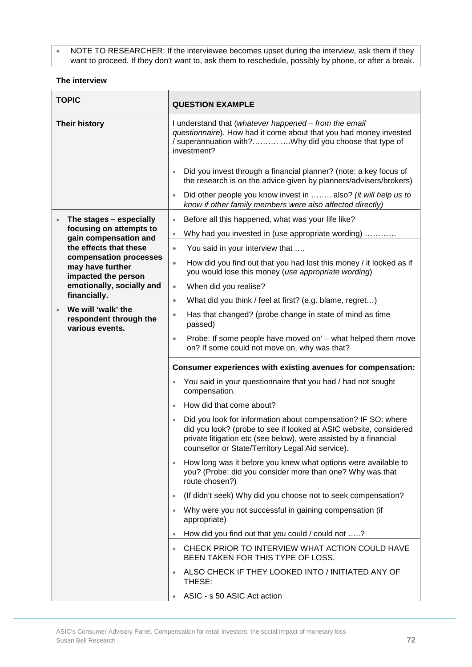• NOTE TO RESEARCHER: If the interviewee becomes upset during the interview, ask them if they want to proceed. If they don't want to, ask them to reschedule, possibly by phone, or after a break.

#### **The interview**

| <b>TOPIC</b>         |                                                                                                                                                                                                                                                                                            | <b>QUESTION EXAMPLE</b>                                                                                                                                                                                                                                     |
|----------------------|--------------------------------------------------------------------------------------------------------------------------------------------------------------------------------------------------------------------------------------------------------------------------------------------|-------------------------------------------------------------------------------------------------------------------------------------------------------------------------------------------------------------------------------------------------------------|
| <b>Their history</b> |                                                                                                                                                                                                                                                                                            | I understand that (whatever happened – from the email<br>questionnaire). How had it come about that you had money invested<br>/ superannuation with?Why did you choose that type of<br>investment?                                                          |
|                      |                                                                                                                                                                                                                                                                                            | Did you invest through a financial planner? (note: a key focus of<br>the research is on the advice given by planners/advisers/brokers)                                                                                                                      |
|                      |                                                                                                                                                                                                                                                                                            | Did other people you know invest in  also? (it will help us to<br>know if other family members were also affected directly)                                                                                                                                 |
|                      | The stages - especially<br>focusing on attempts to<br>gain compensation and<br>the effects that these<br>compensation processes<br>may have further<br>impacted the person<br>emotionally, socially and<br>financially.<br>We will 'walk' the<br>respondent through the<br>various events. | Before all this happened, what was your life like?<br>$\bullet$                                                                                                                                                                                             |
|                      |                                                                                                                                                                                                                                                                                            | Why had you invested in (use appropriate wording)<br>$\bullet$                                                                                                                                                                                              |
|                      |                                                                                                                                                                                                                                                                                            | You said in your interview that<br>$\bullet$                                                                                                                                                                                                                |
|                      |                                                                                                                                                                                                                                                                                            | How did you find out that you had lost this money / it looked as if<br>$\bullet$<br>you would lose this money (use appropriate wording)                                                                                                                     |
|                      |                                                                                                                                                                                                                                                                                            | When did you realise?<br>$\qquad \qquad \bullet$                                                                                                                                                                                                            |
|                      |                                                                                                                                                                                                                                                                                            | What did you think / feel at first? (e.g. blame, regret)<br>$\bullet$                                                                                                                                                                                       |
|                      |                                                                                                                                                                                                                                                                                            | Has that changed? (probe change in state of mind as time<br>$\bullet$<br>passed)                                                                                                                                                                            |
|                      |                                                                                                                                                                                                                                                                                            | Probe: If some people have moved on' - what helped them move<br>$\bullet$<br>on? If some could not move on, why was that?                                                                                                                                   |
|                      |                                                                                                                                                                                                                                                                                            | Consumer experiences with existing avenues for compensation:                                                                                                                                                                                                |
|                      |                                                                                                                                                                                                                                                                                            | You said in your questionnaire that you had / had not sought<br>compensation.                                                                                                                                                                               |
|                      |                                                                                                                                                                                                                                                                                            | How did that come about?                                                                                                                                                                                                                                    |
|                      |                                                                                                                                                                                                                                                                                            | Did you look for information about compensation? IF SO: where<br>did you look? (probe to see if looked at ASIC website, considered<br>private litigation etc (see below), were assisted by a financial<br>counsellor or State/Territory Legal Aid service). |
|                      |                                                                                                                                                                                                                                                                                            | How long was it before you knew what options were available to<br>you? (Probe: did you consider more than one? Why was that<br>route chosen?)                                                                                                               |
|                      |                                                                                                                                                                                                                                                                                            | (If didn't seek) Why did you choose not to seek compensation?<br>$\bullet$                                                                                                                                                                                  |
|                      |                                                                                                                                                                                                                                                                                            | Why were you not successful in gaining compensation (if<br>appropriate)                                                                                                                                                                                     |
|                      |                                                                                                                                                                                                                                                                                            | How did you find out that you could / could not ?                                                                                                                                                                                                           |
|                      |                                                                                                                                                                                                                                                                                            | CHECK PRIOR TO INTERVIEW WHAT ACTION COULD HAVE<br>$\bullet$<br>BEEN TAKEN FOR THIS TYPE OF LOSS.                                                                                                                                                           |
|                      |                                                                                                                                                                                                                                                                                            | ALSO CHECK IF THEY LOOKED INTO / INITIATED ANY OF<br>THESE:                                                                                                                                                                                                 |
|                      |                                                                                                                                                                                                                                                                                            | ASIC - s 50 ASIC Act action                                                                                                                                                                                                                                 |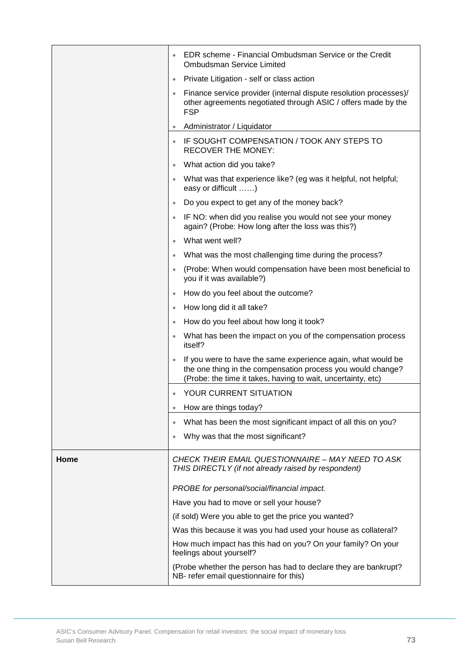|      | EDR scheme - Financial Ombudsman Service or the Credit<br>$\bullet$<br><b>Ombudsman Service Limited</b>                                                                                                  |
|------|----------------------------------------------------------------------------------------------------------------------------------------------------------------------------------------------------------|
|      | Private Litigation - self or class action<br>$\bullet$                                                                                                                                                   |
|      | Finance service provider (internal dispute resolution processes)/<br>$\bullet$<br>other agreements negotiated through ASIC / offers made by the<br><b>FSP</b>                                            |
|      | Administrator / Liquidator<br>$\bullet$                                                                                                                                                                  |
|      | IF SOUGHT COMPENSATION / TOOK ANY STEPS TO<br>$\bullet$<br><b>RECOVER THE MONEY:</b>                                                                                                                     |
|      | What action did you take?<br>$\bullet$                                                                                                                                                                   |
|      | What was that experience like? (eg was it helpful, not helpful;<br>$\bullet$<br>easy or difficult )                                                                                                      |
|      | Do you expect to get any of the money back?<br>$\bullet$                                                                                                                                                 |
|      | IF NO: when did you realise you would not see your money<br>$\bullet$<br>again? (Probe: How long after the loss was this?)                                                                               |
|      | What went well?<br>$\bullet$                                                                                                                                                                             |
|      | What was the most challenging time during the process?<br>$\bullet$                                                                                                                                      |
|      | (Probe: When would compensation have been most beneficial to<br>٠<br>you if it was available?)                                                                                                           |
|      | How do you feel about the outcome?<br>$\bullet$                                                                                                                                                          |
|      | How long did it all take?<br>$\bullet$                                                                                                                                                                   |
|      | How do you feel about how long it took?<br>$\bullet$                                                                                                                                                     |
|      | What has been the impact on you of the compensation process<br>$\bullet$<br>itself?                                                                                                                      |
|      | If you were to have the same experience again, what would be<br>$\bullet$<br>the one thing in the compensation process you would change?<br>(Probe: the time it takes, having to wait, uncertainty, etc) |
|      | YOUR CURRENT SITUATION<br>$\bullet$                                                                                                                                                                      |
|      | How are things today?<br>$\bullet$                                                                                                                                                                       |
|      | What has been the most significant impact of all this on you?<br>$\bullet$                                                                                                                               |
|      | Why was that the most significant?<br>$\bullet$                                                                                                                                                          |
| Home | CHECK THEIR EMAIL QUESTIONNAIRE - MAY NEED TO ASK<br>THIS DIRECTLY (if not already raised by respondent)                                                                                                 |
|      | PROBE for personal/social/financial impact.                                                                                                                                                              |
|      | Have you had to move or sell your house?                                                                                                                                                                 |
|      | (if sold) Were you able to get the price you wanted?                                                                                                                                                     |
|      | Was this because it was you had used your house as collateral?                                                                                                                                           |
|      | How much impact has this had on you? On your family? On your<br>feelings about yourself?                                                                                                                 |
|      | (Probe whether the person has had to declare they are bankrupt?<br>NB- refer email questionnaire for this)                                                                                               |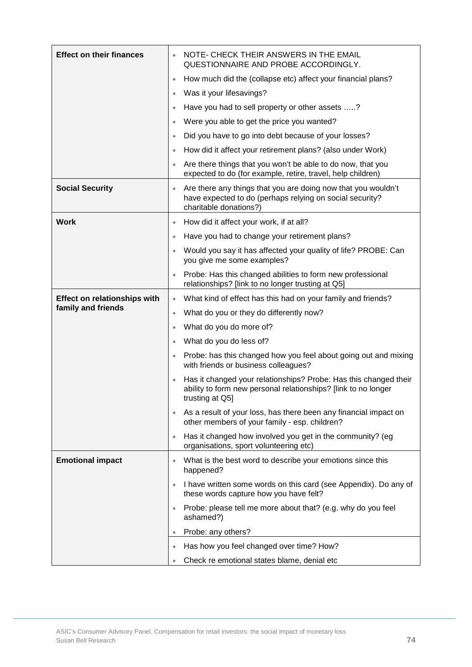| <b>Effect on their finances</b>     |           | NOTE- CHECK THEIR ANSWERS IN THE EMAIL<br>QUESTIONNAIRE AND PROBE ACCORDINGLY.                                                                        |
|-------------------------------------|-----------|-------------------------------------------------------------------------------------------------------------------------------------------------------|
|                                     | $\bullet$ | How much did the (collapse etc) affect your financial plans?                                                                                          |
|                                     | $\bullet$ | Was it your lifesavings?                                                                                                                              |
|                                     |           | Have you had to sell property or other assets ?                                                                                                       |
|                                     |           | Were you able to get the price you wanted?                                                                                                            |
|                                     | $\bullet$ | Did you have to go into debt because of your losses?                                                                                                  |
|                                     | $\bullet$ | How did it affect your retirement plans? (also under Work)                                                                                            |
|                                     |           | Are there things that you won't be able to do now, that you<br>expected to do (for example, retire, travel, help children)                            |
| <b>Social Security</b>              | $\bullet$ | Are there any things that you are doing now that you wouldn't<br>have expected to do (perhaps relying on social security?<br>charitable donations?)   |
| <b>Work</b>                         | $\bullet$ | How did it affect your work, if at all?                                                                                                               |
|                                     | $\bullet$ | Have you had to change your retirement plans?                                                                                                         |
|                                     | $\bullet$ | Would you say it has affected your quality of life? PROBE: Can<br>you give me some examples?                                                          |
|                                     |           | Probe: Has this changed abilities to form new professional<br>relationships? [link to no longer trusting at Q5]                                       |
| <b>Effect on relationships with</b> | $\bullet$ | What kind of effect has this had on your family and friends?                                                                                          |
| family and friends                  | $\bullet$ | What do you or they do differently now?                                                                                                               |
|                                     | ۰         | What do you do more of?                                                                                                                               |
|                                     | $\bullet$ | What do you do less of?                                                                                                                               |
|                                     | $\bullet$ | Probe: has this changed how you feel about going out and mixing<br>with friends or business colleagues?                                               |
|                                     |           | Has it changed your relationships? Probe: Has this changed their<br>ability to form new personal relationships? [link to no longer<br>trusting at Q5] |
|                                     | $\bullet$ | As a result of your loss, has there been any financial impact on<br>other members of your family - esp. children?                                     |
|                                     | $\bullet$ | Has it changed how involved you get in the community? (eg<br>organisations, sport volunteering etc)                                                   |
| <b>Emotional impact</b>             |           | What is the best word to describe your emotions since this<br>happened?                                                                               |
|                                     |           | I have written some words on this card (see Appendix). Do any of<br>these words capture how you have felt?                                            |
|                                     |           | Probe: please tell me more about that? (e.g. why do you feel<br>ashamed?)                                                                             |
|                                     |           | Probe: any others?                                                                                                                                    |
|                                     | $\bullet$ | Has how you feel changed over time? How?                                                                                                              |
|                                     |           | Check re emotional states blame, denial etc                                                                                                           |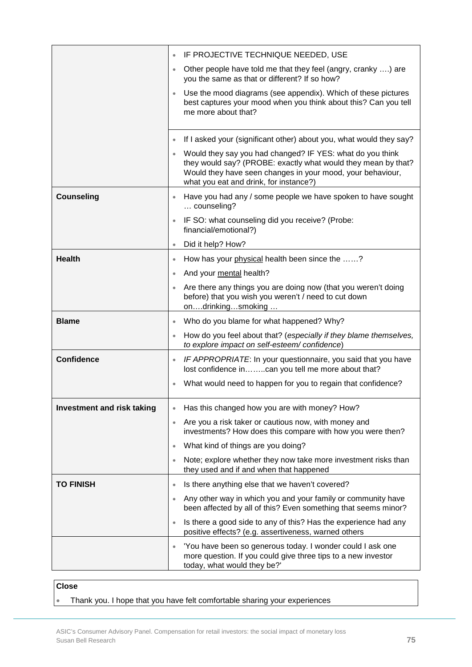|                                   | $\bullet$ | IF PROJECTIVE TECHNIQUE NEEDED, USE                                                                                                                                                                                                |
|-----------------------------------|-----------|------------------------------------------------------------------------------------------------------------------------------------------------------------------------------------------------------------------------------------|
|                                   | $\bullet$ | Other people have told me that they feel (angry, cranky ) are<br>you the same as that or different? If so how?                                                                                                                     |
|                                   |           | Use the mood diagrams (see appendix). Which of these pictures<br>best captures your mood when you think about this? Can you tell<br>me more about that?                                                                            |
|                                   | $\bullet$ | If I asked your (significant other) about you, what would they say?                                                                                                                                                                |
|                                   |           | Would they say you had changed? IF YES: what do you think<br>they would say? (PROBE: exactly what would they mean by that?<br>Would they have seen changes in your mood, your behaviour,<br>what you eat and drink, for instance?) |
| <b>Counseling</b>                 |           | Have you had any / some people we have spoken to have sought<br>counseling?                                                                                                                                                        |
|                                   |           | IF SO: what counseling did you receive? (Probe:<br>financial/emotional?)                                                                                                                                                           |
|                                   |           | Did it help? How?                                                                                                                                                                                                                  |
| <b>Health</b>                     | $\bullet$ | How has your physical health been since the ?                                                                                                                                                                                      |
|                                   | $\bullet$ | And your mental health?                                                                                                                                                                                                            |
|                                   |           | Are there any things you are doing now (that you weren't doing<br>before) that you wish you weren't / need to cut down<br>ondrinkingsmoking                                                                                        |
| <b>Blame</b>                      | $\bullet$ | Who do you blame for what happened? Why?                                                                                                                                                                                           |
|                                   |           | How do you feel about that? (especially if they blame themselves,<br>to explore impact on self-esteem/confidence)                                                                                                                  |
| <b>Confidence</b>                 |           | IF APPROPRIATE: In your questionnaire, you said that you have<br>lost confidence incan you tell me more about that?                                                                                                                |
|                                   |           | What would need to happen for you to regain that confidence?                                                                                                                                                                       |
| <b>Investment and risk taking</b> |           | Has this changed how you are with money? How?                                                                                                                                                                                      |
|                                   | $\bullet$ | Are you a risk taker or cautious now, with money and<br>investments? How does this compare with how you were then?                                                                                                                 |
|                                   | $\bullet$ | What kind of things are you doing?                                                                                                                                                                                                 |
|                                   | $\bullet$ | Note; explore whether they now take more investment risks than<br>they used and if and when that happened                                                                                                                          |
| <b>TO FINISH</b>                  | $\bullet$ | Is there anything else that we haven't covered?                                                                                                                                                                                    |
|                                   | $\bullet$ | Any other way in which you and your family or community have<br>been affected by all of this? Even something that seems minor?                                                                                                     |
|                                   | $\bullet$ | Is there a good side to any of this? Has the experience had any<br>positive effects? (e.g. assertiveness, warned others                                                                                                            |
|                                   | $\bullet$ | 'You have been so generous today. I wonder could I ask one<br>more question. If you could give three tips to a new investor<br>today, what would they be?'                                                                         |

### **Close**

• Thank you. I hope that you have felt comfortable sharing your experiences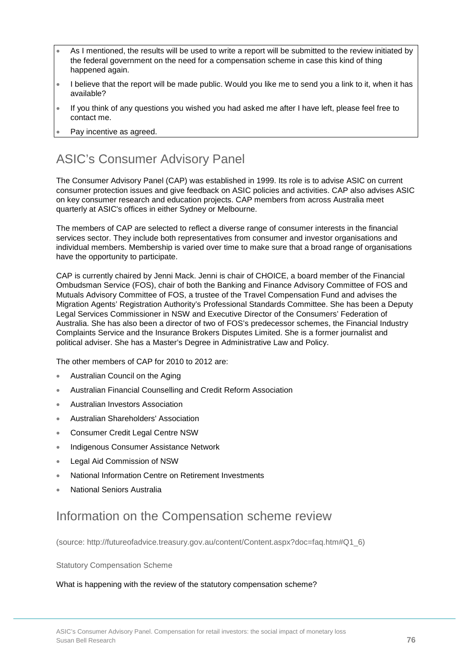- As I mentioned, the results will be used to write a report will be submitted to the review initiated by the federal government on the need for a compensation scheme in case this kind of thing happened again.
- I believe that the report will be made public. Would you like me to send you a link to it, when it has available?
- If you think of any questions you wished you had asked me after I have left, please feel free to contact me.
- Pay incentive as agreed.

## ASIC's Consumer Advisory Panel

The Consumer Advisory Panel (CAP) was established in 1999. Its role is to advise ASIC on current consumer protection issues and give feedback on ASIC policies and activities. CAP also advises ASIC on key consumer research and education projects. CAP members from across Australia meet quarterly at ASIC's offices in either Sydney or Melbourne.

The members of CAP are selected to reflect a diverse range of consumer interests in the financial services sector. They include both representatives from consumer and investor organisations and individual members. Membership is varied over time to make sure that a broad range of organisations have the opportunity to participate.

CAP is currently chaired by Jenni Mack. Jenni is chair of CHOICE, a board member of the Financial Ombudsman Service (FOS), chair of both the Banking and Finance Advisory Committee of FOS and Mutuals Advisory Committee of FOS, a trustee of the Travel Compensation Fund and advises the Migration Agents' Registration Authority's Professional Standards Committee. She has been a Deputy Legal Services Commissioner in NSW and Executive Director of the Consumers' Federation of Australia. She has also been a director of two of FOS's predecessor schemes, the Financial Industry Complaints Service and the Insurance Brokers Disputes Limited. She is a former journalist and political adviser. She has a Master's Degree in Administrative Law and Policy.

The other members of CAP for 2010 to 2012 are:

- Australian Council on the Aging
- Australian Financial Counselling and Credit Reform Association
- Australian Investors Association
- Australian Shareholders' Association
- Consumer Credit Legal Centre NSW
- Indigenous Consumer Assistance Network
- Legal Aid Commission of NSW
- National Information Centre on Retirement Investments
- National Seniors Australia

## Information on the Compensation scheme review

(source: http://futureofadvice.treasury.gov.au/content/Content.aspx?doc=faq.htm#Q1\_6)

#### Statutory Compensation Scheme

#### What is happening with the review of the statutory compensation scheme?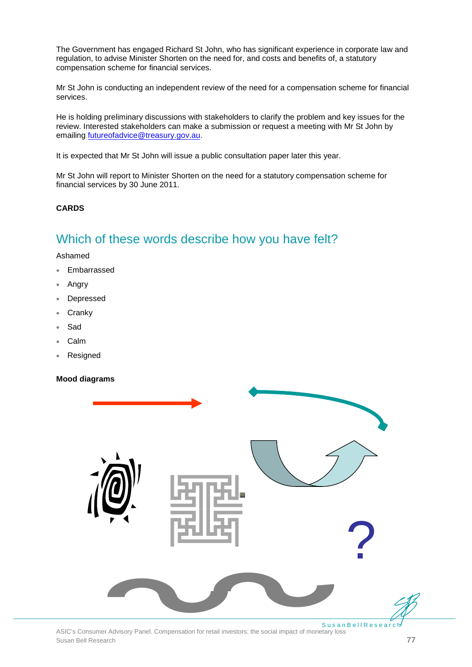The Government has engaged Richard St John, who has significant experience in corporate law and regulation, to advise Minister Shorten on the need for, and costs and benefits of, a statutory compensation scheme for financial services.

Mr St John is conducting an independent review of the need for a compensation scheme for financial services.

He is holding preliminary discussions with stakeholders to clarify the problem and key issues for the review. Interested stakeholders can make a submission or request a meeting with Mr St John by emailing [futureofadvice@treasury.gov.au.](mailto:futureofadvice@treasury.gov.au)

It is expected that Mr St John will issue a public consultation paper later this year.

Mr St John will report to Minister Shorten on the need for a statutory compensation scheme for financial services by 30 June 2011.

**CARDS**

## Which of these words describe how you have felt?

Ashamed

- Embarrassed
- Angry
- **Depressed**
- **Cranky**
- **Sad**
- Calm
- **Resigned**

#### **Mood diagrams**



ASIC's Consumer Advisory Panel. Compensation for retail investors: the social impact of monetary loss Susan Bell Research **77**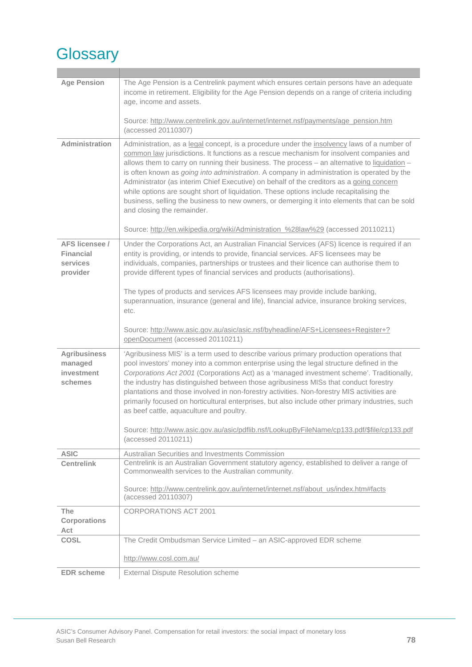# **Glossary**

| <b>Age Pension</b>                                         | The Age Pension is a Centrelink payment which ensures certain persons have an adequate<br>income in retirement. Eligibility for the Age Pension depends on a range of criteria including<br>age, income and assets.<br>Source: http://www.centrelink.gov.au/internet/internet.nsf/payments/age_pension.htm                                                                                                                                                                                                                                                                                                                                                                                                           |
|------------------------------------------------------------|----------------------------------------------------------------------------------------------------------------------------------------------------------------------------------------------------------------------------------------------------------------------------------------------------------------------------------------------------------------------------------------------------------------------------------------------------------------------------------------------------------------------------------------------------------------------------------------------------------------------------------------------------------------------------------------------------------------------|
|                                                            | (accessed 20110307)                                                                                                                                                                                                                                                                                                                                                                                                                                                                                                                                                                                                                                                                                                  |
| Administration                                             | Administration, as a legal concept, is a procedure under the insolvency laws of a number of<br>common law jurisdictions. It functions as a rescue mechanism for insolvent companies and<br>allows them to carry on running their business. The process - an alternative to liquidation -<br>is often known as <i>going into administration</i> . A company in administration is operated by the<br>Administrator (as interim Chief Executive) on behalf of the creditors as a going concern<br>while options are sought short of liquidation. These options include recapitalising the<br>business, selling the business to new owners, or demerging it into elements that can be sold<br>and closing the remainder. |
|                                                            | Source: http://en.wikipedia.org/wiki/Administration %28law%29 (accessed 20110211)                                                                                                                                                                                                                                                                                                                                                                                                                                                                                                                                                                                                                                    |
| AFS licensee /<br><b>Financial</b><br>services<br>provider | Under the Corporations Act, an Australian Financial Services (AFS) licence is required if an<br>entity is providing, or intends to provide, financial services. AFS licensees may be<br>individuals, companies, partnerships or trustees and their licence can authorise them to<br>provide different types of financial services and products (authorisations).                                                                                                                                                                                                                                                                                                                                                     |
|                                                            | The types of products and services AFS licensees may provide include banking,<br>superannuation, insurance (general and life), financial advice, insurance broking services,<br>etc.                                                                                                                                                                                                                                                                                                                                                                                                                                                                                                                                 |
|                                                            | Source: http://www.asic.gov.au/asic/asic.nsf/byheadline/AFS+Licensees+Register+?<br>openDocument (accessed 20110211)                                                                                                                                                                                                                                                                                                                                                                                                                                                                                                                                                                                                 |
| <b>Agribusiness</b><br>managed                             | 'Agribusiness MIS' is a term used to describe various primary production operations that<br>pool investors' money into a common enterprise using the legal structure defined in the                                                                                                                                                                                                                                                                                                                                                                                                                                                                                                                                  |
| investment<br>schemes                                      | Corporations Act 2001 (Corporations Act) as a 'managed investment scheme'. Traditionally,<br>the industry has distinguished between those agribusiness MISs that conduct forestry<br>plantations and those involved in non-forestry activities. Non-forestry MIS activities are<br>primarily focused on horticultural enterprises, but also include other primary industries, such<br>as beef cattle, aquaculture and poultry.<br>Source: http://www.asic.gov.au/asic/pdflib.nsf/LookupByFileName/cp133.pdf/\$file/cp133.pdf<br>(accessed 20110211)                                                                                                                                                                  |
| <b>ASIC</b>                                                | Australian Securities and Investments Commission                                                                                                                                                                                                                                                                                                                                                                                                                                                                                                                                                                                                                                                                     |
| <b>Centrelink</b>                                          | Centrelink is an Australian Government statutory agency, established to deliver a range of<br>Commonwealth services to the Australian community.<br>Source: http://www.centrelink.gov.au/internet/internet.nsf/about_us/index.htm#facts<br>(accessed 20110307)                                                                                                                                                                                                                                                                                                                                                                                                                                                       |
| <b>The</b><br><b>Corporations</b><br>Act                   | <b>CORPORATIONS ACT 2001</b>                                                                                                                                                                                                                                                                                                                                                                                                                                                                                                                                                                                                                                                                                         |
| <b>COSL</b>                                                | The Credit Ombudsman Service Limited - an ASIC-approved EDR scheme                                                                                                                                                                                                                                                                                                                                                                                                                                                                                                                                                                                                                                                   |
|                                                            | http://www.cosl.com.au/                                                                                                                                                                                                                                                                                                                                                                                                                                                                                                                                                                                                                                                                                              |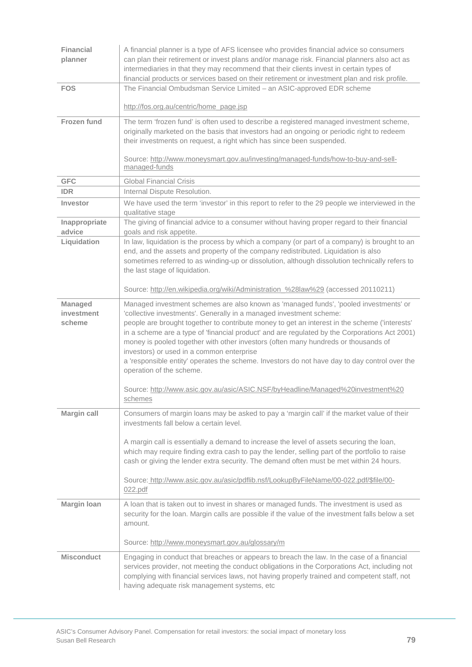| Financial<br>planner            | A financial planner is a type of AFS licensee who provides financial advice so consumers<br>can plan their retirement or invest plans and/or manage risk. Financial planners also act as<br>intermediaries in that they may recommend that their clients invest in certain types of<br>financial products or services based on their retirement or investment plan and risk profile.                                                                                                                                                                                                                                                                                                                                                |
|---------------------------------|-------------------------------------------------------------------------------------------------------------------------------------------------------------------------------------------------------------------------------------------------------------------------------------------------------------------------------------------------------------------------------------------------------------------------------------------------------------------------------------------------------------------------------------------------------------------------------------------------------------------------------------------------------------------------------------------------------------------------------------|
| <b>FOS</b>                      | The Financial Ombudsman Service Limited - an ASIC-approved EDR scheme                                                                                                                                                                                                                                                                                                                                                                                                                                                                                                                                                                                                                                                               |
|                                 | http://fos.org.au/centric/home_page.jsp                                                                                                                                                                                                                                                                                                                                                                                                                                                                                                                                                                                                                                                                                             |
| Frozen fund                     | The term 'frozen fund' is often used to describe a registered managed investment scheme,<br>originally marketed on the basis that investors had an ongoing or periodic right to redeem<br>their investments on request, a right which has since been suspended.<br>Source: http://www.moneysmart.gov.au/investing/managed-funds/how-to-buy-and-sell-<br>managed-funds                                                                                                                                                                                                                                                                                                                                                               |
| <b>GFC</b>                      | <b>Global Financial Crisis</b>                                                                                                                                                                                                                                                                                                                                                                                                                                                                                                                                                                                                                                                                                                      |
| <b>IDR</b>                      | Internal Dispute Resolution.                                                                                                                                                                                                                                                                                                                                                                                                                                                                                                                                                                                                                                                                                                        |
| Investor                        | We have used the term 'investor' in this report to refer to the 29 people we interviewed in the<br>qualitative stage                                                                                                                                                                                                                                                                                                                                                                                                                                                                                                                                                                                                                |
| Inappropriate<br>advice         | The giving of financial advice to a consumer without having proper regard to their financial<br>goals and risk appetite.                                                                                                                                                                                                                                                                                                                                                                                                                                                                                                                                                                                                            |
| Liquidation                     | In law, liquidation is the process by which a company (or part of a company) is brought to an<br>end, and the assets and property of the company redistributed. Liquidation is also<br>sometimes referred to as winding-up or dissolution, although dissolution technically refers to<br>the last stage of liquidation.                                                                                                                                                                                                                                                                                                                                                                                                             |
|                                 | Source: http://en.wikipedia.org/wiki/Administration_%28law%29 (accessed 20110211)                                                                                                                                                                                                                                                                                                                                                                                                                                                                                                                                                                                                                                                   |
| Managed<br>investment<br>scheme | Managed investment schemes are also known as 'managed funds', 'pooled investments' or<br>'collective investments'. Generally in a managed investment scheme:<br>people are brought together to contribute money to get an interest in the scheme ('interests'<br>in a scheme are a type of 'financial product' and are regulated by the Corporations Act 2001)<br>money is pooled together with other investors (often many hundreds or thousands of<br>investors) or used in a common enterprise<br>a 'responsible entity' operates the scheme. Investors do not have day to day control over the<br>operation of the scheme.<br>Source: http://www.asic.gov.au/asic/ASIC.NSF/byHeadline/Managed%20investment%20<br><u>schemes</u> |
| Margin call                     | Consumers of margin loans may be asked to pay a 'margin call' if the market value of their<br>investments fall below a certain level.                                                                                                                                                                                                                                                                                                                                                                                                                                                                                                                                                                                               |
|                                 | A margin call is essentially a demand to increase the level of assets securing the loan,<br>which may require finding extra cash to pay the lender, selling part of the portfolio to raise<br>cash or giving the lender extra security. The demand often must be met within 24 hours.<br>Source: http://www.asic.gov.au/asic/pdflib.nsf/LookupByFileName/00-022.pdf/\$file/00-<br>022.pdf                                                                                                                                                                                                                                                                                                                                           |
| Margin Ioan                     | A loan that is taken out to invest in shares or managed funds. The investment is used as<br>security for the loan. Margin calls are possible if the value of the investment falls below a set<br>amount.                                                                                                                                                                                                                                                                                                                                                                                                                                                                                                                            |
|                                 | Source: http://www.moneysmart.gov.au/glossary/m                                                                                                                                                                                                                                                                                                                                                                                                                                                                                                                                                                                                                                                                                     |
| <b>Misconduct</b>               | Engaging in conduct that breaches or appears to breach the law. In the case of a financial<br>services provider, not meeting the conduct obligations in the Corporations Act, including not<br>complying with financial services laws, not having properly trained and competent staff, not<br>having adequate risk management systems, etc                                                                                                                                                                                                                                                                                                                                                                                         |